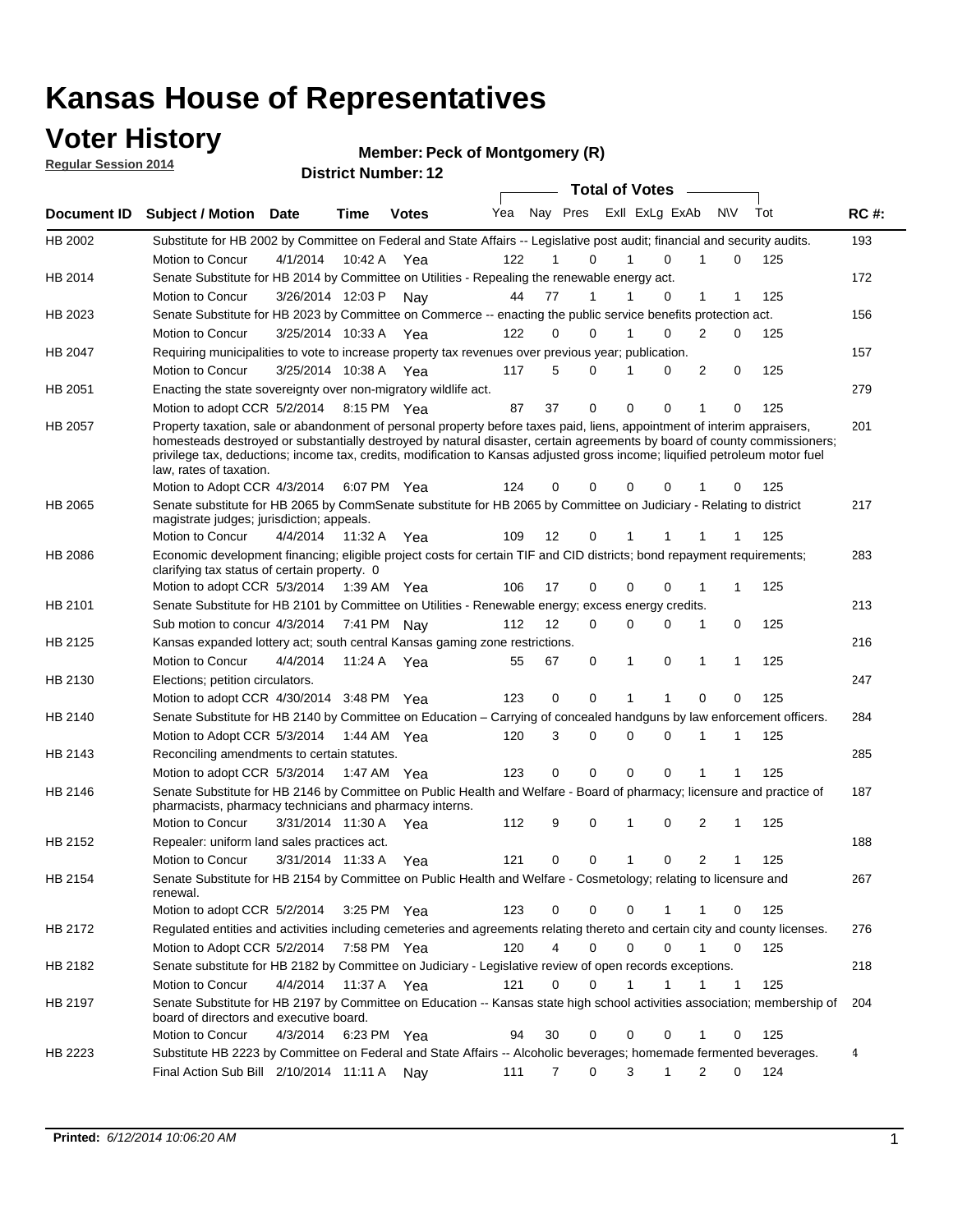### **Voter History**

**Regular Session 2014**

#### **Member: Peck of Montgomery (R)**

| <b>District Number: 12</b> |  |
|----------------------------|--|
|                            |  |

|                |                                                                                                                                                                                                                                                                                                                                                                                                                  |                       |             |              |                                 |                |              |             | <b>Total of Votes</b> |                   |             |     |             |
|----------------|------------------------------------------------------------------------------------------------------------------------------------------------------------------------------------------------------------------------------------------------------------------------------------------------------------------------------------------------------------------------------------------------------------------|-----------------------|-------------|--------------|---------------------------------|----------------|--------------|-------------|-----------------------|-------------------|-------------|-----|-------------|
| Document ID    | <b>Subject / Motion</b>                                                                                                                                                                                                                                                                                                                                                                                          | Date                  | <b>Time</b> | <b>Votes</b> | Yea Nay Pres ExII ExLg ExAb N\V |                |              |             |                       |                   |             | Tot | <b>RC#:</b> |
| HB 2002        | Substitute for HB 2002 by Committee on Federal and State Affairs -- Legislative post audit; financial and security audits.                                                                                                                                                                                                                                                                                       |                       |             |              |                                 |                |              |             |                       |                   |             |     | 193         |
|                | Motion to Concur                                                                                                                                                                                                                                                                                                                                                                                                 | 4/1/2014              | 10:42 A     | Yea          | 122                             |                | $\Omega$     | 1           | $\Omega$              |                   | $\mathbf 0$ | 125 |             |
| HB 2014        | Senate Substitute for HB 2014 by Committee on Utilities - Repealing the renewable energy act.                                                                                                                                                                                                                                                                                                                    |                       |             |              |                                 |                |              |             |                       |                   |             |     | 172         |
|                | Motion to Concur                                                                                                                                                                                                                                                                                                                                                                                                 | 3/26/2014 12:03 P     |             | Nay          | 44                              | 77             | $\mathbf{1}$ | 1           | 0                     | 1                 | 1           | 125 |             |
| HB 2023        | Senate Substitute for HB 2023 by Committee on Commerce -- enacting the public service benefits protection act.                                                                                                                                                                                                                                                                                                   |                       |             |              |                                 |                |              |             |                       |                   |             |     | 156         |
|                | Motion to Concur                                                                                                                                                                                                                                                                                                                                                                                                 | 3/25/2014 10:33 A Yea |             |              | 122                             | 0              | $\Omega$     | 1           | $\Omega$              | 2                 | 0           | 125 |             |
| HB 2047        | Requiring municipalities to vote to increase property tax revenues over previous year; publication.                                                                                                                                                                                                                                                                                                              |                       |             |              |                                 |                |              |             |                       |                   |             |     | 157         |
|                | Motion to Concur                                                                                                                                                                                                                                                                                                                                                                                                 | 3/25/2014 10:38 A     |             | Yea          | 117                             | 5              | $\Omega$     | 1           | $\Omega$              | 2                 | 0           | 125 |             |
| HB 2051        | Enacting the state sovereignty over non-migratory wildlife act.                                                                                                                                                                                                                                                                                                                                                  |                       |             |              |                                 |                |              |             |                       |                   |             |     | 279         |
|                | Motion to adopt CCR 5/2/2014 8:15 PM Yea                                                                                                                                                                                                                                                                                                                                                                         |                       |             |              | 87                              | 37             | $\mathbf 0$  | $\mathbf 0$ | 0                     | 1                 | 0           | 125 |             |
| HB 2057        | Property taxation, sale or abandonment of personal property before taxes paid, liens, appointment of interim appraisers,<br>homesteads destroyed or substantially destroyed by natural disaster, certain agreements by board of county commissioners;<br>privilege tax, deductions; income tax, credits, modification to Kansas adjusted gross income; liquified petroleum motor fuel<br>law, rates of taxation. |                       |             |              |                                 |                |              |             |                       |                   |             |     | 201         |
|                | Motion to Adopt CCR 4/3/2014                                                                                                                                                                                                                                                                                                                                                                                     |                       |             | 6:07 PM Yea  | 124                             | 0              | 0            | 0           | 0                     |                   | 0           | 125 |             |
| HB 2065        | Senate substitute for HB 2065 by CommSenate substitute for HB 2065 by Committee on Judiciary - Relating to district<br>magistrate judges; jurisdiction; appeals.                                                                                                                                                                                                                                                 |                       |             |              |                                 |                |              |             |                       |                   |             |     | 217         |
|                | Motion to Concur                                                                                                                                                                                                                                                                                                                                                                                                 | 4/4/2014              | 11:32 A     | Yea          | 109                             | 12             | 0            |             |                       |                   |             | 125 |             |
| <b>HB 2086</b> | Economic development financing; eligible project costs for certain TIF and CID districts; bond repayment requirements;<br>clarifying tax status of certain property. 0                                                                                                                                                                                                                                           |                       |             |              |                                 |                |              |             |                       |                   |             |     | 283         |
|                | Motion to adopt CCR 5/3/2014 1:39 AM Yea                                                                                                                                                                                                                                                                                                                                                                         |                       |             |              | 106                             | 17             | $\mathbf 0$  | 0           | 0                     | 1                 | 1           | 125 |             |
| HB 2101        | Senate Substitute for HB 2101 by Committee on Utilities - Renewable energy; excess energy credits.                                                                                                                                                                                                                                                                                                               |                       |             |              |                                 |                |              |             |                       |                   |             |     | 213         |
|                | Sub motion to concur 4/3/2014 7:41 PM Nav                                                                                                                                                                                                                                                                                                                                                                        |                       |             |              | 112                             | 12             | $\Omega$     | 0           | $\mathbf 0$           | 1                 | 0           | 125 |             |
| HB 2125        | Kansas expanded lottery act; south central Kansas gaming zone restrictions.                                                                                                                                                                                                                                                                                                                                      |                       |             |              |                                 |                |              |             |                       |                   |             |     | 216         |
|                | Motion to Concur                                                                                                                                                                                                                                                                                                                                                                                                 | 4/4/2014              | 11:24 A     | Yea          | 55                              | 67             | 0            | 1           | 0                     | 1                 | 1           | 125 |             |
| HB 2130        | Elections; petition circulators.                                                                                                                                                                                                                                                                                                                                                                                 |                       |             |              |                                 |                |              |             |                       |                   |             |     | 247         |
|                | Motion to adopt CCR 4/30/2014 3:48 PM Yea                                                                                                                                                                                                                                                                                                                                                                        |                       |             |              | 123                             | 0              | 0            | 1           | 1                     | $\Omega$          | 0           | 125 |             |
| HB 2140        | Senate Substitute for HB 2140 by Committee on Education – Carrying of concealed handguns by law enforcement officers.                                                                                                                                                                                                                                                                                            |                       |             |              |                                 |                |              |             |                       |                   |             |     | 284         |
|                | Motion to Adopt CCR 5/3/2014 1:44 AM Yea                                                                                                                                                                                                                                                                                                                                                                         |                       |             |              | 120                             | 3              | 0            | 0           | $\Omega$              |                   | 1           | 125 |             |
| HB 2143        | Reconciling amendments to certain statutes.                                                                                                                                                                                                                                                                                                                                                                      |                       |             |              |                                 |                |              |             |                       |                   |             |     | 285         |
|                | Motion to adopt CCR 5/3/2014 1:47 AM Yea                                                                                                                                                                                                                                                                                                                                                                         |                       |             |              | 123                             | 0              | $\mathbf 0$  | $\Omega$    | $\Omega$              | 1                 |             | 125 |             |
| <b>HB 2146</b> | Senate Substitute for HB 2146 by Committee on Public Health and Welfare - Board of pharmacy; licensure and practice of<br>pharmacists, pharmacy technicians and pharmacy interns.                                                                                                                                                                                                                                |                       |             |              |                                 |                |              |             |                       |                   |             |     | 187         |
|                | Motion to Concur                                                                                                                                                                                                                                                                                                                                                                                                 | 3/31/2014 11:30 A     |             | Yea          | 112                             | 9              | 0            | 1           | 0                     | 2                 | 1           | 125 |             |
| HB 2152        | Repealer: uniform land sales practices act.                                                                                                                                                                                                                                                                                                                                                                      |                       |             |              |                                 |                |              |             |                       |                   |             |     | 188         |
|                | Motion to Concur                                                                                                                                                                                                                                                                                                                                                                                                 | 3/31/2014 11:33 A     |             | Yea          | 121                             | 0              | 0            | 1           | 0                     | $\overline{2}$    | 1           | 125 |             |
| HB 2154        | Senate Substitute for HB 2154 by Committee on Public Health and Welfare - Cosmetology; relating to licensure and<br>renewal.                                                                                                                                                                                                                                                                                     |                       |             |              |                                 |                |              |             |                       |                   |             |     | 267         |
|                | Motion to adopt CCR 5/2/2014                                                                                                                                                                                                                                                                                                                                                                                     |                       |             | 3:25 PM Yea  | 123                             | 0              | 0            | 0           |                       | 1                 | 0           | 125 |             |
| HB 2172        | Regulated entities and activities including cemeteries and agreements relating thereto and certain city and county licenses.                                                                                                                                                                                                                                                                                     |                       |             |              |                                 |                |              |             |                       |                   |             |     | 276         |
|                | Motion to Adopt CCR 5/2/2014                                                                                                                                                                                                                                                                                                                                                                                     |                       |             | 7:58 PM Yea  | 120                             | $\overline{4}$ | $\mathbf 0$  | 0           | 0                     | $\mathbf{1}$<br>0 |             | 125 |             |
| HB 2182        | Senate substitute for HB 2182 by Committee on Judiciary - Legislative review of open records exceptions.                                                                                                                                                                                                                                                                                                         |                       |             |              |                                 |                |              |             |                       |                   |             |     | 218         |
|                | Motion to Concur                                                                                                                                                                                                                                                                                                                                                                                                 | 4/4/2014 11:37 A Yea  |             |              | 121                             | 0              | 0            | 1           | 1                     | 1                 | 1           | 125 |             |
| HB 2197        | Senate Substitute for HB 2197 by Committee on Education -- Kansas state high school activities association; membership of<br>board of directors and executive board.                                                                                                                                                                                                                                             |                       |             |              |                                 |                |              |             |                       |                   |             |     | 204         |
|                | Motion to Concur                                                                                                                                                                                                                                                                                                                                                                                                 | 4/3/2014              |             | 6:23 PM Yea  | 94                              | 30             | $\mathbf 0$  | $\mathbf 0$ | 0                     | 1                 | $\mathbf 0$ | 125 |             |
| HB 2223        | Substitute HB 2223 by Committee on Federal and State Affairs -- Alcoholic beverages; homemade fermented beverages.                                                                                                                                                                                                                                                                                               |                       |             |              |                                 |                |              |             |                       |                   |             |     | 4           |
|                | Final Action Sub Bill 2/10/2014 11:11 A Nay                                                                                                                                                                                                                                                                                                                                                                      |                       |             |              | 111                             | $\overline{7}$ | 0            | 3           | 1                     | $\overline{2}$    | 0           | 124 |             |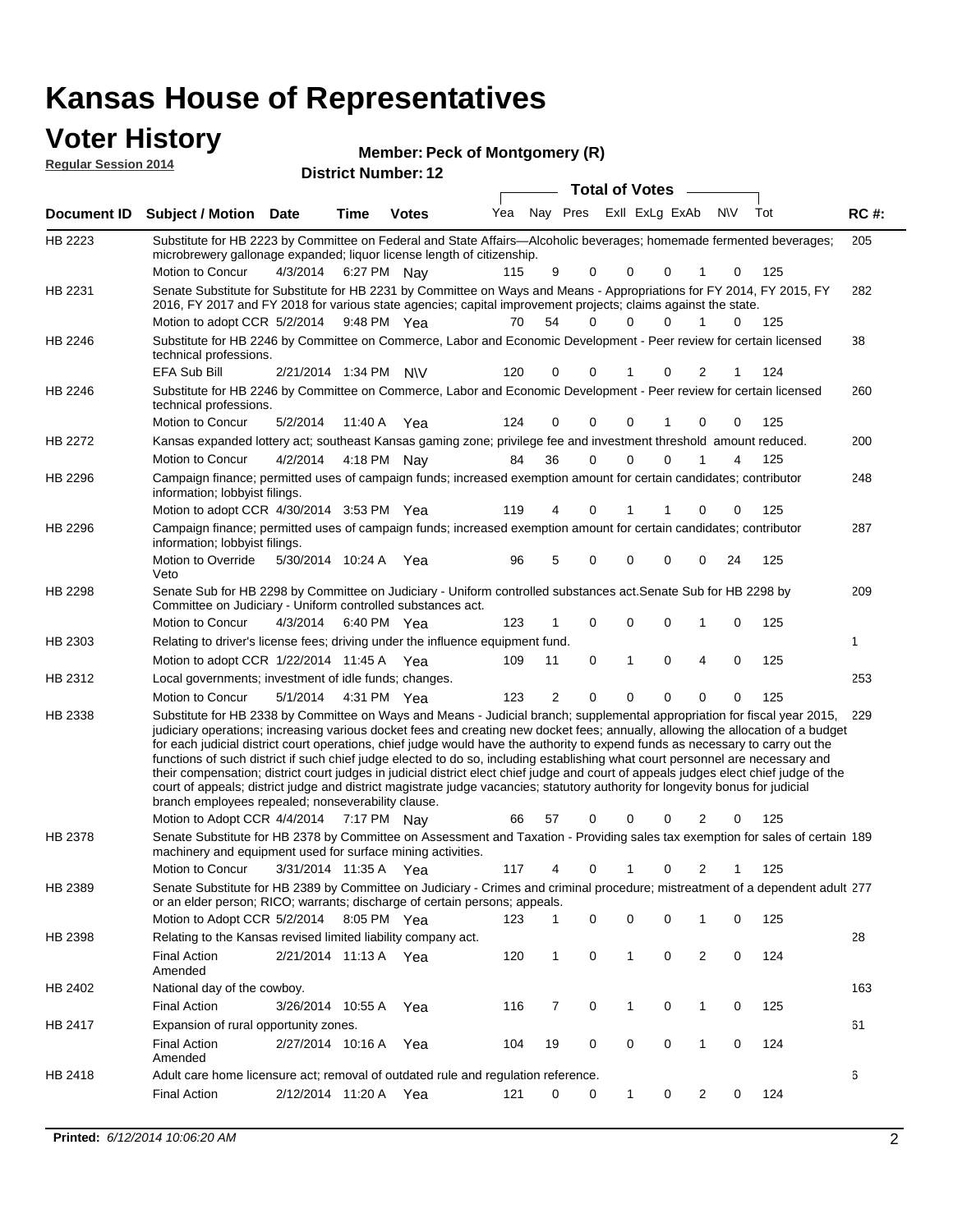# **Voter History**<br> **Regular Session 2014**

| <b>VULGI THISLUI Y</b><br><b>Regular Session 2014</b> |                                                                                                                                                                                                                                                                                                                                                                                                                                                                                                                                                                                                                                                                                                                                                                                                                                                                                                                 |                       |         | <b>Member: Peck of Montgomery (R)</b> |     |                |             |                       |                         |                |           |     |             |
|-------------------------------------------------------|-----------------------------------------------------------------------------------------------------------------------------------------------------------------------------------------------------------------------------------------------------------------------------------------------------------------------------------------------------------------------------------------------------------------------------------------------------------------------------------------------------------------------------------------------------------------------------------------------------------------------------------------------------------------------------------------------------------------------------------------------------------------------------------------------------------------------------------------------------------------------------------------------------------------|-----------------------|---------|---------------------------------------|-----|----------------|-------------|-----------------------|-------------------------|----------------|-----------|-----|-------------|
|                                                       |                                                                                                                                                                                                                                                                                                                                                                                                                                                                                                                                                                                                                                                                                                                                                                                                                                                                                                                 |                       |         | <b>District Number: 12</b>            |     |                |             | <b>Total of Votes</b> |                         |                |           |     |             |
|                                                       | Document ID Subject / Motion Date                                                                                                                                                                                                                                                                                                                                                                                                                                                                                                                                                                                                                                                                                                                                                                                                                                                                               |                       | Time    | <b>Votes</b>                          | Yea |                |             |                       | Nay Pres ExII ExLg ExAb |                | <b>NV</b> | Tot | <b>RC#:</b> |
|                                                       |                                                                                                                                                                                                                                                                                                                                                                                                                                                                                                                                                                                                                                                                                                                                                                                                                                                                                                                 |                       |         |                                       |     |                |             |                       |                         |                |           |     |             |
| HB 2223                                               | Substitute for HB 2223 by Committee on Federal and State Affairs—Alcoholic beverages; homemade fermented beverages;<br>microbrewery gallonage expanded; liquor license length of citizenship.                                                                                                                                                                                                                                                                                                                                                                                                                                                                                                                                                                                                                                                                                                                   |                       |         |                                       |     |                |             |                       |                         |                |           |     | 205         |
|                                                       | Motion to Concur                                                                                                                                                                                                                                                                                                                                                                                                                                                                                                                                                                                                                                                                                                                                                                                                                                                                                                | 4/3/2014              |         | 6:27 PM Nay                           | 115 | 9              | 0           | 0                     | 0                       | 1              | 0         | 125 |             |
| HB 2231                                               | Senate Substitute for Substitute for HB 2231 by Committee on Ways and Means - Appropriations for FY 2014, FY 2015, FY<br>2016, FY 2017 and FY 2018 for various state agencies; capital improvement projects; claims against the state.                                                                                                                                                                                                                                                                                                                                                                                                                                                                                                                                                                                                                                                                          |                       |         |                                       |     |                |             |                       |                         |                |           |     | 282         |
|                                                       | Motion to adopt CCR 5/2/2014 9:48 PM Yea                                                                                                                                                                                                                                                                                                                                                                                                                                                                                                                                                                                                                                                                                                                                                                                                                                                                        |                       |         |                                       | 70  | 54             | $\Omega$    | U                     | 0                       | 1              | 0         | 125 |             |
| HB 2246                                               | Substitute for HB 2246 by Committee on Commerce, Labor and Economic Development - Peer review for certain licensed<br>technical professions.                                                                                                                                                                                                                                                                                                                                                                                                                                                                                                                                                                                                                                                                                                                                                                    |                       |         |                                       |     |                |             |                       |                         |                |           |     | 38          |
|                                                       | EFA Sub Bill                                                                                                                                                                                                                                                                                                                                                                                                                                                                                                                                                                                                                                                                                                                                                                                                                                                                                                    | 2/21/2014 1:34 PM N\V |         |                                       | 120 | 0              | 0           |                       | 0                       | 2              | 1         | 124 |             |
| HB 2246                                               | Substitute for HB 2246 by Committee on Commerce, Labor and Economic Development - Peer review for certain licensed<br>technical professions.                                                                                                                                                                                                                                                                                                                                                                                                                                                                                                                                                                                                                                                                                                                                                                    |                       |         |                                       |     |                |             |                       |                         |                |           |     | 260         |
|                                                       | Motion to Concur                                                                                                                                                                                                                                                                                                                                                                                                                                                                                                                                                                                                                                                                                                                                                                                                                                                                                                | 5/2/2014              | 11:40 A | Yea                                   | 124 | 0              | $\mathbf 0$ | 0                     | 1                       | $\mathbf 0$    | 0         | 125 |             |
| HB 2272                                               | Kansas expanded lottery act; southeast Kansas gaming zone; privilege fee and investment threshold amount reduced.                                                                                                                                                                                                                                                                                                                                                                                                                                                                                                                                                                                                                                                                                                                                                                                               |                       |         |                                       |     |                |             |                       |                         |                |           |     | 200         |
|                                                       | Motion to Concur                                                                                                                                                                                                                                                                                                                                                                                                                                                                                                                                                                                                                                                                                                                                                                                                                                                                                                | 4/2/2014              |         | 4:18 PM Nay                           | 84  | 36             | $\mathbf 0$ | 0                     | 0                       |                | 4         | 125 |             |
| HB 2296                                               | Campaign finance; permitted uses of campaign funds; increased exemption amount for certain candidates; contributor<br>information; lobbyist filings.                                                                                                                                                                                                                                                                                                                                                                                                                                                                                                                                                                                                                                                                                                                                                            |                       |         |                                       |     |                |             |                       |                         |                |           |     | 248         |
|                                                       | Motion to adopt CCR 4/30/2014 3:53 PM Yea                                                                                                                                                                                                                                                                                                                                                                                                                                                                                                                                                                                                                                                                                                                                                                                                                                                                       |                       |         |                                       | 119 | 4              | 0           |                       |                         | 0              | 0         | 125 |             |
| HB 2296                                               | Campaign finance; permitted uses of campaign funds; increased exemption amount for certain candidates; contributor<br>information; lobbyist filings.                                                                                                                                                                                                                                                                                                                                                                                                                                                                                                                                                                                                                                                                                                                                                            |                       |         |                                       |     |                |             |                       |                         |                |           |     | 287         |
|                                                       | Motion to Override<br>Veto                                                                                                                                                                                                                                                                                                                                                                                                                                                                                                                                                                                                                                                                                                                                                                                                                                                                                      | 5/30/2014 10:24 A     |         | Yea                                   | 96  | 5              | $\mathbf 0$ | 0                     | 0                       | 0              | 24        | 125 |             |
| HB 2298                                               | Senate Sub for HB 2298 by Committee on Judiciary - Uniform controlled substances act. Senate Sub for HB 2298 by<br>Committee on Judiciary - Uniform controlled substances act.                                                                                                                                                                                                                                                                                                                                                                                                                                                                                                                                                                                                                                                                                                                                  |                       |         |                                       |     |                |             |                       |                         |                |           |     | 209         |
|                                                       | Motion to Concur                                                                                                                                                                                                                                                                                                                                                                                                                                                                                                                                                                                                                                                                                                                                                                                                                                                                                                | 4/3/2014              |         | 6:40 PM Yea                           | 123 | $\mathbf{1}$   | 0           | 0                     | 0                       | 1              | 0         | 125 |             |
| HB 2303                                               | Relating to driver's license fees; driving under the influence equipment fund.                                                                                                                                                                                                                                                                                                                                                                                                                                                                                                                                                                                                                                                                                                                                                                                                                                  |                       |         |                                       |     |                |             |                       |                         |                |           |     | 1           |
|                                                       | Motion to adopt CCR 1/22/2014 11:45 A Yea                                                                                                                                                                                                                                                                                                                                                                                                                                                                                                                                                                                                                                                                                                                                                                                                                                                                       |                       |         |                                       | 109 | 11             | 0           | 1                     | 0                       | $\overline{4}$ | 0         | 125 |             |
| HB 2312                                               | Local governments; investment of idle funds; changes.                                                                                                                                                                                                                                                                                                                                                                                                                                                                                                                                                                                                                                                                                                                                                                                                                                                           |                       |         |                                       |     |                |             |                       |                         |                |           |     | 253         |
|                                                       | Motion to Concur                                                                                                                                                                                                                                                                                                                                                                                                                                                                                                                                                                                                                                                                                                                                                                                                                                                                                                | 5/1/2014              |         | 4:31 PM Yea                           | 123 | $\overline{2}$ | $\mathbf 0$ | 0                     | 0                       | 0              | 0         | 125 |             |
| HB 2338                                               | Substitute for HB 2338 by Committee on Ways and Means - Judicial branch; supplemental appropriation for fiscal year 2015,<br>judiciary operations; increasing various docket fees and creating new docket fees; annually, allowing the allocation of a budget<br>for each judicial district court operations, chief judge would have the authority to expend funds as necessary to carry out the<br>functions of such district if such chief judge elected to do so, including establishing what court personnel are necessary and<br>their compensation; district court judges in judicial district elect chief judge and court of appeals judges elect chief judge of the<br>court of appeals; district judge and district magistrate judge vacancies; statutory authority for longevity bonus for judicial<br>branch employees repealed; nonseverability clause.<br>Motion to Adopt CCR 4/4/2014 7:17 PM Nay |                       |         |                                       | 66  | 57             | 0           | 0                     | 0                       | 2              | 0         | 125 | 229         |
| HB 2378                                               | Senate Substitute for HB 2378 by Committee on Assessment and Taxation - Providing sales tax exemption for sales of certain 189                                                                                                                                                                                                                                                                                                                                                                                                                                                                                                                                                                                                                                                                                                                                                                                  |                       |         |                                       |     |                |             |                       |                         |                |           |     |             |
|                                                       | machinery and equipment used for surface mining activities.<br>Motion to Concur                                                                                                                                                                                                                                                                                                                                                                                                                                                                                                                                                                                                                                                                                                                                                                                                                                 |                       |         |                                       |     |                |             |                       |                         |                |           |     |             |
|                                                       |                                                                                                                                                                                                                                                                                                                                                                                                                                                                                                                                                                                                                                                                                                                                                                                                                                                                                                                 | 3/31/2014 11:35 A Yea |         |                                       | 117 | 4              | 0           | 1                     | 0                       | $\overline{2}$ | 1         | 125 |             |
| HB 2389                                               | Senate Substitute for HB 2389 by Committee on Judiciary - Crimes and criminal procedure; mistreatment of a dependent adult 277<br>or an elder person; RICO; warrants; discharge of certain persons; appeals.<br>Motion to Adopt CCR 5/2/2014                                                                                                                                                                                                                                                                                                                                                                                                                                                                                                                                                                                                                                                                    |                       |         | 8:05 PM Yea                           | 123 | 1              | 0           | 0                     | 0                       | 1              | 0         | 125 |             |
| HB 2398                                               | Relating to the Kansas revised limited liability company act.                                                                                                                                                                                                                                                                                                                                                                                                                                                                                                                                                                                                                                                                                                                                                                                                                                                   |                       |         |                                       |     |                |             |                       |                         |                |           |     | 28          |
|                                                       | <b>Final Action</b><br>Amended                                                                                                                                                                                                                                                                                                                                                                                                                                                                                                                                                                                                                                                                                                                                                                                                                                                                                  | 2/21/2014 11:13 A Yea |         |                                       | 120 | 1              | 0           | 1                     | 0                       | $\overline{2}$ | 0         | 124 |             |
| HB 2402                                               | National day of the cowboy.                                                                                                                                                                                                                                                                                                                                                                                                                                                                                                                                                                                                                                                                                                                                                                                                                                                                                     |                       |         |                                       |     |                |             |                       |                         |                |           |     | 163         |
|                                                       | <b>Final Action</b>                                                                                                                                                                                                                                                                                                                                                                                                                                                                                                                                                                                                                                                                                                                                                                                                                                                                                             | 3/26/2014 10:55 A     |         | Yea                                   | 116 | 7              | 0           | 1                     | 0                       | $\mathbf{1}$   | 0         | 125 |             |
| HB 2417                                               | Expansion of rural opportunity zones.                                                                                                                                                                                                                                                                                                                                                                                                                                                                                                                                                                                                                                                                                                                                                                                                                                                                           |                       |         |                                       |     |                |             |                       |                         |                |           |     | 61          |
|                                                       | <b>Final Action</b><br>Amended                                                                                                                                                                                                                                                                                                                                                                                                                                                                                                                                                                                                                                                                                                                                                                                                                                                                                  | 2/27/2014 10:16 A     |         | Yea                                   | 104 | 19             | 0           | 0                     | 0                       | $\mathbf{1}$   | 0         | 124 |             |

2/12/2014 Final Action Yea 124 11:20 A 121 0 0 0 20 1

Adult care home licensure act; removal of outdated rule and regulation reference.

HB 2418

6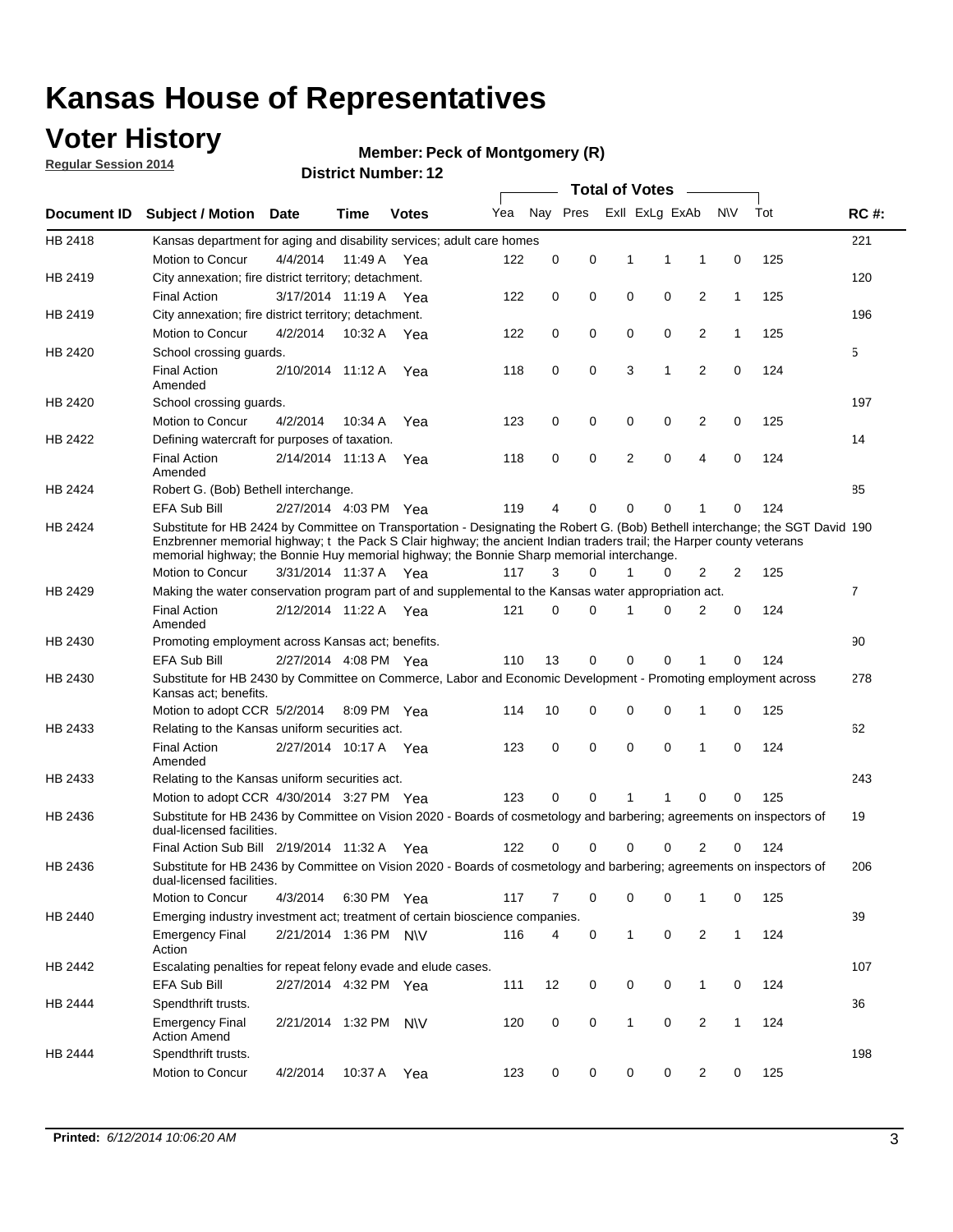### **Voter History**

**Regular Session 2014**

#### **Member: Peck of Montgomery (R)**

|             |                                                                                                                                                                                                                                                                                                                                                      |                       |             | DISTICT MAILING T. IT |     |          |          |              | <b>Total of Votes</b> |                |              |     |                |
|-------------|------------------------------------------------------------------------------------------------------------------------------------------------------------------------------------------------------------------------------------------------------------------------------------------------------------------------------------------------------|-----------------------|-------------|-----------------------|-----|----------|----------|--------------|-----------------------|----------------|--------------|-----|----------------|
| Document ID | <b>Subject / Motion</b>                                                                                                                                                                                                                                                                                                                              | Date                  | Time        | <b>Votes</b>          | Yea |          | Nay Pres |              | Exll ExLg ExAb        |                | N\V          | Tot | <b>RC#:</b>    |
| HB 2418     | Kansas department for aging and disability services; adult care homes                                                                                                                                                                                                                                                                                |                       |             |                       |     |          |          |              |                       |                |              |     | 221            |
|             | <b>Motion to Concur</b>                                                                                                                                                                                                                                                                                                                              | 4/4/2014              | 11:49 A     | Yea                   | 122 | 0        | 0        | 1            | 1                     | 1              | 0            | 125 |                |
| HB 2419     | City annexation; fire district territory; detachment.                                                                                                                                                                                                                                                                                                |                       |             |                       |     |          |          |              |                       |                |              |     | 120            |
|             | <b>Final Action</b>                                                                                                                                                                                                                                                                                                                                  | 3/17/2014 11:19 A     |             | Yea                   | 122 | 0        | 0        | 0            | 0                     | $\overline{2}$ | $\mathbf{1}$ | 125 |                |
| HB 2419     | City annexation; fire district territory; detachment.                                                                                                                                                                                                                                                                                                |                       |             |                       |     |          |          |              |                       |                |              |     | 196            |
|             | Motion to Concur                                                                                                                                                                                                                                                                                                                                     | 4/2/2014              | 10:32 A     | Yea                   | 122 | 0        | 0        | 0            | 0                     | $\overline{2}$ | 1            | 125 |                |
| HB 2420     | School crossing quards.                                                                                                                                                                                                                                                                                                                              |                       |             |                       |     |          |          |              |                       |                |              |     | 5              |
|             | <b>Final Action</b><br>Amended                                                                                                                                                                                                                                                                                                                       | 2/10/2014 11:12 A     |             | Yea                   | 118 | 0        | 0        | 3            | 1                     | $\overline{2}$ | 0            | 124 |                |
| HB 2420     | School crossing guards.                                                                                                                                                                                                                                                                                                                              |                       |             |                       |     |          |          |              |                       |                |              |     | 197            |
|             | Motion to Concur                                                                                                                                                                                                                                                                                                                                     | 4/2/2014              | 10:34 A     | Yea                   | 123 | 0        | 0        | 0            | 0                     | 2              | 0            | 125 |                |
| HB 2422     | Defining watercraft for purposes of taxation.                                                                                                                                                                                                                                                                                                        |                       |             |                       |     |          |          |              |                       |                |              |     | 14             |
|             | <b>Final Action</b><br>Amended                                                                                                                                                                                                                                                                                                                       | 2/14/2014 11:13 A     |             | Yea                   | 118 | 0        | 0        | 2            | $\mathbf 0$           | $\overline{4}$ | 0            | 124 |                |
| HB 2424     | Robert G. (Bob) Bethell interchange.                                                                                                                                                                                                                                                                                                                 |                       |             |                       |     |          |          |              |                       |                |              |     | 85             |
|             | <b>EFA Sub Bill</b>                                                                                                                                                                                                                                                                                                                                  | 2/27/2014 4:03 PM Yea |             |                       | 119 | 4        | 0        | $\Omega$     | $\Omega$              | 1              | 0            | 124 |                |
| HB 2424     | Substitute for HB 2424 by Committee on Transportation - Designating the Robert G. (Bob) Bethell interchange; the SGT David 190<br>Enzbrenner memorial highway; t the Pack S Clair highway; the ancient Indian traders trail; the Harper county veterans<br>memorial highway; the Bonnie Huy memorial highway; the Bonnie Sharp memorial interchange. |                       |             |                       |     |          |          |              |                       |                |              |     |                |
|             | Motion to Concur                                                                                                                                                                                                                                                                                                                                     | 3/31/2014 11:37 A Yea |             |                       | 117 | 3        | $\Omega$ | 1            | 0                     | $\overline{2}$ | 2            | 125 |                |
| HB 2429     | Making the water conservation program part of and supplemental to the Kansas water appropriation act.                                                                                                                                                                                                                                                |                       |             |                       |     |          |          |              |                       |                |              |     | $\overline{7}$ |
|             | <b>Final Action</b><br>Amended                                                                                                                                                                                                                                                                                                                       | 2/12/2014 11:22 A Yea |             |                       | 121 | $\Omega$ | $\Omega$ | 1            | 0                     | $\overline{2}$ | $\mathbf 0$  | 124 |                |
| HB 2430     | Promoting employment across Kansas act; benefits.                                                                                                                                                                                                                                                                                                    |                       |             |                       |     |          |          |              |                       |                |              |     | 90             |
|             | <b>EFA Sub Bill</b>                                                                                                                                                                                                                                                                                                                                  | 2/27/2014 4:08 PM Yea |             |                       | 110 | 13       | 0        | $\mathbf 0$  | 0                     |                | 0            | 124 |                |
| HB 2430     | Substitute for HB 2430 by Committee on Commerce, Labor and Economic Development - Promoting employment across<br>Kansas act; benefits.                                                                                                                                                                                                               |                       |             |                       |     |          |          |              |                       |                |              |     | 278            |
|             | Motion to adopt CCR 5/2/2014                                                                                                                                                                                                                                                                                                                         |                       | 8:09 PM Yea |                       | 114 | 10       | 0        | 0            | 0                     | 1              | 0            | 125 |                |
| HB 2433     | Relating to the Kansas uniform securities act.                                                                                                                                                                                                                                                                                                       |                       |             |                       |     |          |          |              |                       |                |              |     | 62             |
|             | <b>Final Action</b><br>Amended                                                                                                                                                                                                                                                                                                                       | 2/27/2014 10:17 A Yea |             |                       | 123 | 0        | 0        | $\mathbf 0$  | $\mathbf 0$           | 1              | 0            | 124 |                |
| HB 2433     | Relating to the Kansas uniform securities act.                                                                                                                                                                                                                                                                                                       |                       |             |                       |     |          |          |              |                       |                |              |     | 243            |
|             | Motion to adopt CCR 4/30/2014 3:27 PM Yea                                                                                                                                                                                                                                                                                                            |                       |             |                       | 123 | $\Omega$ | $\Omega$ | 1            | 1                     | $\Omega$       | 0            | 125 |                |
| HB 2436     | Substitute for HB 2436 by Committee on Vision 2020 - Boards of cosmetology and barbering; agreements on inspectors of<br>dual-licensed facilities.                                                                                                                                                                                                   |                       |             |                       |     |          |          |              |                       |                |              |     | 19             |
|             | Final Action Sub Bill 2/19/2014 11:32 A                                                                                                                                                                                                                                                                                                              |                       |             | Yea                   | 122 | ი        | 0        | O            | 0                     | 2              | 0            | 124 |                |
| HB 2436     | Substitute for HB 2436 by Committee on Vision 2020 - Boards of cosmetology and barbering; agreements on inspectors of<br>dual-licensed facilities.                                                                                                                                                                                                   |                       |             |                       |     |          |          |              |                       |                |              |     | 206            |
|             | Motion to Concur                                                                                                                                                                                                                                                                                                                                     | 4/3/2014              | 6:30 PM Yea |                       | 117 | 7        | 0        | 0            | 0                     | 1              | 0            | 125 |                |
| HB 2440     | Emerging industry investment act; treatment of certain bioscience companies.                                                                                                                                                                                                                                                                         |                       |             |                       |     |          |          |              |                       |                |              |     | 39             |
|             | <b>Emergency Final</b><br>Action                                                                                                                                                                                                                                                                                                                     | 2/21/2014 1:36 PM N\V |             |                       | 116 | 4        | 0        | $\mathbf{1}$ | 0                     | 2              | $\mathbf{1}$ | 124 |                |
| HB 2442     | Escalating penalties for repeat felony evade and elude cases.                                                                                                                                                                                                                                                                                        |                       |             |                       |     |          |          |              |                       |                |              |     | 107            |
|             | EFA Sub Bill                                                                                                                                                                                                                                                                                                                                         | 2/27/2014 4:32 PM Yea |             |                       | 111 | 12       | 0        | 0            | 0                     | $\mathbf{1}$   | 0            | 124 |                |
| HB 2444     | Spendthrift trusts.                                                                                                                                                                                                                                                                                                                                  |                       |             |                       |     |          |          |              |                       |                |              |     | 36             |
|             | <b>Emergency Final</b><br><b>Action Amend</b>                                                                                                                                                                                                                                                                                                        | 2/21/2014 1:32 PM N\V |             |                       | 120 | 0        | 0        | $\mathbf{1}$ | 0                     | $\overline{2}$ | $\mathbf{1}$ | 124 |                |
| HB 2444     | Spendthrift trusts.                                                                                                                                                                                                                                                                                                                                  |                       |             |                       |     |          |          |              |                       |                |              |     | 198            |
|             | Motion to Concur                                                                                                                                                                                                                                                                                                                                     | 4/2/2014              | 10:37 A Yea |                       | 123 | 0        | 0        | 0            | 0                     | $\overline{2}$ | 0            | 125 |                |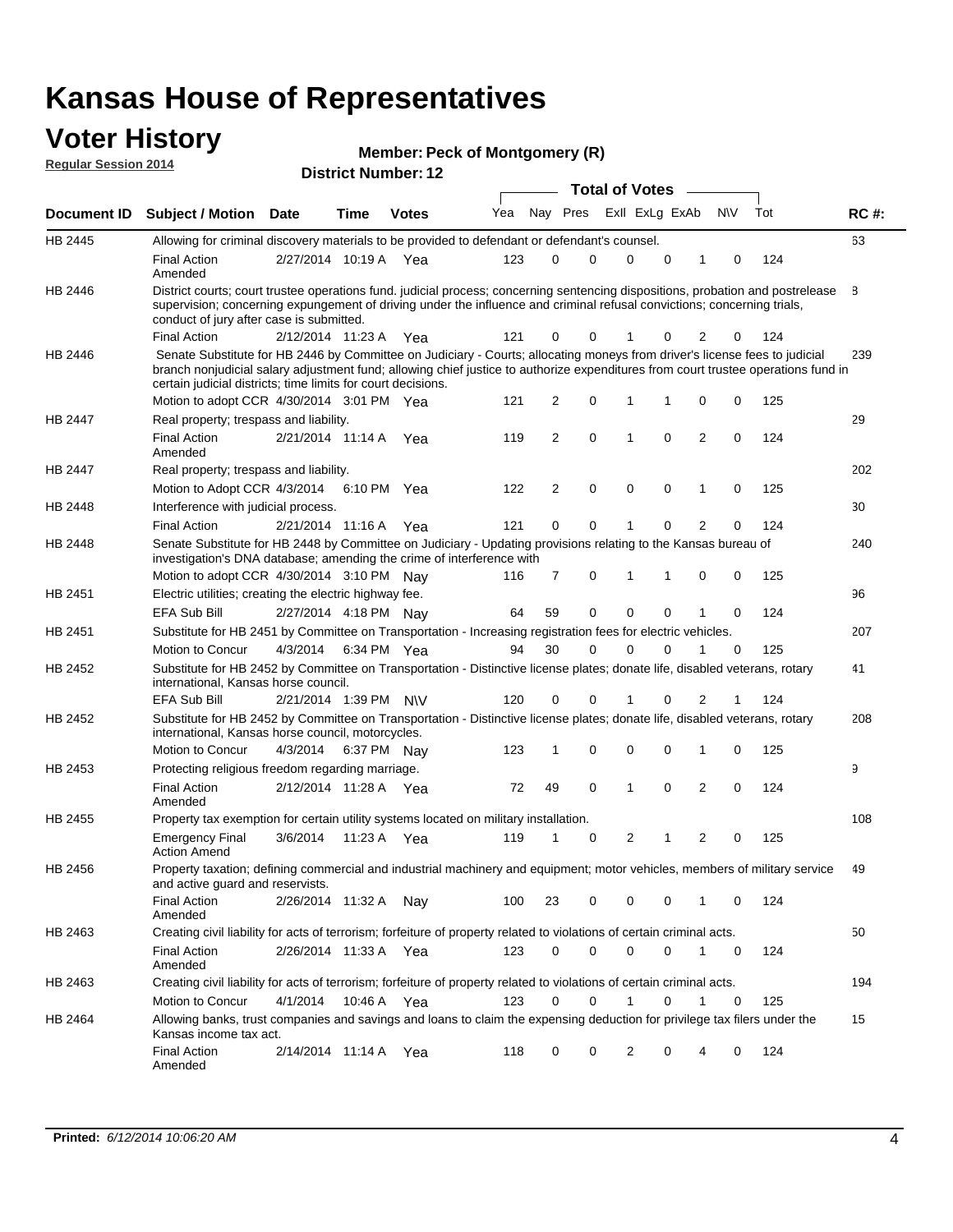#### **Voter History Regular Session 2014**

| <b>Member: Peck of Montgomery (R)</b> |  |  |  |
|---------------------------------------|--|--|--|
|---------------------------------------|--|--|--|

| דושב ווטופסטט ומוסף וח |                                                                                                                                                                                                                                                                                                                                                                              |                       |             | <b>District Number: 12</b> |     |    |                |             |                       |   |                |             |     |             |
|------------------------|------------------------------------------------------------------------------------------------------------------------------------------------------------------------------------------------------------------------------------------------------------------------------------------------------------------------------------------------------------------------------|-----------------------|-------------|----------------------------|-----|----|----------------|-------------|-----------------------|---|----------------|-------------|-----|-------------|
|                        |                                                                                                                                                                                                                                                                                                                                                                              |                       |             |                            |     |    |                |             | <b>Total of Votes</b> |   |                |             |     |             |
| Document ID            | <b>Subject / Motion Date</b>                                                                                                                                                                                                                                                                                                                                                 |                       | <b>Time</b> | <b>Votes</b>               | Yea |    | Nay Pres       |             | Exll ExLg ExAb        |   |                | <b>N/V</b>  | Tot | <b>RC#:</b> |
| HB 2445                | Allowing for criminal discovery materials to be provided to defendant or defendant's counsel.                                                                                                                                                                                                                                                                                |                       |             |                            |     |    |                |             |                       |   |                |             |     | 63          |
|                        | <b>Final Action</b><br>Amended                                                                                                                                                                                                                                                                                                                                               | 2/27/2014 10:19 A Yea |             |                            | 123 |    | $\Omega$       | 0           | $\Omega$              | 0 |                | 0           | 124 |             |
| HB 2446                | District courts; court trustee operations fund. judicial process; concerning sentencing dispositions, probation and postrelease<br>supervision; concerning expungement of driving under the influence and criminal refusal convictions; concerning trials,<br>conduct of jury after case is submitted.                                                                       |                       |             |                            |     |    |                |             |                       |   |                |             |     | 8           |
|                        | <b>Final Action</b>                                                                                                                                                                                                                                                                                                                                                          | 2/12/2014 11:23 A Yea |             |                            | 121 |    | 0              | 0           |                       | 0 | 2              | 0           | 124 |             |
| HB 2446                | Senate Substitute for HB 2446 by Committee on Judiciary - Courts; allocating moneys from driver's license fees to judicial<br>branch nonjudicial salary adjustment fund; allowing chief justice to authorize expenditures from court trustee operations fund in<br>certain judicial districts; time limits for court decisions.<br>Motion to adopt CCR 4/30/2014 3:01 PM Yea |                       |             |                            | 121 |    | $\overline{2}$ | $\mathbf 0$ | 1                     | 1 | $\mathbf 0$    | 0           | 125 | 239         |
| HB 2447                | Real property; trespass and liability.                                                                                                                                                                                                                                                                                                                                       |                       |             |                            |     |    |                |             |                       |   |                |             |     | 29          |
|                        | <b>Final Action</b><br>Amended                                                                                                                                                                                                                                                                                                                                               | 2/21/2014 11:14 A     |             | Yea                        | 119 |    | $\overline{2}$ | $\mathbf 0$ | 1                     | 0 | $\overline{2}$ | 0           | 124 |             |
| HB 2447                | Real property; trespass and liability.                                                                                                                                                                                                                                                                                                                                       |                       |             |                            |     |    |                |             |                       |   |                |             |     | 202         |
|                        | Motion to Adopt CCR 4/3/2014                                                                                                                                                                                                                                                                                                                                                 |                       |             | 6:10 PM Yea                | 122 |    | $\overline{2}$ | $\mathbf 0$ | $\mathbf 0$           | 0 | 1              | 0           | 125 |             |
| HB 2448                | Interference with judicial process.                                                                                                                                                                                                                                                                                                                                          |                       |             |                            |     |    |                |             |                       |   |                |             |     | 30          |
|                        | <b>Final Action</b>                                                                                                                                                                                                                                                                                                                                                          | 2/21/2014 11:16 A Yea |             |                            | 121 |    | 0              | 0           |                       | 0 | $\overline{2}$ | 0           | 124 |             |
| HB 2448                | Senate Substitute for HB 2448 by Committee on Judiciary - Updating provisions relating to the Kansas bureau of<br>investigation's DNA database; amending the crime of interference with                                                                                                                                                                                      |                       |             |                            |     |    |                |             |                       |   |                |             |     | 240         |
|                        | Motion to adopt CCR 4/30/2014 3:10 PM Nav                                                                                                                                                                                                                                                                                                                                    |                       |             |                            | 116 |    | 7              | 0           | 1                     | 1 | 0              | 0           | 125 |             |
| HB 2451                | Electric utilities; creating the electric highway fee.                                                                                                                                                                                                                                                                                                                       |                       |             |                            |     |    |                |             |                       |   |                |             |     | 96          |
|                        | <b>EFA Sub Bill</b>                                                                                                                                                                                                                                                                                                                                                          | 2/27/2014 4:18 PM Nav |             |                            | 64  | 59 |                | $\mathbf 0$ | 0                     | 0 | 1              | 0           | 124 |             |
| HB 2451                | Substitute for HB 2451 by Committee on Transportation - Increasing registration fees for electric vehicles.                                                                                                                                                                                                                                                                  |                       |             |                            |     |    |                |             |                       |   |                |             |     | 207         |
|                        | Motion to Concur                                                                                                                                                                                                                                                                                                                                                             | 4/3/2014              |             | 6:34 PM Yea                | 94  | 30 |                | $\mathbf 0$ | 0                     | 0 | 1              | 0           | 125 |             |
| HB 2452                | Substitute for HB 2452 by Committee on Transportation - Distinctive license plates; donate life, disabled veterans, rotary<br>international, Kansas horse council.                                                                                                                                                                                                           |                       |             |                            |     |    |                |             |                       |   |                |             |     | 41          |
|                        | <b>EFA Sub Bill</b>                                                                                                                                                                                                                                                                                                                                                          | 2/21/2014 1:39 PM N\V |             |                            | 120 |    | 0              | $\mathbf 0$ |                       | 0 | $\overline{2}$ |             | 124 |             |
| HB 2452                | Substitute for HB 2452 by Committee on Transportation - Distinctive license plates; donate life, disabled veterans, rotary<br>international, Kansas horse council, motorcycles.                                                                                                                                                                                              |                       |             |                            |     |    |                |             |                       |   |                |             |     | 208         |
|                        | Motion to Concur                                                                                                                                                                                                                                                                                                                                                             | 4/3/2014              |             | 6:37 PM Nav                | 123 |    | 1              | $\mathbf 0$ | 0                     | 0 | 1              | 0           | 125 |             |
| HB 2453                | Protecting religious freedom regarding marriage.                                                                                                                                                                                                                                                                                                                             |                       |             |                            |     |    |                |             |                       |   |                |             |     | 9           |
|                        | <b>Final Action</b><br>Amended                                                                                                                                                                                                                                                                                                                                               | 2/12/2014 11:28 A Yea |             |                            | 72  | 49 |                | 0           | 1                     | 0 | $\overline{2}$ | $\mathbf 0$ | 124 |             |
| HB 2455                | Property tax exemption for certain utility systems located on military installation.                                                                                                                                                                                                                                                                                         |                       |             |                            |     |    |                |             |                       |   |                |             |     | 108         |
|                        | <b>Emergency Final</b><br><b>Action Amend</b>                                                                                                                                                                                                                                                                                                                                | 3/6/2014              |             | 11:23 A Yea                | 119 | 1  |                | 0           | 2                     | 1 | $\overline{2}$ | 0           | 125 |             |
| HB 2456                | Property taxation; defining commercial and industrial machinery and equipment; motor vehicles, members of military service<br>and active quard and reservists.                                                                                                                                                                                                               |                       |             |                            |     |    |                |             |                       |   |                |             |     | 49          |
|                        | <b>Final Action</b><br>Amended                                                                                                                                                                                                                                                                                                                                               | 2/26/2014 11:32 A Nay |             |                            | 100 | 23 |                | 0           | 0                     | 0 | 1              | 0           | 124 |             |
| HB 2463                | Creating civil liability for acts of terrorism; forfeiture of property related to violations of certain criminal acts.                                                                                                                                                                                                                                                       |                       |             |                            |     |    |                |             |                       |   |                |             |     | 50          |
|                        | <b>Final Action</b><br>Amended                                                                                                                                                                                                                                                                                                                                               | 2/26/2014 11:33 A Yea |             |                            | 123 |    | 0              | $\mathbf 0$ | $\mathbf 0$           | 0 | 1              | 0           | 124 |             |
| HB 2463                | Creating civil liability for acts of terrorism; forfeiture of property related to violations of certain criminal acts.                                                                                                                                                                                                                                                       |                       |             |                            |     |    |                |             |                       |   |                |             |     | 194         |
|                        | Motion to Concur                                                                                                                                                                                                                                                                                                                                                             | 4/1/2014              |             | 10:46 A Yea                | 123 |    | 0              | 0           | 1                     | 0 | 1              | 0           | 125 |             |
| HB 2464                | Allowing banks, trust companies and savings and loans to claim the expensing deduction for privilege tax filers under the<br>Kansas income tax act.                                                                                                                                                                                                                          |                       |             |                            |     |    |                |             |                       |   |                |             |     | 15          |
|                        | <b>Final Action</b><br>Amended                                                                                                                                                                                                                                                                                                                                               | 2/14/2014 11:14 A Yea |             |                            | 118 |    | 0              | 0           | 2                     | 0 | 4              | 0           | 124 |             |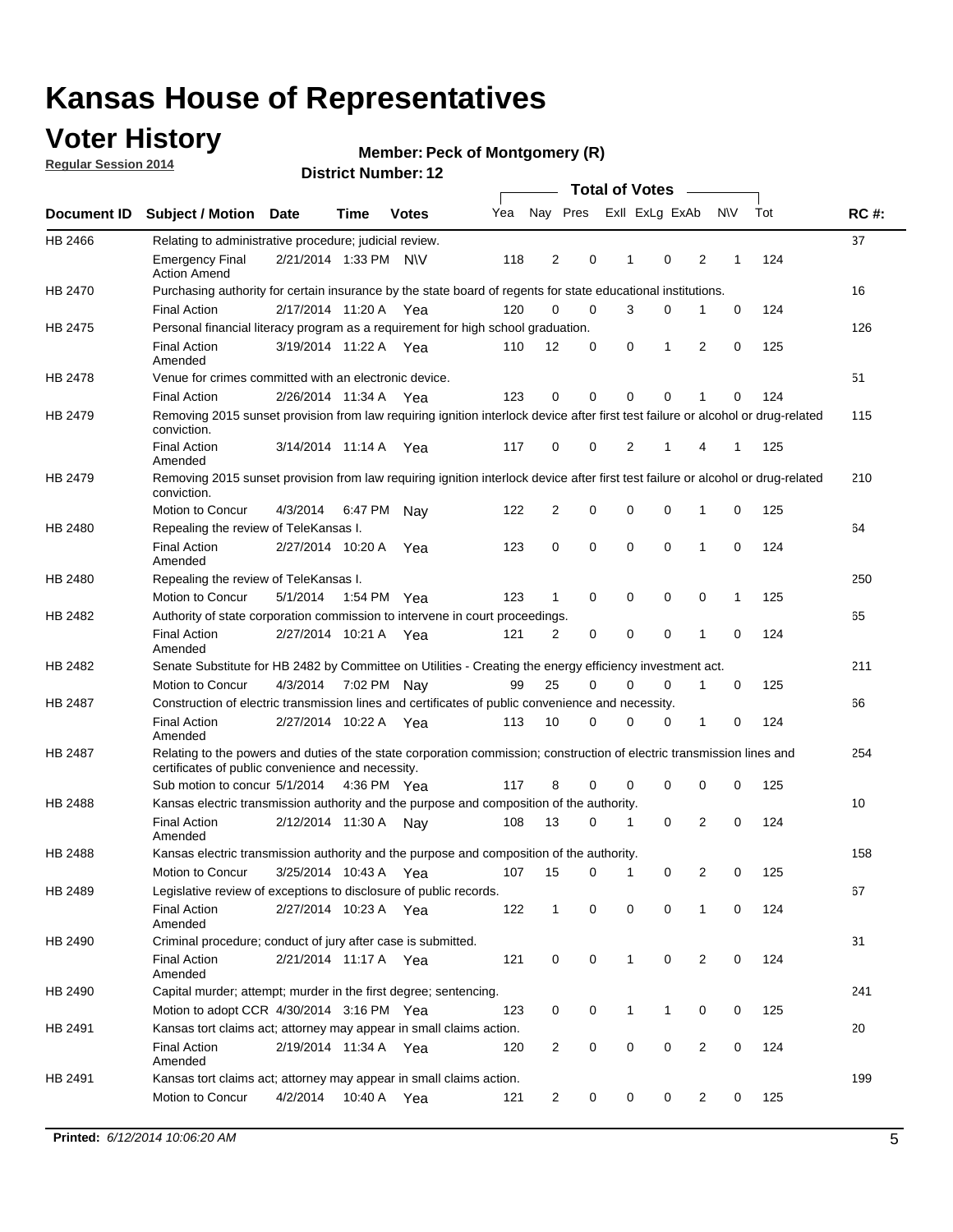## **Voter History**

**Regular Session 2014**

#### **Member: Peck of Montgomery (R)**

|                |                                                                                                                                                                             |                       |                       |              |     |                |             | <b>Total of Votes</b> |             |   |           |     |             |
|----------------|-----------------------------------------------------------------------------------------------------------------------------------------------------------------------------|-----------------------|-----------------------|--------------|-----|----------------|-------------|-----------------------|-------------|---|-----------|-----|-------------|
|                | Document ID Subject / Motion                                                                                                                                                | <b>Date</b>           | Time                  | <b>Votes</b> | Yea | Nay Pres       |             | Exll ExLg ExAb        |             |   | <b>NV</b> | Tot | <b>RC#:</b> |
| HB 2466        | Relating to administrative procedure; judicial review.                                                                                                                      |                       |                       |              |     |                |             |                       |             |   |           |     | 37          |
|                | <b>Emergency Final</b><br><b>Action Amend</b>                                                                                                                               |                       | 2/21/2014 1:33 PM N\V |              | 118 | 2              | 0           | 1                     | 0           | 2 | 1         | 124 |             |
| HB 2470        | Purchasing authority for certain insurance by the state board of regents for state educational institutions.                                                                |                       |                       |              |     |                |             |                       |             |   |           |     | 16          |
|                | <b>Final Action</b>                                                                                                                                                         |                       | 2/17/2014 11:20 A Yea |              | 120 | $\mathbf 0$    | $\mathbf 0$ | 3                     | 0           | 1 | 0         | 124 |             |
| HB 2475        | Personal financial literacy program as a requirement for high school graduation.                                                                                            |                       |                       |              |     |                |             |                       |             |   |           |     | 126         |
|                | <b>Final Action</b><br>Amended                                                                                                                                              | 3/19/2014 11:22 A Yea |                       |              | 110 | 12             | 0           | 0                     | 1           | 2 | 0         | 125 |             |
| HB 2478        | Venue for crimes committed with an electronic device.                                                                                                                       |                       |                       |              |     |                |             |                       |             |   |           |     | 51          |
|                | <b>Final Action</b>                                                                                                                                                         | 2/26/2014 11:34 A     |                       | Yea          | 123 | 0              | 0           | 0                     | 0           | 1 | 0         | 124 |             |
| HB 2479        | Removing 2015 sunset provision from law requiring ignition interlock device after first test failure or alcohol or drug-related<br>conviction.                              |                       |                       |              |     |                |             |                       |             |   |           |     | 115         |
|                | <b>Final Action</b><br>Amended                                                                                                                                              |                       | 3/14/2014 11:14 A     | Yea          | 117 | $\mathbf 0$    | 0           | 2                     | 1           | 4 | 1         | 125 |             |
| HB 2479        | Removing 2015 sunset provision from law requiring ignition interlock device after first test failure or alcohol or drug-related<br>conviction.                              |                       |                       |              |     |                |             |                       |             |   |           |     | 210         |
|                | Motion to Concur                                                                                                                                                            | 4/3/2014              |                       | 6:47 PM Nay  | 122 | $\overline{2}$ | 0           | 0                     | $\mathbf 0$ | 1 | 0         | 125 |             |
| HB 2480        | Repealing the review of TeleKansas I.                                                                                                                                       |                       |                       |              |     |                |             |                       |             |   |           |     | 64          |
|                | <b>Final Action</b><br>Amended                                                                                                                                              |                       | 2/27/2014 10:20 A     | Yea          | 123 | 0              | $\mathbf 0$ | $\mathbf 0$           | $\mathbf 0$ | 1 | 0         | 124 |             |
| HB 2480        | Repealing the review of TeleKansas I.                                                                                                                                       |                       |                       |              |     |                |             |                       |             |   |           |     | 250         |
|                | Motion to Concur                                                                                                                                                            | 5/1/2014              |                       | 1:54 PM Yea  | 123 | 1              | 0           | 0                     | 0           | 0 | 1         | 125 |             |
| HB 2482        | Authority of state corporation commission to intervene in court proceedings.                                                                                                |                       |                       |              |     |                |             |                       |             |   |           |     | 65          |
|                | <b>Final Action</b><br>Amended                                                                                                                                              |                       | 2/27/2014 10:21 A     | Yea          | 121 | 2              | 0           | $\mathbf 0$           | $\mathbf 0$ | 1 | 0         | 124 |             |
| HB 2482        | Senate Substitute for HB 2482 by Committee on Utilities - Creating the energy efficiency investment act.                                                                    |                       |                       |              |     |                |             |                       |             |   |           |     | 211         |
|                | Motion to Concur                                                                                                                                                            | 4/3/2014 7:02 PM Nay  |                       |              | 99  | 25             | $\Omega$    | 0                     | $\mathbf 0$ | 1 | 0         | 125 |             |
| <b>HB 2487</b> | Construction of electric transmission lines and certificates of public convenience and necessity.                                                                           |                       |                       |              |     |                |             |                       |             |   |           |     | 66          |
|                | <b>Final Action</b><br>Amended                                                                                                                                              | 2/27/2014 10:22 A     |                       | Yea          | 113 | 10             | 0           | $\mathbf 0$           | 0           | 1 | 0         | 124 |             |
| HB 2487        | Relating to the powers and duties of the state corporation commission; construction of electric transmission lines and<br>certificates of public convenience and necessity. |                       |                       |              |     |                |             |                       |             |   |           |     | 254         |
|                | Sub motion to concur 5/1/2014                                                                                                                                               |                       |                       | 4:36 PM Yea  | 117 | 8              | 0           | 0                     | 0           | 0 | 0         | 125 |             |
| <b>HB 2488</b> | Kansas electric transmission authority and the purpose and composition of the authority.                                                                                    |                       |                       |              |     |                |             |                       |             |   |           |     | 10          |
|                | <b>Final Action</b><br>Amended                                                                                                                                              | 2/12/2014 11:30 A     |                       | Nav          | 108 | 13             | 0           | 1                     | $\mathbf 0$ | 2 | 0         | 124 |             |
| HB 2488        | Kansas electric transmission authority and the purpose and composition of the authority.                                                                                    |                       |                       |              |     |                |             |                       |             |   |           |     | 158         |
|                | Motion to Concur                                                                                                                                                            |                       | 3/25/2014 10:43 A     | Yea          | 107 | 15             | 0           | $\mathbf{1}$          | 0           | 2 | 0         | 125 |             |
| HB 2489        | Legislative review of exceptions to disclosure of public records.                                                                                                           |                       |                       |              |     |                |             |                       |             |   |           |     | 67          |
|                | <b>Final Action</b><br>Amended                                                                                                                                              | 2/27/2014 10:23 A Yea |                       |              | 122 | $\mathbf{1}$   | 0           | 0                     | 0           | 1 | 0         | 124 |             |
| HB 2490        | Criminal procedure; conduct of jury after case is submitted.                                                                                                                |                       |                       |              |     |                |             |                       |             |   |           |     | 31          |
|                | <b>Final Action</b><br>Amended                                                                                                                                              | 2/21/2014 11:17 A Yea |                       |              | 121 | 0              | 0           | $\mathbf{1}$          | $\mathbf 0$ | 2 | 0         | 124 |             |
| HB 2490        | Capital murder; attempt; murder in the first degree; sentencing.                                                                                                            |                       |                       |              |     |                |             |                       |             |   |           |     | 241         |
|                | Motion to adopt CCR 4/30/2014 3:16 PM Yea                                                                                                                                   |                       |                       |              | 123 | 0              | 0           | 1                     | 1           | 0 | 0         | 125 |             |
| HB 2491        | Kansas tort claims act; attorney may appear in small claims action.                                                                                                         |                       |                       |              |     |                |             |                       |             |   |           |     | 20          |
|                | <b>Final Action</b><br>Amended                                                                                                                                              | 2/19/2014 11:34 A Yea |                       |              | 120 | $\overline{c}$ | 0           | 0                     | $\pmb{0}$   | 2 | 0         | 124 |             |
| HB 2491        | Kansas tort claims act; attorney may appear in small claims action.                                                                                                         |                       |                       |              |     |                |             |                       |             |   |           |     | 199         |
|                | Motion to Concur                                                                                                                                                            | 4/2/2014              | 10:40 A               | Yea          | 121 | 2              | 0           | 0                     | 0           | 2 | 0         | 125 |             |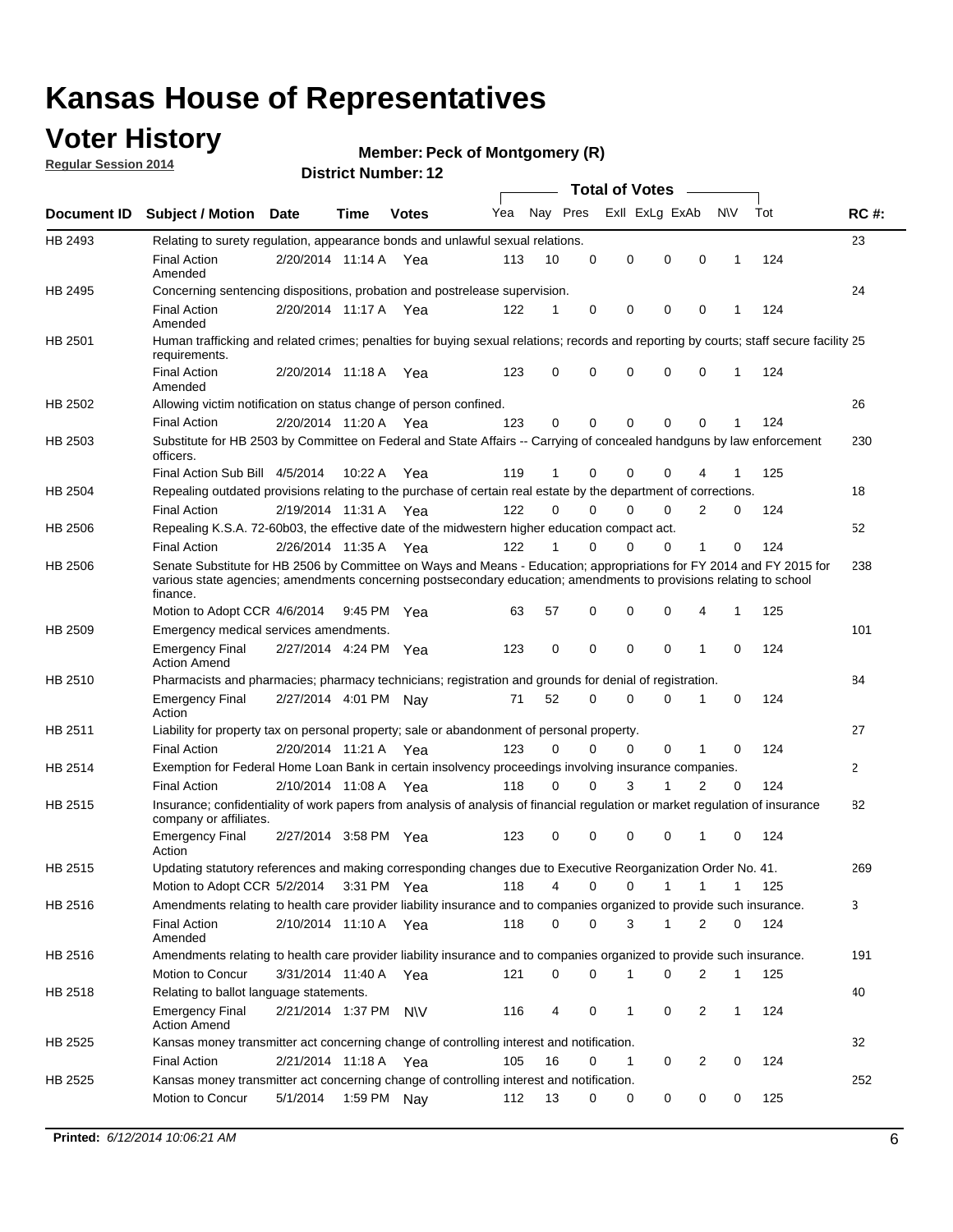### **Voter History**

**Regular Session 2014**

#### **Member: Peck of Montgomery (R)**

|                    |                                                                                                                                                                                                                                                        |                       |             |              |     |          |          | <b>Total of Votes</b> |                |              |              |     |              |
|--------------------|--------------------------------------------------------------------------------------------------------------------------------------------------------------------------------------------------------------------------------------------------------|-----------------------|-------------|--------------|-----|----------|----------|-----------------------|----------------|--------------|--------------|-----|--------------|
| <b>Document ID</b> | <b>Subject / Motion Date</b>                                                                                                                                                                                                                           |                       | Time        | <b>Votes</b> | Yea | Nay Pres |          |                       | Exll ExLg ExAb |              | N\V          | Tot | <b>RC#:</b>  |
| HB 2493            | Relating to surety regulation, appearance bonds and unlawful sexual relations.                                                                                                                                                                         |                       |             |              |     |          |          |                       |                |              |              |     | 23           |
|                    | <b>Final Action</b><br>Amended                                                                                                                                                                                                                         | 2/20/2014 11:14 A     |             | Yea          | 113 | 10       | 0        | 0                     | $\mathbf 0$    | 0            | 1            | 124 |              |
| HB 2495            | Concerning sentencing dispositions, probation and postrelease supervision.                                                                                                                                                                             |                       |             |              |     |          |          |                       |                |              |              |     | 24           |
|                    | Final Action<br>Amended                                                                                                                                                                                                                                | 2/20/2014 11:17 A Yea |             |              | 122 |          | 0        | $\mathbf 0$           | $\mathbf 0$    | 0            |              | 124 |              |
| HB 2501            | Human trafficking and related crimes; penalties for buying sexual relations; records and reporting by courts; staff secure facility 25<br>requirements.                                                                                                |                       |             |              |     |          |          |                       |                |              |              |     |              |
|                    | <b>Final Action</b><br>Amended                                                                                                                                                                                                                         | 2/20/2014 11:18 A Yea |             |              | 123 | 0        | 0        | $\mathbf 0$           | $\Omega$       | 0            | 1            | 124 |              |
| HB 2502            | Allowing victim notification on status change of person confined.                                                                                                                                                                                      |                       |             |              |     |          |          |                       |                |              |              |     | 26           |
|                    | <b>Final Action</b>                                                                                                                                                                                                                                    | 2/20/2014 11:20 A Yea |             |              | 123 | 0        | 0        | $\mathbf 0$           | $\mathbf 0$    | $\Omega$     |              | 124 |              |
| HB 2503            | Substitute for HB 2503 by Committee on Federal and State Affairs -- Carrying of concealed handguns by law enforcement<br>officers.                                                                                                                     |                       |             |              |     |          |          |                       |                |              |              |     | 230          |
|                    | Final Action Sub Bill 4/5/2014                                                                                                                                                                                                                         |                       | 10:22 A     | Yea          | 119 |          | 0        | $\Omega$              | $\Omega$       | 4            |              | 125 |              |
| HB 2504            | Repealing outdated provisions relating to the purchase of certain real estate by the department of corrections.                                                                                                                                        |                       |             |              |     |          |          |                       |                |              |              |     | 18           |
|                    | <b>Final Action</b>                                                                                                                                                                                                                                    | 2/19/2014 11:31 A Yea |             |              | 122 | $\Omega$ | $\Omega$ | $\Omega$              | $\Omega$       | 2            | 0            | 124 |              |
| HB 2506            | Repealing K.S.A. 72-60b03, the effective date of the midwestern higher education compact act.                                                                                                                                                          |                       |             |              |     |          |          |                       |                |              |              |     | 52           |
|                    | <b>Final Action</b>                                                                                                                                                                                                                                    | 2/26/2014 11:35 A Yea |             |              | 122 |          | $\Omega$ | $\Omega$              | $\Omega$       | 1            | 0            | 124 |              |
| HB 2506            | Senate Substitute for HB 2506 by Committee on Ways and Means - Education; appropriations for FY 2014 and FY 2015 for<br>various state agencies; amendments concerning postsecondary education; amendments to provisions relating to school<br>finance. |                       |             |              |     |          |          |                       |                |              |              |     | 238          |
|                    | Motion to Adopt CCR 4/6/2014                                                                                                                                                                                                                           |                       | 9:45 PM Yea |              | 63  | 57       | 0        | $\mathbf 0$           | 0              | 4            | 1            | 125 |              |
| HB 2509            | Emergency medical services amendments.                                                                                                                                                                                                                 |                       |             |              |     |          |          |                       |                |              |              |     | 101          |
|                    | <b>Emergency Final</b><br><b>Action Amend</b>                                                                                                                                                                                                          | 2/27/2014 4:24 PM Yea |             |              | 123 | 0        | 0        | $\mathbf 0$           | $\mathbf 0$    | $\mathbf{1}$ | 0            | 124 |              |
| HB 2510            | Pharmacists and pharmacies; pharmacy technicians; registration and grounds for denial of registration.                                                                                                                                                 |                       |             |              |     |          |          |                       |                |              |              |     | 84           |
|                    | <b>Emergency Final</b><br>Action                                                                                                                                                                                                                       | 2/27/2014 4:01 PM Nay |             |              | 71  | 52       | 0        | 0                     | 0              | 1            | 0            | 124 |              |
| HB 2511            | Liability for property tax on personal property; sale or abandonment of personal property.                                                                                                                                                             |                       |             |              |     |          |          |                       |                |              |              |     | 27           |
|                    | <b>Final Action</b>                                                                                                                                                                                                                                    | 2/20/2014 11:21 A     |             | Yea          | 123 | 0        | $\Omega$ | $\mathbf 0$           | $\mathbf 0$    | 1            | 0            | 124 |              |
| HB 2514            | Exemption for Federal Home Loan Bank in certain insolvency proceedings involving insurance companies.                                                                                                                                                  |                       |             |              |     |          |          |                       |                |              |              |     | $\mathbf{2}$ |
|                    | <b>Final Action</b>                                                                                                                                                                                                                                    | 2/10/2014 11:08 A     |             | Yea          | 118 | 0        | $\Omega$ | 3                     | $\mathbf{1}$   | 2            | $\mathbf 0$  | 124 |              |
| HB 2515            | Insurance; confidentiality of work papers from analysis of analysis of financial regulation or market regulation of insurance<br>company or affiliates.                                                                                                |                       |             |              |     |          |          |                       |                |              |              |     | 82           |
|                    | <b>Emergency Final</b><br>Action                                                                                                                                                                                                                       | 2/27/2014 3:58 PM Yea |             |              | 123 | 0        | 0        | $\mathbf 0$           | 0              | $\mathbf 1$  | 0            | 124 |              |
| HB 2515            | Updating statutory references and making corresponding changes due to Executive Reorganization Order No. 41.                                                                                                                                           |                       |             |              |     |          |          |                       |                |              |              |     | 269          |
|                    | Motion to Adopt CCR 5/2/2014                                                                                                                                                                                                                           |                       |             | 3:31 PM Yea  | 118 | 4        | 0        | 0                     | $\mathbf{1}$   | $\mathbf{1}$ | 1            | 125 |              |
| HB 2516            | Amendments relating to health care provider liability insurance and to companies organized to provide such insurance.                                                                                                                                  |                       |             |              |     |          |          |                       |                |              |              |     | 3            |
|                    | <b>Final Action</b><br>Amended                                                                                                                                                                                                                         | 2/10/2014 11:10 A     |             | Yea          | 118 | 0        | 0        | 3                     | 1              | 2            | 0            | 124 |              |
| HB 2516            | Amendments relating to health care provider liability insurance and to companies organized to provide such insurance.                                                                                                                                  |                       |             |              |     |          |          |                       |                |              |              |     | 191          |
|                    | Motion to Concur                                                                                                                                                                                                                                       | 3/31/2014 11:40 A Yea |             |              | 121 | 0        | 0        | 1                     | 0              | 2            | 1            | 125 |              |
| HB 2518            | Relating to ballot language statements.                                                                                                                                                                                                                |                       |             |              |     |          |          |                       |                |              |              |     | 40           |
|                    | <b>Emergency Final</b><br><b>Action Amend</b>                                                                                                                                                                                                          | 2/21/2014 1:37 PM N\V |             |              | 116 | 4        | 0        | 1                     | 0              | 2            | $\mathbf{1}$ | 124 |              |
| HB 2525            | Kansas money transmitter act concerning change of controlling interest and notification.                                                                                                                                                               |                       |             |              |     |          |          |                       |                |              |              |     | 32           |
|                    | <b>Final Action</b>                                                                                                                                                                                                                                    | 2/21/2014 11:18 A Yea |             |              | 105 | 16       | 0        | 1                     | 0              | 2            | 0            | 124 |              |
| HB 2525            | Kansas money transmitter act concerning change of controlling interest and notification.                                                                                                                                                               |                       |             |              |     |          |          |                       |                |              |              |     | 252          |
|                    | Motion to Concur                                                                                                                                                                                                                                       | 5/1/2014              |             | 1:59 PM Nay  | 112 | 13       | 0        | 0                     | 0              | 0            | 0            | 125 |              |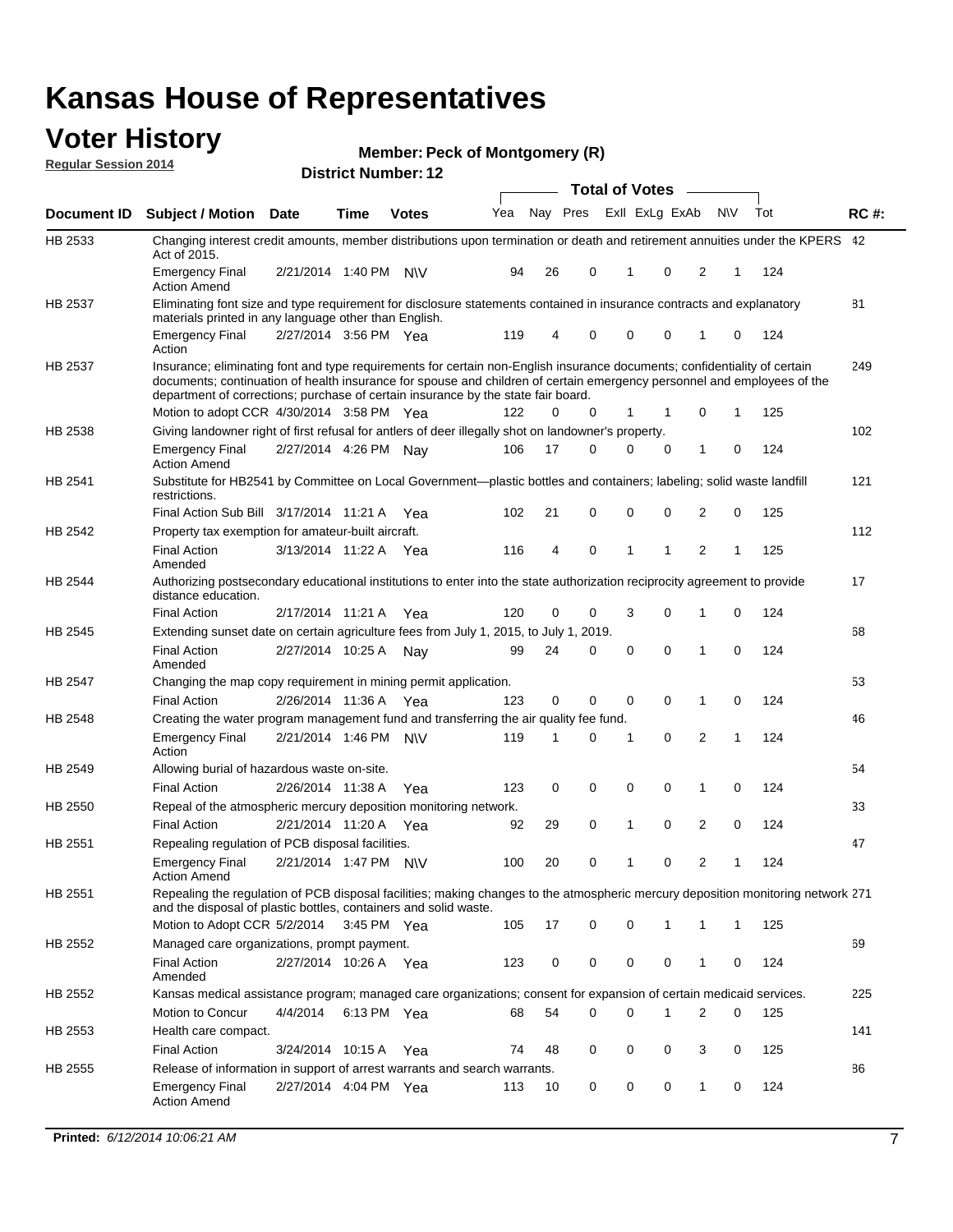#### **Voter History Regular Session 2014**

|  |  | <b>Member: Peck of Montgomery (R)</b> |  |
|--|--|---------------------------------------|--|
|--|--|---------------------------------------|--|

|                |                                                                                                                                                                                                                                                                                                                                                     |                       | ul Ituliiwu . |              |     |    |          | <b>Total of Votes</b> |          |              |   |     |             |
|----------------|-----------------------------------------------------------------------------------------------------------------------------------------------------------------------------------------------------------------------------------------------------------------------------------------------------------------------------------------------------|-----------------------|---------------|--------------|-----|----|----------|-----------------------|----------|--------------|---|-----|-------------|
| Document ID    | <b>Subject / Motion Date</b>                                                                                                                                                                                                                                                                                                                        |                       | <b>Time</b>   | <b>Votes</b> | Yea |    | Nay Pres | Exll ExLg ExAb        |          | <b>NV</b>    |   | Tot | <b>RC#:</b> |
| HB 2533        | Changing interest credit amounts, member distributions upon termination or death and retirement annuities under the KPERS 42<br>Act of 2015.                                                                                                                                                                                                        |                       |               |              |     |    |          |                       |          |              |   |     |             |
|                | <b>Emergency Final</b><br><b>Action Amend</b>                                                                                                                                                                                                                                                                                                       | 2/21/2014 1:40 PM N\V |               |              | 94  | 26 | 0        | 1                     | 0        | 2            | 1 | 124 |             |
| HB 2537        | Eliminating font size and type requirement for disclosure statements contained in insurance contracts and explanatory                                                                                                                                                                                                                               |                       |               |              |     |    |          |                       |          |              |   |     | 81          |
|                | materials printed in any language other than English.<br>Emergency Final                                                                                                                                                                                                                                                                            | 2/27/2014 3:56 PM Yea |               |              | 119 | 4  | 0        | $\mathbf 0$           | 0        | 1            | 0 | 124 |             |
| HB 2537        | Action<br>Insurance; eliminating font and type requirements for certain non-English insurance documents; confidentiality of certain<br>documents; continuation of health insurance for spouse and children of certain emergency personnel and employees of the<br>department of corrections; purchase of certain insurance by the state fair board. |                       |               |              |     |    |          |                       |          |              |   |     | 249         |
|                | Motion to adopt CCR 4/30/2014 3:58 PM Yea                                                                                                                                                                                                                                                                                                           |                       |               |              | 122 | 0  | 0        | 1                     | 1        | 0            | 1 | 125 |             |
| HB 2538        | Giving landowner right of first refusal for antlers of deer illegally shot on landowner's property.                                                                                                                                                                                                                                                 |                       |               |              |     |    |          |                       |          |              |   |     | 102         |
|                | Emergency Final<br><b>Action Amend</b>                                                                                                                                                                                                                                                                                                              | 2/27/2014 4:26 PM Nay |               |              | 106 | 17 | 0        | 0                     | 0        | 1            | 0 | 124 |             |
| HB 2541        | Substitute for HB2541 by Committee on Local Government—plastic bottles and containers; labeling; solid waste landfill<br>restrictions.                                                                                                                                                                                                              |                       |               |              |     |    |          |                       |          |              |   |     | 121         |
|                | Final Action Sub Bill 3/17/2014 11:21 A                                                                                                                                                                                                                                                                                                             |                       |               | Yea          | 102 | 21 | 0        | $\mathbf 0$           | 0        | 2            | 0 | 125 |             |
| HB 2542        | Property tax exemption for amateur-built aircraft.<br><b>Final Action</b><br>Amended                                                                                                                                                                                                                                                                | 3/13/2014 11:22 A Yea |               |              | 116 | 4  | 0        | 1                     | 1        | 2            | 1 | 125 | 112         |
| <b>HB 2544</b> | Authorizing postsecondary educational institutions to enter into the state authorization reciprocity agreement to provide<br>distance education.                                                                                                                                                                                                    |                       |               |              |     |    |          |                       |          |              |   |     | 17          |
|                | <b>Final Action</b>                                                                                                                                                                                                                                                                                                                                 | 2/17/2014 11:21 A     |               | Yea          | 120 | 0  | 0        | 3                     | 0        | 1            | 0 | 124 |             |
| HB 2545        | Extending sunset date on certain agriculture fees from July 1, 2015, to July 1, 2019.                                                                                                                                                                                                                                                               |                       |               |              |     |    |          |                       |          |              |   |     | 68          |
|                | <b>Final Action</b><br>Amended                                                                                                                                                                                                                                                                                                                      | 2/27/2014 10:25 A     |               | Nay          | 99  | 24 | 0        | $\mathbf 0$           | $\Omega$ | 1            | 0 | 124 |             |
| HB 2547        | Changing the map copy requirement in mining permit application.                                                                                                                                                                                                                                                                                     |                       |               |              |     |    |          |                       |          |              |   |     | 53          |
|                | <b>Final Action</b>                                                                                                                                                                                                                                                                                                                                 | 2/26/2014 11:36 A     |               | Yea          | 123 | 0  | 0        | $\mathbf 0$           | 0        | 1            | 0 | 124 |             |
| HB 2548        | Creating the water program management fund and transferring the air quality fee fund.                                                                                                                                                                                                                                                               |                       |               |              |     |    |          |                       |          |              |   |     | 46          |
|                | Emergency Final<br>Action                                                                                                                                                                                                                                                                                                                           | 2/21/2014 1:46 PM N\V |               |              | 119 | 1  | 0        | 1                     | 0        | 2            | 1 | 124 |             |
| HB 2549        | Allowing burial of hazardous waste on-site.                                                                                                                                                                                                                                                                                                         |                       |               |              |     |    |          |                       |          |              |   |     | 54          |
|                | <b>Final Action</b>                                                                                                                                                                                                                                                                                                                                 | 2/26/2014 11:38 A     |               | Yea          | 123 | 0  | 0        | 0                     | 0        | 1            | 0 | 124 |             |
| HB 2550        | Repeal of the atmospheric mercury deposition monitoring network.                                                                                                                                                                                                                                                                                    |                       |               |              |     |    |          |                       |          |              |   |     | 33          |
|                | <b>Final Action</b>                                                                                                                                                                                                                                                                                                                                 | 2/21/2014 11:20 A     |               | Yea          | 92  | 29 | 0        | 1                     | 0        | 2            | 0 | 124 |             |
| HB 2551        | Repealing regulation of PCB disposal facilities.                                                                                                                                                                                                                                                                                                    |                       |               |              |     |    |          |                       |          |              |   |     | 47          |
|                | <b>Emergency Final</b><br>Action Amend                                                                                                                                                                                                                                                                                                              | 2/21/2014 1:47 PM N\V |               |              | 100 | 20 | 0        | 1                     | 0        | 2            | 1 | 124 |             |
| HB 2551        | Repealing the regulation of PCB disposal facilities; making changes to the atmospheric mercury deposition monitoring network 271<br>and the disposal of plastic bottles, containers and solid waste.                                                                                                                                                |                       |               |              |     |    |          |                       |          |              |   |     |             |
|                | Motion to Adopt CCR 5/2/2014 3:45 PM Yea                                                                                                                                                                                                                                                                                                            |                       |               |              | 105 | 17 | 0        | $\mathbf 0$           | 1        | 1            | 1 | 125 |             |
| HB 2552        | Managed care organizations, prompt payment.                                                                                                                                                                                                                                                                                                         |                       |               |              |     |    |          |                       |          |              |   |     | 69          |
|                | <b>Final Action</b><br>Amended                                                                                                                                                                                                                                                                                                                      | 2/27/2014 10:26 A Yea |               |              | 123 | 0  | 0        | 0                     | 0        | 1            | 0 | 124 |             |
| HB 2552        | Kansas medical assistance program; managed care organizations; consent for expansion of certain medicaid services.                                                                                                                                                                                                                                  |                       |               |              |     |    |          |                       |          |              |   |     | 225         |
|                | Motion to Concur                                                                                                                                                                                                                                                                                                                                    | 4/4/2014              | 6:13 PM Yea   |              | 68  | 54 | 0        | $\mathbf 0$           | 1        | 2            | 0 | 125 |             |
| HB 2553        | Health care compact.                                                                                                                                                                                                                                                                                                                                |                       |               |              |     |    |          |                       |          |              |   |     | 141         |
|                | <b>Final Action</b>                                                                                                                                                                                                                                                                                                                                 | 3/24/2014 10:15 A     |               | Yea          | 74  | 48 | 0        | 0                     | 0        | 3            | 0 | 125 |             |
| HB 2555        | Release of information in support of arrest warrants and search warrants.                                                                                                                                                                                                                                                                           |                       |               |              |     |    |          |                       |          |              |   |     | 86          |
|                | <b>Emergency Final</b><br><b>Action Amend</b>                                                                                                                                                                                                                                                                                                       | 2/27/2014 4:04 PM Yea |               |              | 113 | 10 | 0        | 0                     | 0        | $\mathbf{1}$ | 0 | 124 |             |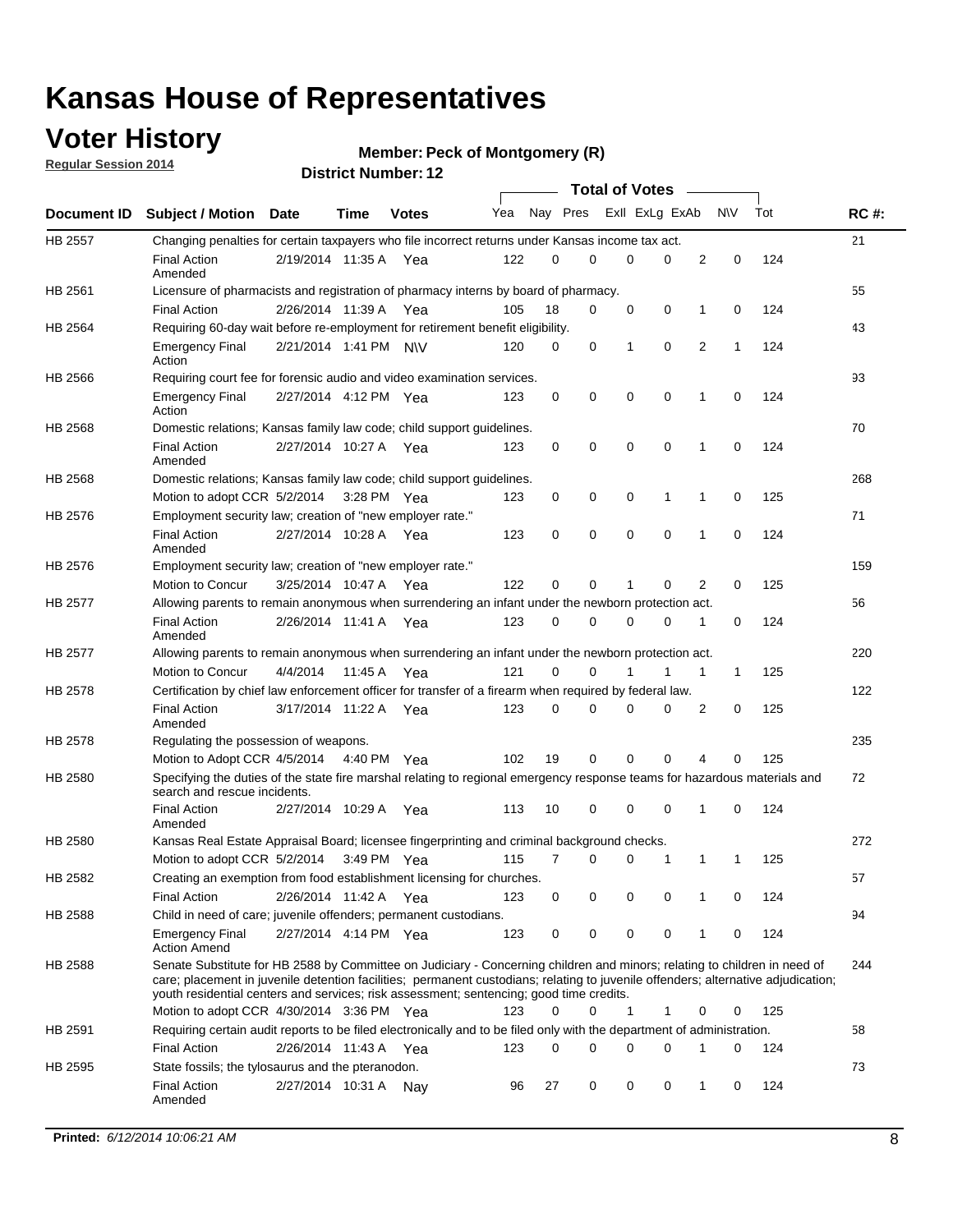### **Voter History**

**Regular Session 2014**

#### **Member: Peck of Montgomery (R)**

|         |                                                                                                                                                                                                                                                                                                                                                           | <b>Total of Votes</b> |         |              |     |          |          |                |             |              |             |     |             |
|---------|-----------------------------------------------------------------------------------------------------------------------------------------------------------------------------------------------------------------------------------------------------------------------------------------------------------------------------------------------------------|-----------------------|---------|--------------|-----|----------|----------|----------------|-------------|--------------|-------------|-----|-------------|
|         | Document ID Subject / Motion Date                                                                                                                                                                                                                                                                                                                         |                       | Time    | <b>Votes</b> | Yea | Nay Pres |          | Exll ExLg ExAb |             |              | N\V         | Tot | <b>RC#:</b> |
| HB 2557 | Changing penalties for certain taxpayers who file incorrect returns under Kansas income tax act.                                                                                                                                                                                                                                                          |                       |         |              |     |          |          |                |             |              |             |     | 21          |
|         | <b>Final Action</b><br>Amended                                                                                                                                                                                                                                                                                                                            | 2/19/2014 11:35 A     |         | Yea          | 122 | 0        | 0        | 0              | 0           | 2            | $\mathbf 0$ | 124 |             |
| HB 2561 | Licensure of pharmacists and registration of pharmacy interns by board of pharmacy.                                                                                                                                                                                                                                                                       |                       |         |              |     |          |          |                |             |              |             |     | 55          |
|         | <b>Final Action</b>                                                                                                                                                                                                                                                                                                                                       | 2/26/2014 11:39 A Yea |         |              | 105 | 18       | 0        | 0              | 0           | 1            | 0           | 124 |             |
| HB 2564 | Requiring 60-day wait before re-employment for retirement benefit eligibility.                                                                                                                                                                                                                                                                            |                       |         |              |     |          |          |                |             |              |             |     | 43          |
|         | <b>Emergency Final</b><br>Action                                                                                                                                                                                                                                                                                                                          | 2/21/2014 1:41 PM N\V |         |              | 120 | 0        | 0        | 1              | 0           | 2            | 1           | 124 |             |
| HB 2566 | Requiring court fee for forensic audio and video examination services.                                                                                                                                                                                                                                                                                    |                       |         |              |     |          |          |                |             |              |             |     | 93          |
|         | <b>Emergency Final</b><br>Action                                                                                                                                                                                                                                                                                                                          | 2/27/2014 4:12 PM Yea |         |              | 123 | 0        | 0        | $\mathbf 0$    | $\mathbf 0$ | $\mathbf{1}$ | 0           | 124 |             |
| HB 2568 | Domestic relations; Kansas family law code; child support guidelines.                                                                                                                                                                                                                                                                                     |                       |         |              |     |          |          |                |             |              |             |     | 70          |
|         | <b>Final Action</b><br>Amended                                                                                                                                                                                                                                                                                                                            | 2/27/2014 10:27 A     |         | Yea          | 123 | 0        | 0        | 0              | $\mathbf 0$ | 1            | 0           | 124 |             |
| HB 2568 | Domestic relations; Kansas family law code; child support guidelines.                                                                                                                                                                                                                                                                                     |                       |         |              |     |          |          |                |             |              |             |     | 268         |
|         | Motion to adopt CCR 5/2/2014                                                                                                                                                                                                                                                                                                                              |                       |         | 3:28 PM Yea  | 123 | 0        | 0        | 0              | 1           | 1            | 0           | 125 |             |
| HB 2576 | Employment security law; creation of "new employer rate."                                                                                                                                                                                                                                                                                                 |                       |         |              |     |          |          |                |             |              |             |     | 71          |
|         | <b>Final Action</b><br>Amended                                                                                                                                                                                                                                                                                                                            | 2/27/2014 10:28 A     |         | Yea          | 123 | 0        | 0        | 0              | $\mathbf 0$ | 1            | 0           | 124 |             |
| HB 2576 | Employment security law; creation of "new employer rate."                                                                                                                                                                                                                                                                                                 |                       |         |              |     |          |          |                |             |              |             |     | 159         |
|         | Motion to Concur                                                                                                                                                                                                                                                                                                                                          | 3/25/2014 10:47 A     |         | Yea          | 122 | 0        | 0        | 1              | 0           | 2            | 0           | 125 |             |
| HB 2577 | Allowing parents to remain anonymous when surrendering an infant under the newborn protection act.                                                                                                                                                                                                                                                        |                       |         |              |     |          |          |                |             |              |             |     | 56          |
|         | <b>Final Action</b><br>Amended                                                                                                                                                                                                                                                                                                                            | 2/26/2014 11:41 A Yea |         |              | 123 | 0        | $\Omega$ | 0              | 0           | 1            | 0           | 124 |             |
| HB 2577 | Allowing parents to remain anonymous when surrendering an infant under the newborn protection act.                                                                                                                                                                                                                                                        |                       |         |              |     |          |          |                |             |              |             |     | 220         |
|         | Motion to Concur                                                                                                                                                                                                                                                                                                                                          | 4/4/2014              | 11:45 A | Yea          | 121 | 0        | 0        |                | 1           | 1            | $\mathbf 1$ | 125 |             |
| HB 2578 | Certification by chief law enforcement officer for transfer of a firearm when required by federal law.                                                                                                                                                                                                                                                    |                       |         |              |     |          |          |                |             |              |             |     | 122         |
|         | <b>Final Action</b><br>Amended                                                                                                                                                                                                                                                                                                                            | 3/17/2014 11:22 A     |         | Yea          | 123 | 0        | 0        | $\Omega$       | $\Omega$    | 2            | 0           | 125 |             |
| HB 2578 | Regulating the possession of weapons.                                                                                                                                                                                                                                                                                                                     |                       |         |              |     |          |          |                |             |              |             |     | 235         |
|         | Motion to Adopt CCR 4/5/2014 4:40 PM Yea                                                                                                                                                                                                                                                                                                                  |                       |         |              | 102 | 19       | 0        | 0              | 0           | 4            | 0           | 125 |             |
| HB 2580 | Specifying the duties of the state fire marshal relating to regional emergency response teams for hazardous materials and<br>search and rescue incidents.                                                                                                                                                                                                 |                       |         |              |     |          |          |                |             |              |             |     | 72          |
|         | <b>Final Action</b><br>Amended                                                                                                                                                                                                                                                                                                                            | 2/27/2014 10:29 A     |         | Yea          | 113 | 10       | 0        | $\mathbf 0$    | $\mathbf 0$ | 1            | 0           | 124 |             |
| HB 2580 | Kansas Real Estate Appraisal Board; licensee fingerprinting and criminal background checks.                                                                                                                                                                                                                                                               |                       |         |              |     |          |          |                |             |              |             |     | 272         |
|         | Motion to adopt CCR 5/2/2014                                                                                                                                                                                                                                                                                                                              |                       |         | 3:49 PM Yea  | 115 | 7        | 0        | 0              | 1           | 1            | 1           | 125 |             |
| HB 2582 | Creating an exemption from food establishment licensing for churches.                                                                                                                                                                                                                                                                                     |                       |         |              |     |          |          |                |             |              |             |     | 57          |
|         | <b>Final Action</b>                                                                                                                                                                                                                                                                                                                                       | 2/26/2014 11:42 A Yea |         |              | 123 | 0        | 0        | 0              | 0           |              | 0           | 124 |             |
| HB 2588 | Child in need of care; juvenile offenders; permanent custodians.                                                                                                                                                                                                                                                                                          |                       |         |              |     |          |          |                |             |              |             |     | 94          |
|         | <b>Emergency Final</b><br><b>Action Amend</b>                                                                                                                                                                                                                                                                                                             | 2/27/2014 4:14 PM Yea |         |              | 123 | 0        | 0        | 0              | 0           | 1            | 0           | 124 |             |
| HB 2588 | Senate Substitute for HB 2588 by Committee on Judiciary - Concerning children and minors; relating to children in need of<br>care; placement in juvenile detention facilities; permanent custodians; relating to juvenile offenders; alternative adjudication;<br>youth residential centers and services; risk assessment; sentencing; good time credits. |                       |         |              |     |          |          |                |             |              |             |     | 244         |
|         | Motion to adopt CCR 4/30/2014 3:36 PM Yea                                                                                                                                                                                                                                                                                                                 |                       |         |              | 123 | 0        | 0        | 1              | 1           | 0            | 0           | 125 |             |
| HB 2591 | Requiring certain audit reports to be filed electronically and to be filed only with the department of administration.                                                                                                                                                                                                                                    |                       |         |              |     |          |          |                |             |              |             |     | 58          |
|         | <b>Final Action</b>                                                                                                                                                                                                                                                                                                                                       | 2/26/2014 11:43 A Yea |         |              | 123 | 0        | 0        | 0              | 0           | 1            | 0           | 124 |             |
| HB 2595 | State fossils; the tylosaurus and the pteranodon.                                                                                                                                                                                                                                                                                                         |                       |         |              |     |          |          |                |             |              |             |     | 73          |
|         | <b>Final Action</b><br>Amended                                                                                                                                                                                                                                                                                                                            | 2/27/2014 10:31 A Nay |         |              | 96  | 27       | 0        | 0              | 0           | 1            | 0           | 124 |             |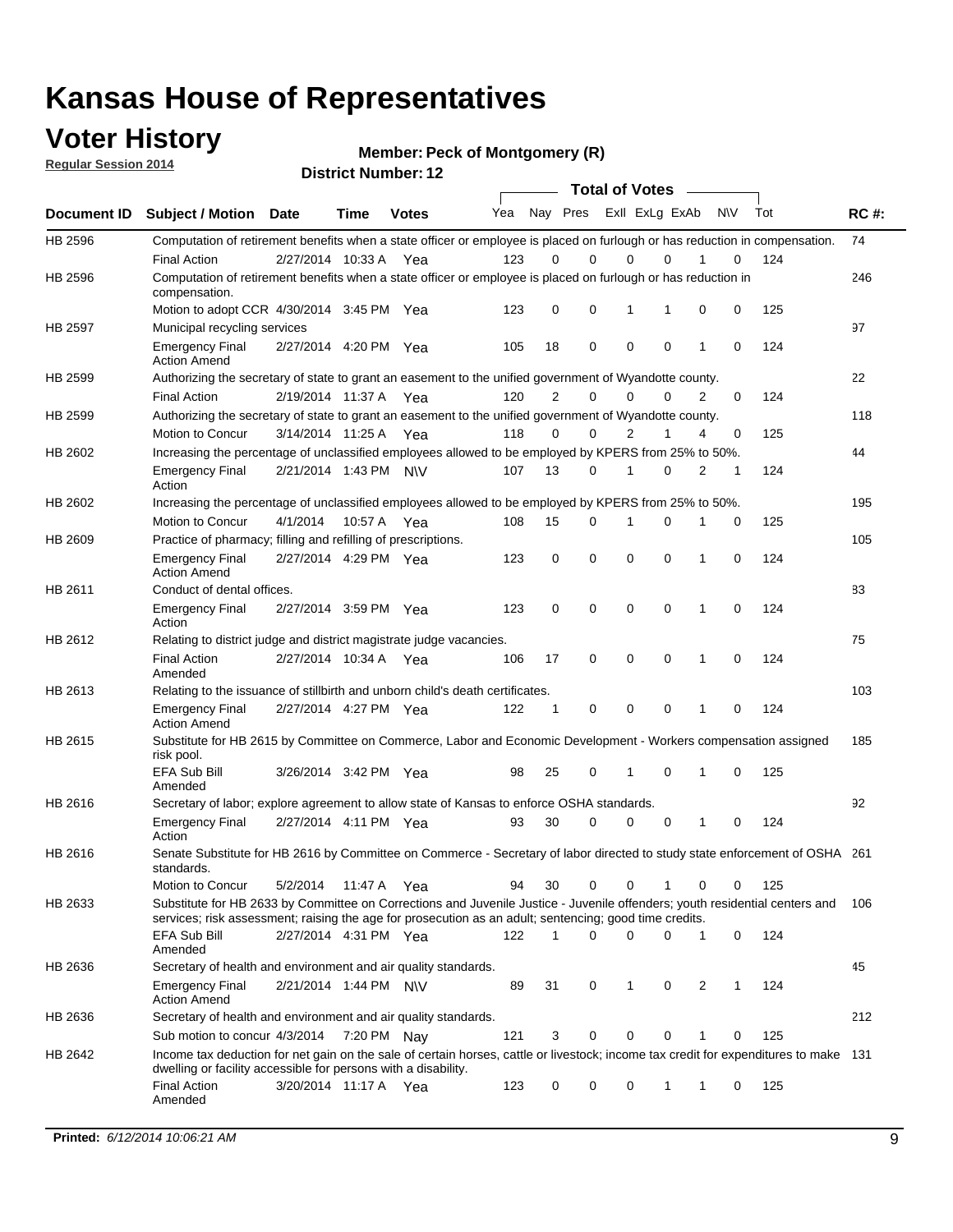### **Voter History**

**Regular Session 2014**

**Member: Peck of Montgomery (R)** 

|                    |                                                                                                                                                                                                                                       |                       |             | DISTICI NUITIDEL IZ |     |                |             | <b>Total of Votes</b> |             |                |              |           |     |             |
|--------------------|---------------------------------------------------------------------------------------------------------------------------------------------------------------------------------------------------------------------------------------|-----------------------|-------------|---------------------|-----|----------------|-------------|-----------------------|-------------|----------------|--------------|-----------|-----|-------------|
| <b>Document ID</b> | <b>Subject / Motion</b>                                                                                                                                                                                                               | <b>Date</b>           | Time        | <b>Votes</b>        | Yea |                | Nay Pres    |                       |             | Exll ExLg ExAb |              | <b>NV</b> | Tot | <b>RC#:</b> |
| HB 2596            | Computation of retirement benefits when a state officer or employee is placed on furlough or has reduction in compensation.                                                                                                           |                       |             |                     |     |                |             |                       |             |                |              |           |     | 74          |
|                    | <b>Final Action</b>                                                                                                                                                                                                                   | 2/27/2014 10:33 A     |             | Yea                 | 123 | 0              | 0           |                       | 0           | $\Omega$       |              | 0         | 124 |             |
| HB 2596            | Computation of retirement benefits when a state officer or employee is placed on furlough or has reduction in<br>compensation.                                                                                                        |                       |             |                     |     |                |             |                       |             |                |              |           |     | 246         |
|                    | Motion to adopt CCR 4/30/2014 3:45 PM Yea                                                                                                                                                                                             |                       |             |                     | 123 | 0              | 0           |                       | 1           | 1              | 0            | 0         | 125 |             |
| HB 2597            | Municipal recycling services                                                                                                                                                                                                          |                       |             |                     |     |                |             |                       |             |                |              |           |     | 97          |
|                    | <b>Emergency Final</b><br><b>Action Amend</b>                                                                                                                                                                                         | 2/27/2014 4:20 PM Yea |             |                     | 105 | 18             | $\mathbf 0$ |                       | $\mathbf 0$ | 0              | 1            | 0         | 124 |             |
| HB 2599            | Authorizing the secretary of state to grant an easement to the unified government of Wyandotte county.                                                                                                                                |                       |             |                     |     |                |             |                       |             |                |              |           |     | 22          |
|                    | <b>Final Action</b>                                                                                                                                                                                                                   | 2/19/2014 11:37 A     |             | Yea                 | 120 | $\overline{2}$ | 0           |                       | $\mathbf 0$ | $\Omega$       | 2            | 0         | 124 |             |
| HB 2599            | Authorizing the secretary of state to grant an easement to the unified government of Wyandotte county.                                                                                                                                |                       |             |                     |     |                |             |                       |             |                |              |           |     | 118         |
|                    | Motion to Concur                                                                                                                                                                                                                      | 3/14/2014 11:25 A Yea |             |                     | 118 | $\Omega$       | 0           |                       | 2           | 1              | 4            | 0         | 125 |             |
| HB 2602            | Increasing the percentage of unclassified employees allowed to be employed by KPERS from 25% to 50%.                                                                                                                                  |                       |             |                     |     |                |             |                       |             |                |              |           |     | 44          |
|                    | <b>Emergency Final</b><br>Action                                                                                                                                                                                                      | 2/21/2014 1:43 PM N\V |             |                     | 107 | 13             | 0           |                       | 1           | $\Omega$       | 2            | 1         | 124 |             |
| HB 2602            | Increasing the percentage of unclassified employees allowed to be employed by KPERS from 25% to 50%.                                                                                                                                  |                       |             |                     |     |                |             |                       |             |                |              |           |     | 195         |
|                    | Motion to Concur                                                                                                                                                                                                                      | 4/1/2014              | 10:57 A Yea |                     | 108 | 15             | 0           |                       | 1           | 0              | 1            | 0         | 125 |             |
| HB 2609            | Practice of pharmacy; filling and refilling of prescriptions.                                                                                                                                                                         |                       |             |                     |     |                |             |                       |             |                |              |           |     | 105         |
|                    | <b>Emergency Final</b><br><b>Action Amend</b>                                                                                                                                                                                         | 2/27/2014 4:29 PM Yea |             |                     | 123 | 0              | $\mathbf 0$ |                       | $\mathbf 0$ | 0              | 1            | 0         | 124 |             |
| HB 2611            | Conduct of dental offices.                                                                                                                                                                                                            |                       |             |                     |     |                |             |                       |             |                |              |           |     | 83          |
|                    | <b>Emergency Final</b><br>Action                                                                                                                                                                                                      | 2/27/2014 3:59 PM Yea |             |                     | 123 | $\mathbf 0$    | $\mathbf 0$ |                       | $\mathbf 0$ | 0              | $\mathbf{1}$ | 0         | 124 |             |
| HB 2612            | Relating to district judge and district magistrate judge vacancies.                                                                                                                                                                   |                       |             |                     |     |                |             |                       |             |                |              |           |     | 75          |
|                    | <b>Final Action</b><br>Amended                                                                                                                                                                                                        | 2/27/2014 10:34 A     |             | Yea                 | 106 | 17             | 0           |                       | $\mathbf 0$ | 0              | 1            | 0         | 124 |             |
| HB 2613            | Relating to the issuance of stillbirth and unborn child's death certificates.                                                                                                                                                         |                       |             |                     |     |                |             |                       |             |                |              |           |     | 103         |
|                    | <b>Emergency Final</b><br><b>Action Amend</b>                                                                                                                                                                                         | 2/27/2014 4:27 PM Yea |             |                     | 122 | 1              | 0           |                       | $\mathbf 0$ | 0              | $\mathbf{1}$ | 0         | 124 |             |
| HB 2615            | Substitute for HB 2615 by Committee on Commerce, Labor and Economic Development - Workers compensation assigned<br>risk pool.                                                                                                         |                       |             |                     |     |                |             |                       |             |                |              |           |     | 185         |
|                    | <b>EFA Sub Bill</b><br>Amended                                                                                                                                                                                                        | 3/26/2014 3:42 PM Yea |             |                     | 98  | 25             | 0           |                       | 1           | 0              | 1            | 0         | 125 |             |
| HB 2616            | Secretary of labor; explore agreement to allow state of Kansas to enforce OSHA standards.                                                                                                                                             |                       |             |                     |     |                |             |                       |             |                |              |           |     | 92          |
|                    | <b>Emergency Final</b><br>Action                                                                                                                                                                                                      | 2/27/2014 4:11 PM Yea |             |                     | 93  | 30             | 0           |                       | 0           | 0              | 1            | 0         | 124 |             |
| HB 2616            | Senate Substitute for HB 2616 by Committee on Commerce - Secretary of labor directed to study state enforcement of OSHA 261<br>standards.                                                                                             |                       |             |                     |     |                |             |                       |             |                |              |           |     |             |
|                    | Motion to Concur                                                                                                                                                                                                                      | 5/2/2014              | 11:47 A Yea |                     | 94  | 30             | 0           |                       | 0           |                | 0            | 0         | 125 |             |
| HB 2633            | Substitute for HB 2633 by Committee on Corrections and Juvenile Justice - Juvenile offenders; youth residential centers and<br>services; risk assessment; raising the age for prosecution as an adult; sentencing; good time credits. |                       |             |                     |     |                |             |                       |             |                |              |           |     | 106         |
|                    | <b>EFA Sub Bill</b><br>Amended                                                                                                                                                                                                        | 2/27/2014 4:31 PM Yea |             |                     | 122 | 1              | $\Omega$    |                       | $\Omega$    | 0              | $\mathbf{1}$ | 0         | 124 |             |
| HB 2636            | Secretary of health and environment and air quality standards.                                                                                                                                                                        |                       |             |                     |     |                |             |                       |             |                |              |           |     | 45          |
|                    | <b>Emergency Final</b><br><b>Action Amend</b>                                                                                                                                                                                         | 2/21/2014 1:44 PM N\V |             |                     | 89  | 31             | 0           |                       | 1           | 0              | 2            | 1         | 124 |             |
| HB 2636            | Secretary of health and environment and air quality standards.                                                                                                                                                                        |                       |             |                     |     |                |             |                       |             |                |              |           |     | 212         |
|                    | Sub motion to concur 4/3/2014 7:20 PM Nav                                                                                                                                                                                             |                       |             |                     | 121 | 3              | 0           |                       | 0           | 0              |              | 0         | 125 |             |
| HB 2642            | Income tax deduction for net gain on the sale of certain horses, cattle or livestock; income tax credit for expenditures to make 131<br>dwelling or facility accessible for persons with a disability.                                |                       |             |                     |     |                |             |                       |             |                |              |           |     |             |
|                    | <b>Final Action</b><br>Amended                                                                                                                                                                                                        | 3/20/2014 11:17 A Yea |             |                     | 123 | 0              | 0           |                       | 0           | 1              | 1            | 0         | 125 |             |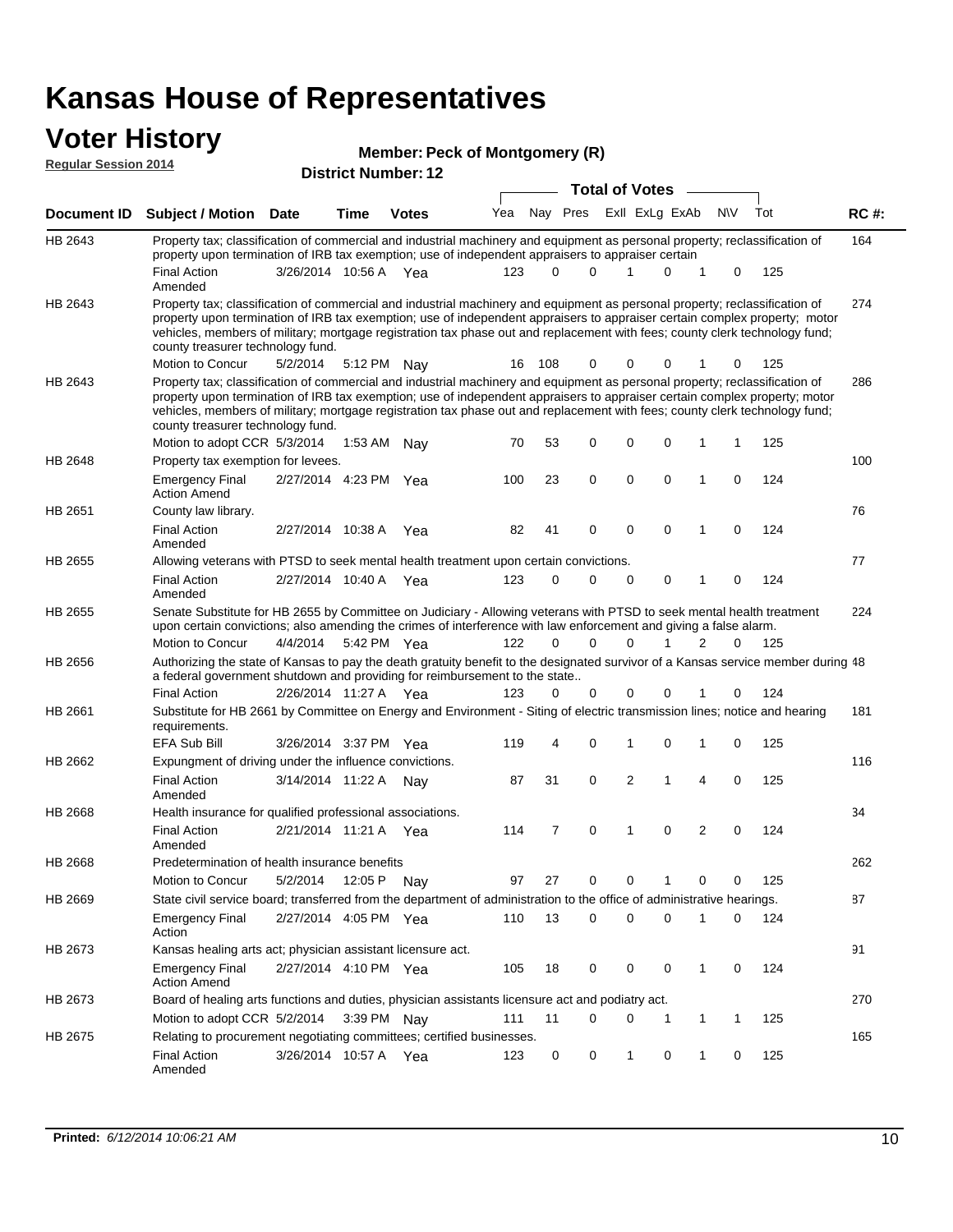# **Voter History**<br> **Regular Session 2014**

|                             | ULUI THULUI Y                                                                                                                                                                                                                                                                                                                                                                                                                 |                       |      | Member: Peck of Montgomery (R) |     |           |                            |                       |             |              |             |     |             |
|-----------------------------|-------------------------------------------------------------------------------------------------------------------------------------------------------------------------------------------------------------------------------------------------------------------------------------------------------------------------------------------------------------------------------------------------------------------------------|-----------------------|------|--------------------------------|-----|-----------|----------------------------|-----------------------|-------------|--------------|-------------|-----|-------------|
| <b>Regular Session 2014</b> |                                                                                                                                                                                                                                                                                                                                                                                                                               |                       |      | <b>District Number: 12</b>     |     |           |                            |                       |             |              |             |     |             |
|                             |                                                                                                                                                                                                                                                                                                                                                                                                                               |                       |      |                                |     |           |                            | <b>Total of Votes</b> |             |              |             |     |             |
| Document ID                 | <b>Subject / Motion Date</b>                                                                                                                                                                                                                                                                                                                                                                                                  |                       | Time | <b>Votes</b>                   | Yea |           | Nay Pres                   | Exll ExLg ExAb        |             |              | <b>NV</b>   | Tot | <b>RC#:</b> |
| HB 2643                     | Property tax; classification of commercial and industrial machinery and equipment as personal property; reclassification of<br>property upon termination of IRB tax exemption; use of independent appraisers to appraiser certain                                                                                                                                                                                             |                       |      |                                |     |           |                            |                       |             |              |             |     | 164         |
|                             | <b>Final Action</b><br>Amended                                                                                                                                                                                                                                                                                                                                                                                                | 3/26/2014 10:56 A Yea |      |                                | 123 |           | $\Omega$<br>$\Omega$       | 1                     | 0           | 1            | 0           | 125 |             |
| HB 2643                     | Property tax; classification of commercial and industrial machinery and equipment as personal property; reclassification of<br>property upon termination of IRB tax exemption; use of independent appraisers to appraiser certain complex property; motor<br>vehicles, members of military; mortgage registration tax phase out and replacement with fees; county clerk technology fund;<br>county treasurer technology fund. |                       |      |                                |     |           |                            |                       |             |              |             |     | 274         |
|                             | Motion to Concur                                                                                                                                                                                                                                                                                                                                                                                                              | 5/2/2014              |      | 5:12 PM Nay                    |     | 108<br>16 | 0                          |                       | 0           |              | 0           | 125 |             |
| HB 2643                     | Property tax; classification of commercial and industrial machinery and equipment as personal property; reclassification of<br>property upon termination of IRB tax exemption; use of independent appraisers to appraiser certain complex property; motor<br>vehicles, members of military; mortgage registration tax phase out and replacement with fees; county clerk technology fund;<br>county treasurer technology fund. |                       |      |                                |     |           |                            |                       |             |              |             |     | 286         |
|                             | Motion to adopt CCR 5/3/2014                                                                                                                                                                                                                                                                                                                                                                                                  |                       |      | 1:53 AM Nay                    |     | 70<br>53  | 0                          | 0                     | 0           | 1            | 1           | 125 |             |
| HB 2648                     | Property tax exemption for levees.                                                                                                                                                                                                                                                                                                                                                                                            |                       |      |                                |     |           |                            |                       |             |              |             |     | 100         |
|                             | <b>Emergency Final</b><br><b>Action Amend</b>                                                                                                                                                                                                                                                                                                                                                                                 | 2/27/2014 4:23 PM Yea |      |                                | 100 | 23        | 0                          | 0                     | 0           | 1            | $\mathbf 0$ | 124 |             |
| HB 2651                     | County law library.                                                                                                                                                                                                                                                                                                                                                                                                           |                       |      |                                |     |           |                            |                       |             |              |             |     | 76          |
|                             | <b>Final Action</b><br>Amended                                                                                                                                                                                                                                                                                                                                                                                                | 2/27/2014 10:38 A     |      | Yea                            |     | 82<br>41  | 0                          | 0                     | $\mathbf 0$ | 1            | 0           | 124 |             |
| HB 2655                     | Allowing veterans with PTSD to seek mental health treatment upon certain convictions.                                                                                                                                                                                                                                                                                                                                         |                       |      |                                |     |           |                            |                       |             |              |             |     | 77          |
|                             | <b>Final Action</b><br>Amended                                                                                                                                                                                                                                                                                                                                                                                                | 2/27/2014 10:40 A Yea |      |                                | 123 |           | $\mathbf 0$<br>$\mathbf 0$ | 0                     | 0           | 1            | $\mathbf 0$ | 124 |             |
| HB 2655                     | Senate Substitute for HB 2655 by Committee on Judiciary - Allowing veterans with PTSD to seek mental health treatment<br>upon certain convictions; also amending the crimes of interference with law enforcement and giving a false alarm.                                                                                                                                                                                    |                       |      |                                |     |           |                            |                       |             |              |             |     | 224         |
|                             | Motion to Concur                                                                                                                                                                                                                                                                                                                                                                                                              | 4/4/2014              |      | 5:42 PM Yea                    | 122 |           | 0<br>$\Omega$              | $\Omega$              | 1           | 2            | 0           | 125 |             |
| HB 2656                     | Authorizing the state of Kansas to pay the death gratuity benefit to the designated survivor of a Kansas service member during 48<br>a federal government shutdown and providing for reimbursement to the state                                                                                                                                                                                                               |                       |      |                                |     |           |                            |                       |             |              |             |     |             |
|                             | <b>Final Action</b>                                                                                                                                                                                                                                                                                                                                                                                                           | 2/26/2014 11:27 A Yea |      |                                | 123 |           | 0<br>0                     | 0                     | 0           | 1            | 0           | 124 |             |
| HB 2661                     | Substitute for HB 2661 by Committee on Energy and Environment - Siting of electric transmission lines; notice and hearing<br>requirements.                                                                                                                                                                                                                                                                                    |                       |      |                                |     |           |                            |                       |             |              |             |     | 181         |
|                             | <b>EFA Sub Bill</b>                                                                                                                                                                                                                                                                                                                                                                                                           | 3/26/2014 3:37 PM Yea |      |                                | 119 |           | 0<br>4                     |                       | 0           | 1            | 0           | 125 |             |
| HB 2662                     | Expungment of driving under the influence convictions.                                                                                                                                                                                                                                                                                                                                                                        |                       |      |                                |     |           |                            |                       |             |              |             |     | 116         |
|                             | <b>Final Action</b><br>Amended                                                                                                                                                                                                                                                                                                                                                                                                | 3/14/2014 11:22 A     |      | Nav                            |     | 31<br>87  | $\mathbf 0$                | $\overline{2}$        | 1           | 4            | $\mathbf 0$ | 125 |             |
| HB 2668                     | Health insurance for qualified professional associations.                                                                                                                                                                                                                                                                                                                                                                     |                       |      |                                |     |           |                            |                       |             |              |             |     | 34          |
|                             | <b>Final Action</b><br>Amended                                                                                                                                                                                                                                                                                                                                                                                                | 2/21/2014 11:21 A Yea |      |                                | 114 |           | $\overline{7}$<br>0        | 1                     | 0           | 2            | 0           | 124 |             |
| HB 2668                     | Predetermination of health insurance benefits                                                                                                                                                                                                                                                                                                                                                                                 |                       |      |                                |     |           |                            |                       |             |              |             |     | 262         |
|                             | Motion to Concur                                                                                                                                                                                                                                                                                                                                                                                                              | 5/2/2014              |      | 12:05 P Nay                    |     | 97<br>27  | 0                          | 0                     | 1           | 0            | 0           | 125 |             |
| HB 2669                     | State civil service board; transferred from the department of administration to the office of administrative hearings.                                                                                                                                                                                                                                                                                                        |                       |      |                                |     |           |                            |                       |             |              |             |     | 87          |
|                             | <b>Emergency Final</b><br>Action                                                                                                                                                                                                                                                                                                                                                                                              | 2/27/2014 4:05 PM Yea |      |                                | 110 | 13        | 0                          | 0                     | $\mathbf 0$ | 1            | 0           | 124 |             |
| HB 2673                     | Kansas healing arts act; physician assistant licensure act.                                                                                                                                                                                                                                                                                                                                                                   |                       |      |                                |     |           |                            |                       |             |              |             |     | 91          |
|                             | <b>Emergency Final</b><br><b>Action Amend</b>                                                                                                                                                                                                                                                                                                                                                                                 | 2/27/2014 4:10 PM Yea |      |                                | 105 |           | 18<br>0                    | 0                     | 0           | $\mathbf{1}$ | 0           | 124 |             |
| HB 2673                     | Board of healing arts functions and duties, physician assistants licensure act and podiatry act.                                                                                                                                                                                                                                                                                                                              |                       |      |                                |     |           |                            |                       |             |              |             |     | 270         |
|                             | Motion to adopt CCR 5/2/2014                                                                                                                                                                                                                                                                                                                                                                                                  |                       |      | 3:39 PM Nay                    | 111 | 11        | 0                          | 0                     | 1           | $\mathbf{1}$ | $\mathbf 1$ | 125 |             |
| HB 2675                     | Relating to procurement negotiating committees; certified businesses.                                                                                                                                                                                                                                                                                                                                                         |                       |      |                                |     |           |                            |                       |             |              |             |     | 165         |
|                             | <b>Final Action</b>                                                                                                                                                                                                                                                                                                                                                                                                           | 3/26/2014 10:57 A Yea |      |                                | 123 |           | 0<br>0                     | 1                     | 0           | $\mathbf{1}$ | 0           | 125 |             |

Amended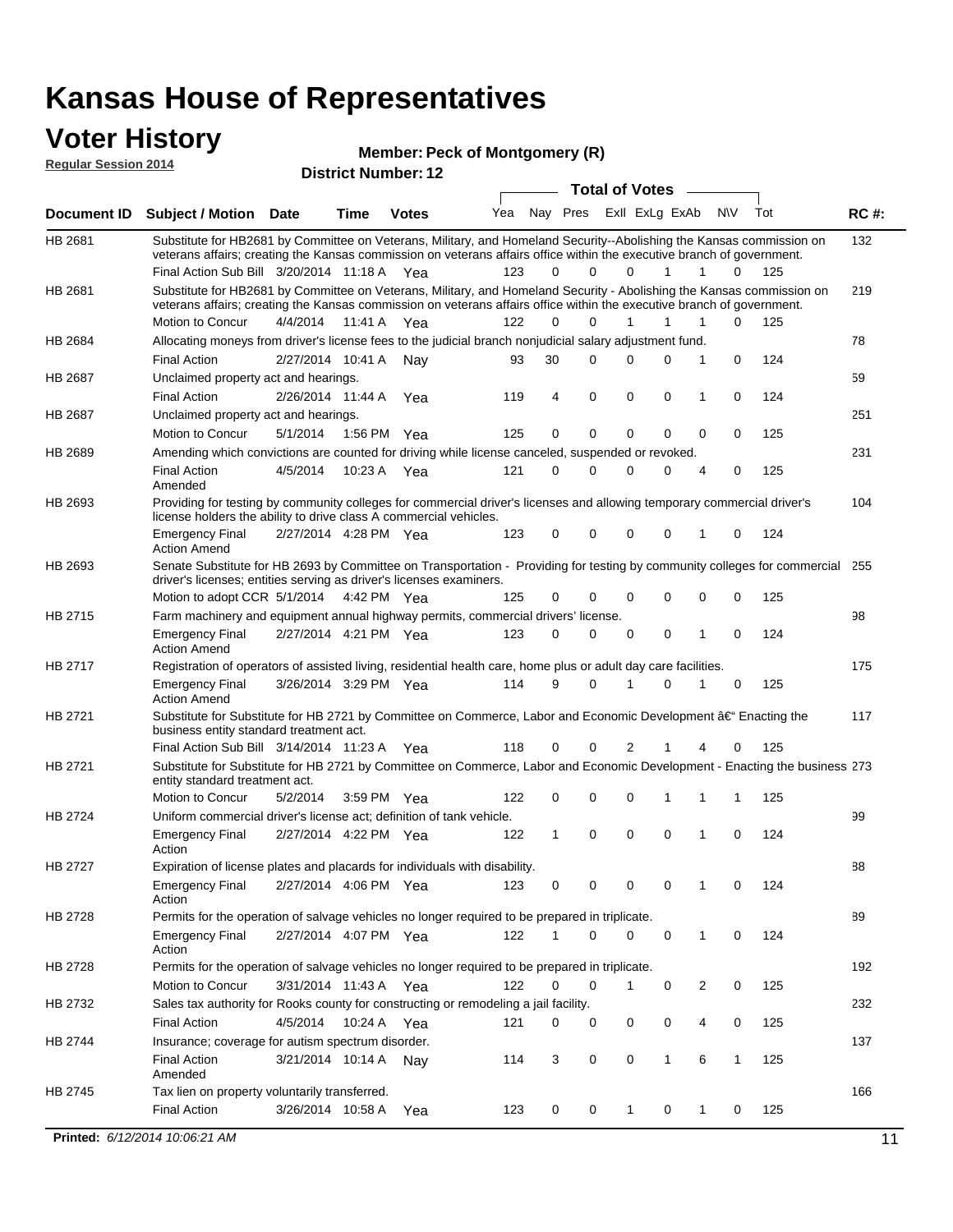#### **Voter History Regular Session 2014**

| <b>Member: Peck of Montgomery (R)</b> |  |  |
|---------------------------------------|--|--|
|---------------------------------------|--|--|

| noguidi ocoololi 4014 |                                                                                                                                                                                                                                                                                               |                       |                       | <b>District Number: 12</b> |     |    |          |                         |              |   |              |     |             |
|-----------------------|-----------------------------------------------------------------------------------------------------------------------------------------------------------------------------------------------------------------------------------------------------------------------------------------------|-----------------------|-----------------------|----------------------------|-----|----|----------|-------------------------|--------------|---|--------------|-----|-------------|
|                       |                                                                                                                                                                                                                                                                                               |                       |                       |                            |     |    |          | <b>Total of Votes</b>   |              |   |              |     |             |
| Document ID           | Subject / Motion Date                                                                                                                                                                                                                                                                         |                       | <b>Time</b>           | <b>Votes</b>               | Yea |    |          | Nay Pres ExII ExLg ExAb |              |   | N\V          | Tot | <b>RC#:</b> |
| HB 2681               | Substitute for HB2681 by Committee on Veterans, Military, and Homeland Security--Abolishing the Kansas commission on<br>veterans affairs; creating the Kansas commission on veterans affairs office within the executive branch of government.<br>Final Action Sub Bill 3/20/2014 11:18 A Yea |                       |                       |                            | 123 | 0  | $\Omega$ | $\Omega$                | 1            | 1 | $\Omega$     | 125 | 132         |
| HB 2681               | Substitute for HB2681 by Committee on Veterans, Military, and Homeland Security - Abolishing the Kansas commission on<br>veterans affairs; creating the Kansas commission on veterans affairs office within the executive branch of government.                                               |                       |                       |                            |     |    |          |                         |              |   |              |     | 219         |
|                       | Motion to Concur                                                                                                                                                                                                                                                                              | 4/4/2014              | 11:41 A               | Yea                        | 122 | 0  | 0        | 1                       | 1            | 1 | 0            | 125 |             |
| HB 2684               | Allocating moneys from driver's license fees to the judicial branch nonjudicial salary adjustment fund.                                                                                                                                                                                       |                       |                       |                            |     |    |          |                         |              |   |              |     | 78          |
|                       | <b>Final Action</b>                                                                                                                                                                                                                                                                           | 2/27/2014 10:41 A     |                       | Nav                        | 93  | 30 | 0        | 0                       | 0            | 1 | $\mathbf 0$  | 124 |             |
| HB 2687               | Unclaimed property act and hearings.                                                                                                                                                                                                                                                          |                       |                       |                            |     |    |          |                         |              |   |              |     | 59          |
|                       | <b>Final Action</b>                                                                                                                                                                                                                                                                           |                       | 2/26/2014 11:44 A     | Yea                        | 119 | 4  | 0        | 0                       | $\mathbf 0$  | 1 | 0            | 124 |             |
| HB 2687               | Unclaimed property act and hearings.                                                                                                                                                                                                                                                          |                       |                       |                            |     |    |          |                         |              |   |              |     | 251         |
|                       | Motion to Concur                                                                                                                                                                                                                                                                              | 5/1/2014              |                       | 1:56 PM Yea                | 125 | 0  | 0        | 0                       | 0            | 0 | 0            | 125 |             |
| HB 2689               | Amending which convictions are counted for driving while license canceled, suspended or revoked.                                                                                                                                                                                              |                       |                       |                            |     |    |          |                         |              |   |              |     | 231         |
|                       | <b>Final Action</b><br>Amended                                                                                                                                                                                                                                                                | 4/5/2014              | 10:23 A               | Yea                        | 121 | 0  | 0        | 0                       | 0            | 4 | 0            | 125 |             |
| HB 2693               | Providing for testing by community colleges for commercial driver's licenses and allowing temporary commercial driver's<br>license holders the ability to drive class A commercial vehicles.                                                                                                  |                       |                       |                            |     |    |          |                         |              |   |              |     | 104         |
|                       | <b>Emergency Final</b><br><b>Action Amend</b>                                                                                                                                                                                                                                                 | 2/27/2014 4:28 PM Yea |                       |                            | 123 | 0  | 0        | 0                       | 0            | 1 | 0            | 124 |             |
| HB 2693               | Senate Substitute for HB 2693 by Committee on Transportation - Providing for testing by community colleges for commercial 255<br>driver's licenses; entities serving as driver's licenses examiners.                                                                                          |                       |                       |                            |     |    |          |                         |              |   |              |     |             |
|                       | Motion to adopt CCR 5/1/2014 4:42 PM Yea                                                                                                                                                                                                                                                      |                       |                       |                            | 125 | 0  | 0        | 0                       | 0            | 0 | 0            | 125 |             |
| HB 2715               | Farm machinery and equipment annual highway permits, commercial drivers' license.                                                                                                                                                                                                             |                       |                       |                            |     |    |          |                         |              |   |              |     | 98          |
|                       | <b>Emergency Final</b><br><b>Action Amend</b>                                                                                                                                                                                                                                                 | 2/27/2014 4:21 PM Yea |                       |                            | 123 | 0  | 0        | 0                       | 0            | 1 | 0            | 124 |             |
| HB 2717               | Registration of operators of assisted living, residential health care, home plus or adult day care facilities.                                                                                                                                                                                |                       |                       |                            |     |    |          |                         |              |   |              |     | 175         |
|                       | <b>Emergency Final</b><br><b>Action Amend</b>                                                                                                                                                                                                                                                 | 3/26/2014 3:29 PM Yea |                       |                            | 114 | 9  | 0        | 1                       | 0            | 1 | 0            | 125 |             |
| HB 2721               | Substitute for Substitute for HB 2721 by Committee on Commerce, Labor and Economic Development †Enacting the<br>business entity standard treatment act.                                                                                                                                       |                       |                       |                            |     |    |          |                         |              |   |              |     | 117         |
|                       | Final Action Sub Bill 3/14/2014 11:23 A Yea                                                                                                                                                                                                                                                   |                       |                       |                            | 118 | 0  | 0        | 2                       |              |   | 0            | 125 |             |
| HB 2721               | Substitute for Substitute for HB 2721 by Committee on Commerce, Labor and Economic Development - Enacting the business 273<br>entity standard treatment act.                                                                                                                                  |                       |                       |                            |     |    |          |                         |              |   |              |     |             |
|                       | Motion to Concur                                                                                                                                                                                                                                                                              | 5/2/2014              |                       | 3:59 PM Yea                | 122 | 0  | 0        | 0                       | 1            | 1 | 1            | 125 |             |
| HB 2724               | Uniform commercial driver's license act; definition of tank vehicle.                                                                                                                                                                                                                          |                       |                       |                            |     |    |          |                         |              |   |              |     | 99          |
|                       | <b>Emergency Final</b><br>Action                                                                                                                                                                                                                                                              | 2/27/2014 4:22 PM Yea |                       |                            | 122 | 1  | 0        | 0                       | 0            | 1 | 0            | 124 |             |
| HB 2727               | Expiration of license plates and placards for individuals with disability.                                                                                                                                                                                                                    |                       |                       |                            |     |    |          |                         |              |   |              |     | 88          |
|                       | <b>Emergency Final</b><br>Action                                                                                                                                                                                                                                                              |                       | 2/27/2014 4:06 PM Yea |                            | 123 | 0  | 0        | 0                       | 0            | 1 | 0            | 124 |             |
| HB 2728               | Permits for the operation of salvage vehicles no longer required to be prepared in triplicate.                                                                                                                                                                                                |                       |                       |                            |     |    |          |                         |              |   |              |     | 89          |
|                       | <b>Emergency Final</b><br>Action                                                                                                                                                                                                                                                              | 2/27/2014 4:07 PM Yea |                       |                            | 122 | 1  | 0        | 0                       | 0            | 1 | 0            | 124 |             |
| HB 2728               | Permits for the operation of salvage vehicles no longer required to be prepared in triplicate.                                                                                                                                                                                                |                       |                       |                            |     |    |          |                         |              |   |              |     | 192         |
|                       | Motion to Concur                                                                                                                                                                                                                                                                              |                       | 3/31/2014 11:43 A Yea |                            | 122 | 0  | 0        | 1                       | 0            | 2 | 0            | 125 |             |
| HB 2732               | Sales tax authority for Rooks county for constructing or remodeling a jail facility.                                                                                                                                                                                                          |                       |                       |                            |     |    |          |                         |              |   |              |     | 232         |
|                       | <b>Final Action</b>                                                                                                                                                                                                                                                                           | 4/5/2014              |                       | 10:24 A Yea                | 121 | 0  | 0        | 0                       | 0            | 4 | 0            | 125 |             |
| HB 2744               | Insurance; coverage for autism spectrum disorder.                                                                                                                                                                                                                                             |                       |                       |                            |     |    |          |                         |              |   |              |     | 137         |
|                       | <b>Final Action</b>                                                                                                                                                                                                                                                                           | 3/21/2014 10:14 A     |                       | Nay                        | 114 | 3  | 0        | 0                       | $\mathbf{1}$ | 6 | $\mathbf{1}$ | 125 |             |
|                       | Amended                                                                                                                                                                                                                                                                                       |                       |                       |                            |     |    |          |                         |              |   |              |     |             |
| HB 2745               | Tax lien on property voluntarily transferred.                                                                                                                                                                                                                                                 |                       |                       |                            |     |    |          |                         |              |   |              |     | 166         |
|                       | <b>Final Action</b>                                                                                                                                                                                                                                                                           |                       | 3/26/2014 10:58 A     | Yea                        | 123 | 0  | 0        | 1                       | 0            | 1 | 0            | 125 |             |
|                       | Printed: 6/12/2014 10:06:21 AM                                                                                                                                                                                                                                                                |                       |                       |                            |     |    |          |                         |              |   |              |     | 11          |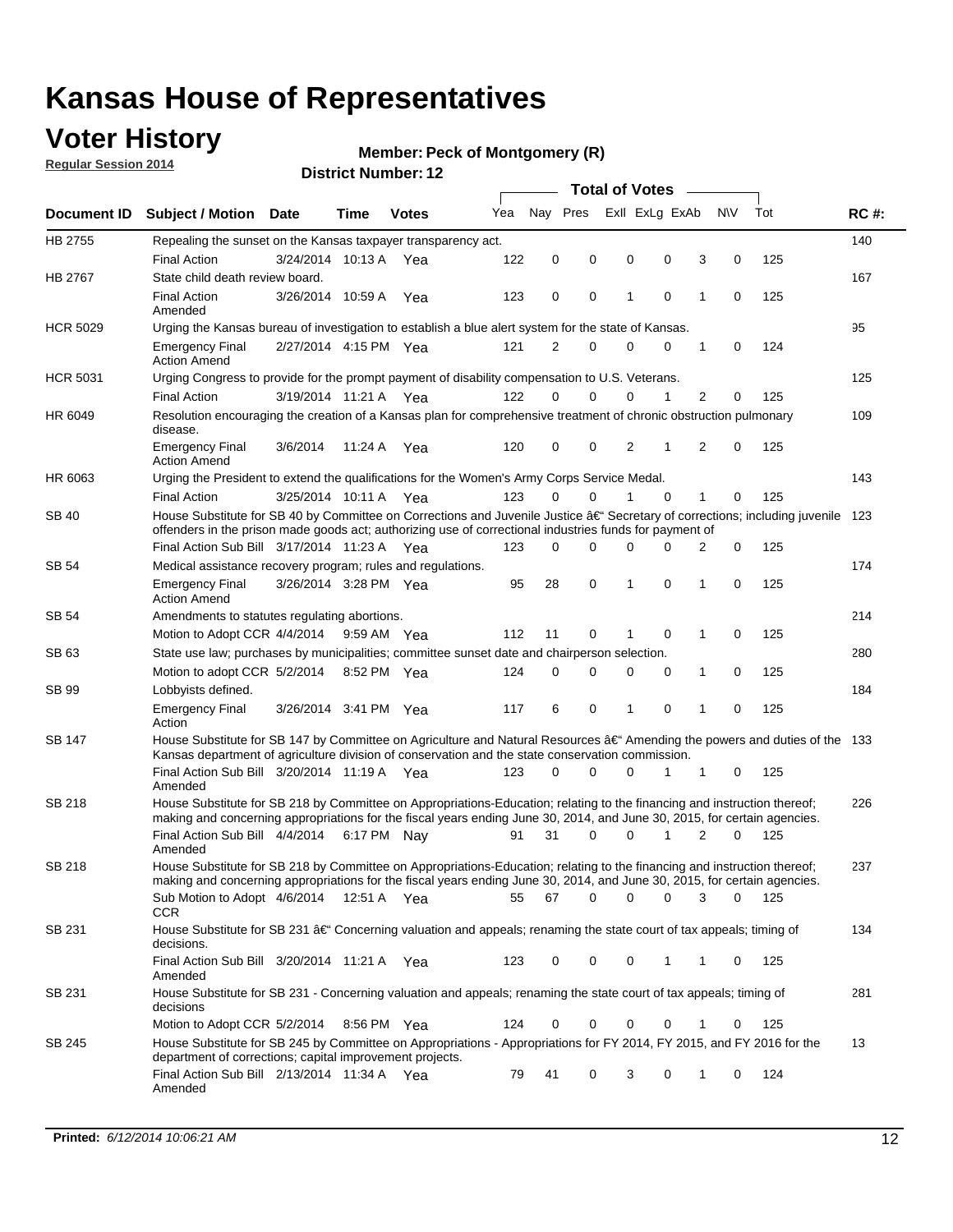## **Voter History**

**Regular Session 2014**

#### **Member: Peck of Montgomery (R)**

| Nay Pres<br>Exll ExLg ExAb<br>N\V<br>Tot<br>Yea<br><b>RC#:</b><br>Document ID Subject / Motion Date<br>Time<br><b>Votes</b><br>HB 2755<br>140<br>Repealing the sunset on the Kansas taxpayer transparency act.<br>122<br>0<br>0<br>0<br>0<br>3<br>0<br>125<br><b>Final Action</b><br>3/24/2014 10:13 A<br>Yea<br>HB 2767<br>167<br>State child death review board.<br><b>Final Action</b><br>3/26/2014 10:59 A<br>123<br>0<br>0<br>1<br>$\mathbf 0$<br>1<br>125<br>0<br>Yea<br>Amended<br><b>HCR 5029</b><br>95<br>Urging the Kansas bureau of investigation to establish a blue alert system for the state of Kansas.<br>2/27/2014 4:15 PM Yea<br>121<br>2<br>0<br>0<br>0<br>0<br>124<br><b>Emergency Final</b><br>1<br><b>Action Amend</b><br><b>HCR 5031</b><br>125<br>Urging Congress to provide for the prompt payment of disability compensation to U.S. Veterans.<br>$\overline{2}$<br><b>Final Action</b><br>122<br>$\Omega$<br>$\Omega$<br>0<br>1<br>125<br>3/19/2014 11:21 A Yea<br>0<br>109<br>HR 6049<br>Resolution encouraging the creation of a Kansas plan for comprehensive treatment of chronic obstruction pulmonary<br>disease.<br>0<br>2<br>$\overline{2}$<br>$\mathbf 0$<br>125<br><b>Emergency Final</b><br>3/6/2014<br>11:24 A<br>Yea<br>120<br>0<br>1<br><b>Action Amend</b><br>HR 6063<br>143<br>Urging the President to extend the qualifications for the Women's Army Corps Service Medal.<br>3/25/2014 10:11 A Yea<br>123<br>$\Omega$<br>$\Omega$<br>1<br>$\Omega$<br>1<br>125<br><b>Final Action</b><br>0<br>House Substitute for SB 40 by Committee on Corrections and Juvenile Justice †Secretary of corrections; including juvenile<br>SB 40<br>123<br>offenders in the prison made goods act; authorizing use of correctional industries funds for payment of<br>Final Action Sub Bill 3/17/2014 11:23 A Yea<br>0<br>0<br>125<br>123<br>0<br>0<br><sup>0</sup><br>2<br>174<br>SB 54<br>Medical assistance recovery program; rules and regulations.<br>$\mathbf 0$<br>$\mathbf 0$<br>28<br>1<br>0<br>125<br><b>Emergency Final</b><br>3/26/2014 3:28 PM Yea<br>95<br>1<br><b>Action Amend</b><br>214<br>SB 54<br>Amendments to statutes regulating abortions.<br>112<br>11<br>0<br>$\mathbf 0$<br>1<br>0<br>125<br>Motion to Adopt CCR 4/4/2014 9:59 AM Yea<br>State use law; purchases by municipalities; committee sunset date and chairperson selection.<br>280<br>SB 63<br>Motion to adopt CCR 5/2/2014<br>0<br>0<br>1<br>0<br>125<br>8:52 PM Yea<br>124<br>0<br>0<br>184<br>SB 99<br>Lobbyists defined.<br>6<br>0<br>$\mathbf 0$<br>$\mathbf{1}$<br>0<br>125<br><b>Emergency Final</b><br>3/26/2014 3:41 PM Yea<br>117<br>1<br>Action<br>House Substitute for SB 147 by Committee on Agriculture and Natural Resources †Amending the powers and duties of the 133<br>SB 147<br>Kansas department of agriculture division of conservation and the state conservation commission.<br>Final Action Sub Bill 3/20/2014 11:19 A Yea<br>$\Omega$<br>0<br>125<br>123<br>0<br>1<br>1<br>0<br>Amended<br><b>SB 218</b><br>House Substitute for SB 218 by Committee on Appropriations-Education; relating to the financing and instruction thereof;<br>226<br>making and concerning appropriations for the fiscal years ending June 30, 2014, and June 30, 2015, for certain agencies.<br>Final Action Sub Bill 4/4/2014 6:17 PM Nay<br>31<br>$\Omega$<br>1<br>$\overline{2}$<br>125<br>0<br>0<br>91<br>Amended<br>House Substitute for SB 218 by Committee on Appropriations-Education; relating to the financing and instruction thereof;<br>SB 218<br>237<br>making and concerning appropriations for the fiscal years ending June 30, 2014, and June 30, 2015, for certain agencies.<br>67<br>0<br>Sub Motion to Adopt 4/6/2014 12:51 A Yea<br>55<br>0<br>0<br>3<br>0<br>- 125<br>CCR<br>134<br>SB 231<br>House Substitute for SB 231 †Concerning valuation and appeals; renaming the state court of tax appeals; timing of<br>decisions.<br>Final Action Sub Bill 3/20/2014 11:21 A Yea<br>123<br>0<br>0<br>0<br>1<br>125<br>1<br>0<br>Amended<br>House Substitute for SB 231 - Concerning valuation and appeals; renaming the state court of tax appeals; timing of<br>281<br>SB 231<br>decisions<br>125<br>Motion to Adopt CCR 5/2/2014<br>0<br>0<br>0<br>8:56 PM Yea<br>124<br>0<br>0<br>1<br>House Substitute for SB 245 by Committee on Appropriations - Appropriations for FY 2014, FY 2015, and FY 2016 for the<br>13<br>SB 245<br>department of corrections; capital improvement projects.<br>Final Action Sub Bill 2/13/2014 11:34 A Yea<br>79<br>41<br>0<br>3<br>0<br>124<br>1<br>0<br>Amended |  |  |  |  | <b>Total of Votes</b> |  |  |
|------------------------------------------------------------------------------------------------------------------------------------------------------------------------------------------------------------------------------------------------------------------------------------------------------------------------------------------------------------------------------------------------------------------------------------------------------------------------------------------------------------------------------------------------------------------------------------------------------------------------------------------------------------------------------------------------------------------------------------------------------------------------------------------------------------------------------------------------------------------------------------------------------------------------------------------------------------------------------------------------------------------------------------------------------------------------------------------------------------------------------------------------------------------------------------------------------------------------------------------------------------------------------------------------------------------------------------------------------------------------------------------------------------------------------------------------------------------------------------------------------------------------------------------------------------------------------------------------------------------------------------------------------------------------------------------------------------------------------------------------------------------------------------------------------------------------------------------------------------------------------------------------------------------------------------------------------------------------------------------------------------------------------------------------------------------------------------------------------------------------------------------------------------------------------------------------------------------------------------------------------------------------------------------------------------------------------------------------------------------------------------------------------------------------------------------------------------------------------------------------------------------------------------------------------------------------------------------------------------------------------------------------------------------------------------------------------------------------------------------------------------------------------------------------------------------------------------------------------------------------------------------------------------------------------------------------------------------------------------------------------------------------------------------------------------------------------------------------------------------------------------------------------------------------------------------------------------------------------------------------------------------------------------------------------------------------------------------------------------------------------------------------------------------------------------------------------------------------------------------------------------------------------------------------------------------------------------------------------------------------------------------------------------------------------------------------------------------------------------------------------------------------------------------------------------------------------------------------------------------------------------------------------------------------------------------------------------------------------------------------------------------------------------------------------------------------------------------------------------------------------------------------------------------------------------------------------------------------------------------------------------------------------------------------------------------------------------------------------------------------------------------------------------------------------------------------------------------------------------------------------------------------------------------------------------------------------------------------------------------------------------------|--|--|--|--|-----------------------|--|--|
|                                                                                                                                                                                                                                                                                                                                                                                                                                                                                                                                                                                                                                                                                                                                                                                                                                                                                                                                                                                                                                                                                                                                                                                                                                                                                                                                                                                                                                                                                                                                                                                                                                                                                                                                                                                                                                                                                                                                                                                                                                                                                                                                                                                                                                                                                                                                                                                                                                                                                                                                                                                                                                                                                                                                                                                                                                                                                                                                                                                                                                                                                                                                                                                                                                                                                                                                                                                                                                                                                                                                                                                                                                                                                                                                                                                                                                                                                                                                                                                                                                                                                                                                                                                                                                                                                                                                                                                                                                                                                                                                                                                                                                          |  |  |  |  |                       |  |  |
|                                                                                                                                                                                                                                                                                                                                                                                                                                                                                                                                                                                                                                                                                                                                                                                                                                                                                                                                                                                                                                                                                                                                                                                                                                                                                                                                                                                                                                                                                                                                                                                                                                                                                                                                                                                                                                                                                                                                                                                                                                                                                                                                                                                                                                                                                                                                                                                                                                                                                                                                                                                                                                                                                                                                                                                                                                                                                                                                                                                                                                                                                                                                                                                                                                                                                                                                                                                                                                                                                                                                                                                                                                                                                                                                                                                                                                                                                                                                                                                                                                                                                                                                                                                                                                                                                                                                                                                                                                                                                                                                                                                                                                          |  |  |  |  |                       |  |  |
|                                                                                                                                                                                                                                                                                                                                                                                                                                                                                                                                                                                                                                                                                                                                                                                                                                                                                                                                                                                                                                                                                                                                                                                                                                                                                                                                                                                                                                                                                                                                                                                                                                                                                                                                                                                                                                                                                                                                                                                                                                                                                                                                                                                                                                                                                                                                                                                                                                                                                                                                                                                                                                                                                                                                                                                                                                                                                                                                                                                                                                                                                                                                                                                                                                                                                                                                                                                                                                                                                                                                                                                                                                                                                                                                                                                                                                                                                                                                                                                                                                                                                                                                                                                                                                                                                                                                                                                                                                                                                                                                                                                                                                          |  |  |  |  |                       |  |  |
|                                                                                                                                                                                                                                                                                                                                                                                                                                                                                                                                                                                                                                                                                                                                                                                                                                                                                                                                                                                                                                                                                                                                                                                                                                                                                                                                                                                                                                                                                                                                                                                                                                                                                                                                                                                                                                                                                                                                                                                                                                                                                                                                                                                                                                                                                                                                                                                                                                                                                                                                                                                                                                                                                                                                                                                                                                                                                                                                                                                                                                                                                                                                                                                                                                                                                                                                                                                                                                                                                                                                                                                                                                                                                                                                                                                                                                                                                                                                                                                                                                                                                                                                                                                                                                                                                                                                                                                                                                                                                                                                                                                                                                          |  |  |  |  |                       |  |  |
|                                                                                                                                                                                                                                                                                                                                                                                                                                                                                                                                                                                                                                                                                                                                                                                                                                                                                                                                                                                                                                                                                                                                                                                                                                                                                                                                                                                                                                                                                                                                                                                                                                                                                                                                                                                                                                                                                                                                                                                                                                                                                                                                                                                                                                                                                                                                                                                                                                                                                                                                                                                                                                                                                                                                                                                                                                                                                                                                                                                                                                                                                                                                                                                                                                                                                                                                                                                                                                                                                                                                                                                                                                                                                                                                                                                                                                                                                                                                                                                                                                                                                                                                                                                                                                                                                                                                                                                                                                                                                                                                                                                                                                          |  |  |  |  |                       |  |  |
|                                                                                                                                                                                                                                                                                                                                                                                                                                                                                                                                                                                                                                                                                                                                                                                                                                                                                                                                                                                                                                                                                                                                                                                                                                                                                                                                                                                                                                                                                                                                                                                                                                                                                                                                                                                                                                                                                                                                                                                                                                                                                                                                                                                                                                                                                                                                                                                                                                                                                                                                                                                                                                                                                                                                                                                                                                                                                                                                                                                                                                                                                                                                                                                                                                                                                                                                                                                                                                                                                                                                                                                                                                                                                                                                                                                                                                                                                                                                                                                                                                                                                                                                                                                                                                                                                                                                                                                                                                                                                                                                                                                                                                          |  |  |  |  |                       |  |  |
|                                                                                                                                                                                                                                                                                                                                                                                                                                                                                                                                                                                                                                                                                                                                                                                                                                                                                                                                                                                                                                                                                                                                                                                                                                                                                                                                                                                                                                                                                                                                                                                                                                                                                                                                                                                                                                                                                                                                                                                                                                                                                                                                                                                                                                                                                                                                                                                                                                                                                                                                                                                                                                                                                                                                                                                                                                                                                                                                                                                                                                                                                                                                                                                                                                                                                                                                                                                                                                                                                                                                                                                                                                                                                                                                                                                                                                                                                                                                                                                                                                                                                                                                                                                                                                                                                                                                                                                                                                                                                                                                                                                                                                          |  |  |  |  |                       |  |  |
|                                                                                                                                                                                                                                                                                                                                                                                                                                                                                                                                                                                                                                                                                                                                                                                                                                                                                                                                                                                                                                                                                                                                                                                                                                                                                                                                                                                                                                                                                                                                                                                                                                                                                                                                                                                                                                                                                                                                                                                                                                                                                                                                                                                                                                                                                                                                                                                                                                                                                                                                                                                                                                                                                                                                                                                                                                                                                                                                                                                                                                                                                                                                                                                                                                                                                                                                                                                                                                                                                                                                                                                                                                                                                                                                                                                                                                                                                                                                                                                                                                                                                                                                                                                                                                                                                                                                                                                                                                                                                                                                                                                                                                          |  |  |  |  |                       |  |  |
|                                                                                                                                                                                                                                                                                                                                                                                                                                                                                                                                                                                                                                                                                                                                                                                                                                                                                                                                                                                                                                                                                                                                                                                                                                                                                                                                                                                                                                                                                                                                                                                                                                                                                                                                                                                                                                                                                                                                                                                                                                                                                                                                                                                                                                                                                                                                                                                                                                                                                                                                                                                                                                                                                                                                                                                                                                                                                                                                                                                                                                                                                                                                                                                                                                                                                                                                                                                                                                                                                                                                                                                                                                                                                                                                                                                                                                                                                                                                                                                                                                                                                                                                                                                                                                                                                                                                                                                                                                                                                                                                                                                                                                          |  |  |  |  |                       |  |  |
|                                                                                                                                                                                                                                                                                                                                                                                                                                                                                                                                                                                                                                                                                                                                                                                                                                                                                                                                                                                                                                                                                                                                                                                                                                                                                                                                                                                                                                                                                                                                                                                                                                                                                                                                                                                                                                                                                                                                                                                                                                                                                                                                                                                                                                                                                                                                                                                                                                                                                                                                                                                                                                                                                                                                                                                                                                                                                                                                                                                                                                                                                                                                                                                                                                                                                                                                                                                                                                                                                                                                                                                                                                                                                                                                                                                                                                                                                                                                                                                                                                                                                                                                                                                                                                                                                                                                                                                                                                                                                                                                                                                                                                          |  |  |  |  |                       |  |  |
|                                                                                                                                                                                                                                                                                                                                                                                                                                                                                                                                                                                                                                                                                                                                                                                                                                                                                                                                                                                                                                                                                                                                                                                                                                                                                                                                                                                                                                                                                                                                                                                                                                                                                                                                                                                                                                                                                                                                                                                                                                                                                                                                                                                                                                                                                                                                                                                                                                                                                                                                                                                                                                                                                                                                                                                                                                                                                                                                                                                                                                                                                                                                                                                                                                                                                                                                                                                                                                                                                                                                                                                                                                                                                                                                                                                                                                                                                                                                                                                                                                                                                                                                                                                                                                                                                                                                                                                                                                                                                                                                                                                                                                          |  |  |  |  |                       |  |  |
|                                                                                                                                                                                                                                                                                                                                                                                                                                                                                                                                                                                                                                                                                                                                                                                                                                                                                                                                                                                                                                                                                                                                                                                                                                                                                                                                                                                                                                                                                                                                                                                                                                                                                                                                                                                                                                                                                                                                                                                                                                                                                                                                                                                                                                                                                                                                                                                                                                                                                                                                                                                                                                                                                                                                                                                                                                                                                                                                                                                                                                                                                                                                                                                                                                                                                                                                                                                                                                                                                                                                                                                                                                                                                                                                                                                                                                                                                                                                                                                                                                                                                                                                                                                                                                                                                                                                                                                                                                                                                                                                                                                                                                          |  |  |  |  |                       |  |  |
|                                                                                                                                                                                                                                                                                                                                                                                                                                                                                                                                                                                                                                                                                                                                                                                                                                                                                                                                                                                                                                                                                                                                                                                                                                                                                                                                                                                                                                                                                                                                                                                                                                                                                                                                                                                                                                                                                                                                                                                                                                                                                                                                                                                                                                                                                                                                                                                                                                                                                                                                                                                                                                                                                                                                                                                                                                                                                                                                                                                                                                                                                                                                                                                                                                                                                                                                                                                                                                                                                                                                                                                                                                                                                                                                                                                                                                                                                                                                                                                                                                                                                                                                                                                                                                                                                                                                                                                                                                                                                                                                                                                                                                          |  |  |  |  |                       |  |  |
|                                                                                                                                                                                                                                                                                                                                                                                                                                                                                                                                                                                                                                                                                                                                                                                                                                                                                                                                                                                                                                                                                                                                                                                                                                                                                                                                                                                                                                                                                                                                                                                                                                                                                                                                                                                                                                                                                                                                                                                                                                                                                                                                                                                                                                                                                                                                                                                                                                                                                                                                                                                                                                                                                                                                                                                                                                                                                                                                                                                                                                                                                                                                                                                                                                                                                                                                                                                                                                                                                                                                                                                                                                                                                                                                                                                                                                                                                                                                                                                                                                                                                                                                                                                                                                                                                                                                                                                                                                                                                                                                                                                                                                          |  |  |  |  |                       |  |  |
|                                                                                                                                                                                                                                                                                                                                                                                                                                                                                                                                                                                                                                                                                                                                                                                                                                                                                                                                                                                                                                                                                                                                                                                                                                                                                                                                                                                                                                                                                                                                                                                                                                                                                                                                                                                                                                                                                                                                                                                                                                                                                                                                                                                                                                                                                                                                                                                                                                                                                                                                                                                                                                                                                                                                                                                                                                                                                                                                                                                                                                                                                                                                                                                                                                                                                                                                                                                                                                                                                                                                                                                                                                                                                                                                                                                                                                                                                                                                                                                                                                                                                                                                                                                                                                                                                                                                                                                                                                                                                                                                                                                                                                          |  |  |  |  |                       |  |  |
|                                                                                                                                                                                                                                                                                                                                                                                                                                                                                                                                                                                                                                                                                                                                                                                                                                                                                                                                                                                                                                                                                                                                                                                                                                                                                                                                                                                                                                                                                                                                                                                                                                                                                                                                                                                                                                                                                                                                                                                                                                                                                                                                                                                                                                                                                                                                                                                                                                                                                                                                                                                                                                                                                                                                                                                                                                                                                                                                                                                                                                                                                                                                                                                                                                                                                                                                                                                                                                                                                                                                                                                                                                                                                                                                                                                                                                                                                                                                                                                                                                                                                                                                                                                                                                                                                                                                                                                                                                                                                                                                                                                                                                          |  |  |  |  |                       |  |  |
|                                                                                                                                                                                                                                                                                                                                                                                                                                                                                                                                                                                                                                                                                                                                                                                                                                                                                                                                                                                                                                                                                                                                                                                                                                                                                                                                                                                                                                                                                                                                                                                                                                                                                                                                                                                                                                                                                                                                                                                                                                                                                                                                                                                                                                                                                                                                                                                                                                                                                                                                                                                                                                                                                                                                                                                                                                                                                                                                                                                                                                                                                                                                                                                                                                                                                                                                                                                                                                                                                                                                                                                                                                                                                                                                                                                                                                                                                                                                                                                                                                                                                                                                                                                                                                                                                                                                                                                                                                                                                                                                                                                                                                          |  |  |  |  |                       |  |  |
|                                                                                                                                                                                                                                                                                                                                                                                                                                                                                                                                                                                                                                                                                                                                                                                                                                                                                                                                                                                                                                                                                                                                                                                                                                                                                                                                                                                                                                                                                                                                                                                                                                                                                                                                                                                                                                                                                                                                                                                                                                                                                                                                                                                                                                                                                                                                                                                                                                                                                                                                                                                                                                                                                                                                                                                                                                                                                                                                                                                                                                                                                                                                                                                                                                                                                                                                                                                                                                                                                                                                                                                                                                                                                                                                                                                                                                                                                                                                                                                                                                                                                                                                                                                                                                                                                                                                                                                                                                                                                                                                                                                                                                          |  |  |  |  |                       |  |  |
|                                                                                                                                                                                                                                                                                                                                                                                                                                                                                                                                                                                                                                                                                                                                                                                                                                                                                                                                                                                                                                                                                                                                                                                                                                                                                                                                                                                                                                                                                                                                                                                                                                                                                                                                                                                                                                                                                                                                                                                                                                                                                                                                                                                                                                                                                                                                                                                                                                                                                                                                                                                                                                                                                                                                                                                                                                                                                                                                                                                                                                                                                                                                                                                                                                                                                                                                                                                                                                                                                                                                                                                                                                                                                                                                                                                                                                                                                                                                                                                                                                                                                                                                                                                                                                                                                                                                                                                                                                                                                                                                                                                                                                          |  |  |  |  |                       |  |  |
|                                                                                                                                                                                                                                                                                                                                                                                                                                                                                                                                                                                                                                                                                                                                                                                                                                                                                                                                                                                                                                                                                                                                                                                                                                                                                                                                                                                                                                                                                                                                                                                                                                                                                                                                                                                                                                                                                                                                                                                                                                                                                                                                                                                                                                                                                                                                                                                                                                                                                                                                                                                                                                                                                                                                                                                                                                                                                                                                                                                                                                                                                                                                                                                                                                                                                                                                                                                                                                                                                                                                                                                                                                                                                                                                                                                                                                                                                                                                                                                                                                                                                                                                                                                                                                                                                                                                                                                                                                                                                                                                                                                                                                          |  |  |  |  |                       |  |  |
|                                                                                                                                                                                                                                                                                                                                                                                                                                                                                                                                                                                                                                                                                                                                                                                                                                                                                                                                                                                                                                                                                                                                                                                                                                                                                                                                                                                                                                                                                                                                                                                                                                                                                                                                                                                                                                                                                                                                                                                                                                                                                                                                                                                                                                                                                                                                                                                                                                                                                                                                                                                                                                                                                                                                                                                                                                                                                                                                                                                                                                                                                                                                                                                                                                                                                                                                                                                                                                                                                                                                                                                                                                                                                                                                                                                                                                                                                                                                                                                                                                                                                                                                                                                                                                                                                                                                                                                                                                                                                                                                                                                                                                          |  |  |  |  |                       |  |  |
|                                                                                                                                                                                                                                                                                                                                                                                                                                                                                                                                                                                                                                                                                                                                                                                                                                                                                                                                                                                                                                                                                                                                                                                                                                                                                                                                                                                                                                                                                                                                                                                                                                                                                                                                                                                                                                                                                                                                                                                                                                                                                                                                                                                                                                                                                                                                                                                                                                                                                                                                                                                                                                                                                                                                                                                                                                                                                                                                                                                                                                                                                                                                                                                                                                                                                                                                                                                                                                                                                                                                                                                                                                                                                                                                                                                                                                                                                                                                                                                                                                                                                                                                                                                                                                                                                                                                                                                                                                                                                                                                                                                                                                          |  |  |  |  |                       |  |  |
|                                                                                                                                                                                                                                                                                                                                                                                                                                                                                                                                                                                                                                                                                                                                                                                                                                                                                                                                                                                                                                                                                                                                                                                                                                                                                                                                                                                                                                                                                                                                                                                                                                                                                                                                                                                                                                                                                                                                                                                                                                                                                                                                                                                                                                                                                                                                                                                                                                                                                                                                                                                                                                                                                                                                                                                                                                                                                                                                                                                                                                                                                                                                                                                                                                                                                                                                                                                                                                                                                                                                                                                                                                                                                                                                                                                                                                                                                                                                                                                                                                                                                                                                                                                                                                                                                                                                                                                                                                                                                                                                                                                                                                          |  |  |  |  |                       |  |  |
|                                                                                                                                                                                                                                                                                                                                                                                                                                                                                                                                                                                                                                                                                                                                                                                                                                                                                                                                                                                                                                                                                                                                                                                                                                                                                                                                                                                                                                                                                                                                                                                                                                                                                                                                                                                                                                                                                                                                                                                                                                                                                                                                                                                                                                                                                                                                                                                                                                                                                                                                                                                                                                                                                                                                                                                                                                                                                                                                                                                                                                                                                                                                                                                                                                                                                                                                                                                                                                                                                                                                                                                                                                                                                                                                                                                                                                                                                                                                                                                                                                                                                                                                                                                                                                                                                                                                                                                                                                                                                                                                                                                                                                          |  |  |  |  |                       |  |  |
|                                                                                                                                                                                                                                                                                                                                                                                                                                                                                                                                                                                                                                                                                                                                                                                                                                                                                                                                                                                                                                                                                                                                                                                                                                                                                                                                                                                                                                                                                                                                                                                                                                                                                                                                                                                                                                                                                                                                                                                                                                                                                                                                                                                                                                                                                                                                                                                                                                                                                                                                                                                                                                                                                                                                                                                                                                                                                                                                                                                                                                                                                                                                                                                                                                                                                                                                                                                                                                                                                                                                                                                                                                                                                                                                                                                                                                                                                                                                                                                                                                                                                                                                                                                                                                                                                                                                                                                                                                                                                                                                                                                                                                          |  |  |  |  |                       |  |  |
|                                                                                                                                                                                                                                                                                                                                                                                                                                                                                                                                                                                                                                                                                                                                                                                                                                                                                                                                                                                                                                                                                                                                                                                                                                                                                                                                                                                                                                                                                                                                                                                                                                                                                                                                                                                                                                                                                                                                                                                                                                                                                                                                                                                                                                                                                                                                                                                                                                                                                                                                                                                                                                                                                                                                                                                                                                                                                                                                                                                                                                                                                                                                                                                                                                                                                                                                                                                                                                                                                                                                                                                                                                                                                                                                                                                                                                                                                                                                                                                                                                                                                                                                                                                                                                                                                                                                                                                                                                                                                                                                                                                                                                          |  |  |  |  |                       |  |  |
|                                                                                                                                                                                                                                                                                                                                                                                                                                                                                                                                                                                                                                                                                                                                                                                                                                                                                                                                                                                                                                                                                                                                                                                                                                                                                                                                                                                                                                                                                                                                                                                                                                                                                                                                                                                                                                                                                                                                                                                                                                                                                                                                                                                                                                                                                                                                                                                                                                                                                                                                                                                                                                                                                                                                                                                                                                                                                                                                                                                                                                                                                                                                                                                                                                                                                                                                                                                                                                                                                                                                                                                                                                                                                                                                                                                                                                                                                                                                                                                                                                                                                                                                                                                                                                                                                                                                                                                                                                                                                                                                                                                                                                          |  |  |  |  |                       |  |  |
|                                                                                                                                                                                                                                                                                                                                                                                                                                                                                                                                                                                                                                                                                                                                                                                                                                                                                                                                                                                                                                                                                                                                                                                                                                                                                                                                                                                                                                                                                                                                                                                                                                                                                                                                                                                                                                                                                                                                                                                                                                                                                                                                                                                                                                                                                                                                                                                                                                                                                                                                                                                                                                                                                                                                                                                                                                                                                                                                                                                                                                                                                                                                                                                                                                                                                                                                                                                                                                                                                                                                                                                                                                                                                                                                                                                                                                                                                                                                                                                                                                                                                                                                                                                                                                                                                                                                                                                                                                                                                                                                                                                                                                          |  |  |  |  |                       |  |  |
|                                                                                                                                                                                                                                                                                                                                                                                                                                                                                                                                                                                                                                                                                                                                                                                                                                                                                                                                                                                                                                                                                                                                                                                                                                                                                                                                                                                                                                                                                                                                                                                                                                                                                                                                                                                                                                                                                                                                                                                                                                                                                                                                                                                                                                                                                                                                                                                                                                                                                                                                                                                                                                                                                                                                                                                                                                                                                                                                                                                                                                                                                                                                                                                                                                                                                                                                                                                                                                                                                                                                                                                                                                                                                                                                                                                                                                                                                                                                                                                                                                                                                                                                                                                                                                                                                                                                                                                                                                                                                                                                                                                                                                          |  |  |  |  |                       |  |  |
|                                                                                                                                                                                                                                                                                                                                                                                                                                                                                                                                                                                                                                                                                                                                                                                                                                                                                                                                                                                                                                                                                                                                                                                                                                                                                                                                                                                                                                                                                                                                                                                                                                                                                                                                                                                                                                                                                                                                                                                                                                                                                                                                                                                                                                                                                                                                                                                                                                                                                                                                                                                                                                                                                                                                                                                                                                                                                                                                                                                                                                                                                                                                                                                                                                                                                                                                                                                                                                                                                                                                                                                                                                                                                                                                                                                                                                                                                                                                                                                                                                                                                                                                                                                                                                                                                                                                                                                                                                                                                                                                                                                                                                          |  |  |  |  |                       |  |  |
|                                                                                                                                                                                                                                                                                                                                                                                                                                                                                                                                                                                                                                                                                                                                                                                                                                                                                                                                                                                                                                                                                                                                                                                                                                                                                                                                                                                                                                                                                                                                                                                                                                                                                                                                                                                                                                                                                                                                                                                                                                                                                                                                                                                                                                                                                                                                                                                                                                                                                                                                                                                                                                                                                                                                                                                                                                                                                                                                                                                                                                                                                                                                                                                                                                                                                                                                                                                                                                                                                                                                                                                                                                                                                                                                                                                                                                                                                                                                                                                                                                                                                                                                                                                                                                                                                                                                                                                                                                                                                                                                                                                                                                          |  |  |  |  |                       |  |  |
|                                                                                                                                                                                                                                                                                                                                                                                                                                                                                                                                                                                                                                                                                                                                                                                                                                                                                                                                                                                                                                                                                                                                                                                                                                                                                                                                                                                                                                                                                                                                                                                                                                                                                                                                                                                                                                                                                                                                                                                                                                                                                                                                                                                                                                                                                                                                                                                                                                                                                                                                                                                                                                                                                                                                                                                                                                                                                                                                                                                                                                                                                                                                                                                                                                                                                                                                                                                                                                                                                                                                                                                                                                                                                                                                                                                                                                                                                                                                                                                                                                                                                                                                                                                                                                                                                                                                                                                                                                                                                                                                                                                                                                          |  |  |  |  |                       |  |  |
|                                                                                                                                                                                                                                                                                                                                                                                                                                                                                                                                                                                                                                                                                                                                                                                                                                                                                                                                                                                                                                                                                                                                                                                                                                                                                                                                                                                                                                                                                                                                                                                                                                                                                                                                                                                                                                                                                                                                                                                                                                                                                                                                                                                                                                                                                                                                                                                                                                                                                                                                                                                                                                                                                                                                                                                                                                                                                                                                                                                                                                                                                                                                                                                                                                                                                                                                                                                                                                                                                                                                                                                                                                                                                                                                                                                                                                                                                                                                                                                                                                                                                                                                                                                                                                                                                                                                                                                                                                                                                                                                                                                                                                          |  |  |  |  |                       |  |  |
|                                                                                                                                                                                                                                                                                                                                                                                                                                                                                                                                                                                                                                                                                                                                                                                                                                                                                                                                                                                                                                                                                                                                                                                                                                                                                                                                                                                                                                                                                                                                                                                                                                                                                                                                                                                                                                                                                                                                                                                                                                                                                                                                                                                                                                                                                                                                                                                                                                                                                                                                                                                                                                                                                                                                                                                                                                                                                                                                                                                                                                                                                                                                                                                                                                                                                                                                                                                                                                                                                                                                                                                                                                                                                                                                                                                                                                                                                                                                                                                                                                                                                                                                                                                                                                                                                                                                                                                                                                                                                                                                                                                                                                          |  |  |  |  |                       |  |  |
|                                                                                                                                                                                                                                                                                                                                                                                                                                                                                                                                                                                                                                                                                                                                                                                                                                                                                                                                                                                                                                                                                                                                                                                                                                                                                                                                                                                                                                                                                                                                                                                                                                                                                                                                                                                                                                                                                                                                                                                                                                                                                                                                                                                                                                                                                                                                                                                                                                                                                                                                                                                                                                                                                                                                                                                                                                                                                                                                                                                                                                                                                                                                                                                                                                                                                                                                                                                                                                                                                                                                                                                                                                                                                                                                                                                                                                                                                                                                                                                                                                                                                                                                                                                                                                                                                                                                                                                                                                                                                                                                                                                                                                          |  |  |  |  |                       |  |  |
|                                                                                                                                                                                                                                                                                                                                                                                                                                                                                                                                                                                                                                                                                                                                                                                                                                                                                                                                                                                                                                                                                                                                                                                                                                                                                                                                                                                                                                                                                                                                                                                                                                                                                                                                                                                                                                                                                                                                                                                                                                                                                                                                                                                                                                                                                                                                                                                                                                                                                                                                                                                                                                                                                                                                                                                                                                                                                                                                                                                                                                                                                                                                                                                                                                                                                                                                                                                                                                                                                                                                                                                                                                                                                                                                                                                                                                                                                                                                                                                                                                                                                                                                                                                                                                                                                                                                                                                                                                                                                                                                                                                                                                          |  |  |  |  |                       |  |  |
|                                                                                                                                                                                                                                                                                                                                                                                                                                                                                                                                                                                                                                                                                                                                                                                                                                                                                                                                                                                                                                                                                                                                                                                                                                                                                                                                                                                                                                                                                                                                                                                                                                                                                                                                                                                                                                                                                                                                                                                                                                                                                                                                                                                                                                                                                                                                                                                                                                                                                                                                                                                                                                                                                                                                                                                                                                                                                                                                                                                                                                                                                                                                                                                                                                                                                                                                                                                                                                                                                                                                                                                                                                                                                                                                                                                                                                                                                                                                                                                                                                                                                                                                                                                                                                                                                                                                                                                                                                                                                                                                                                                                                                          |  |  |  |  |                       |  |  |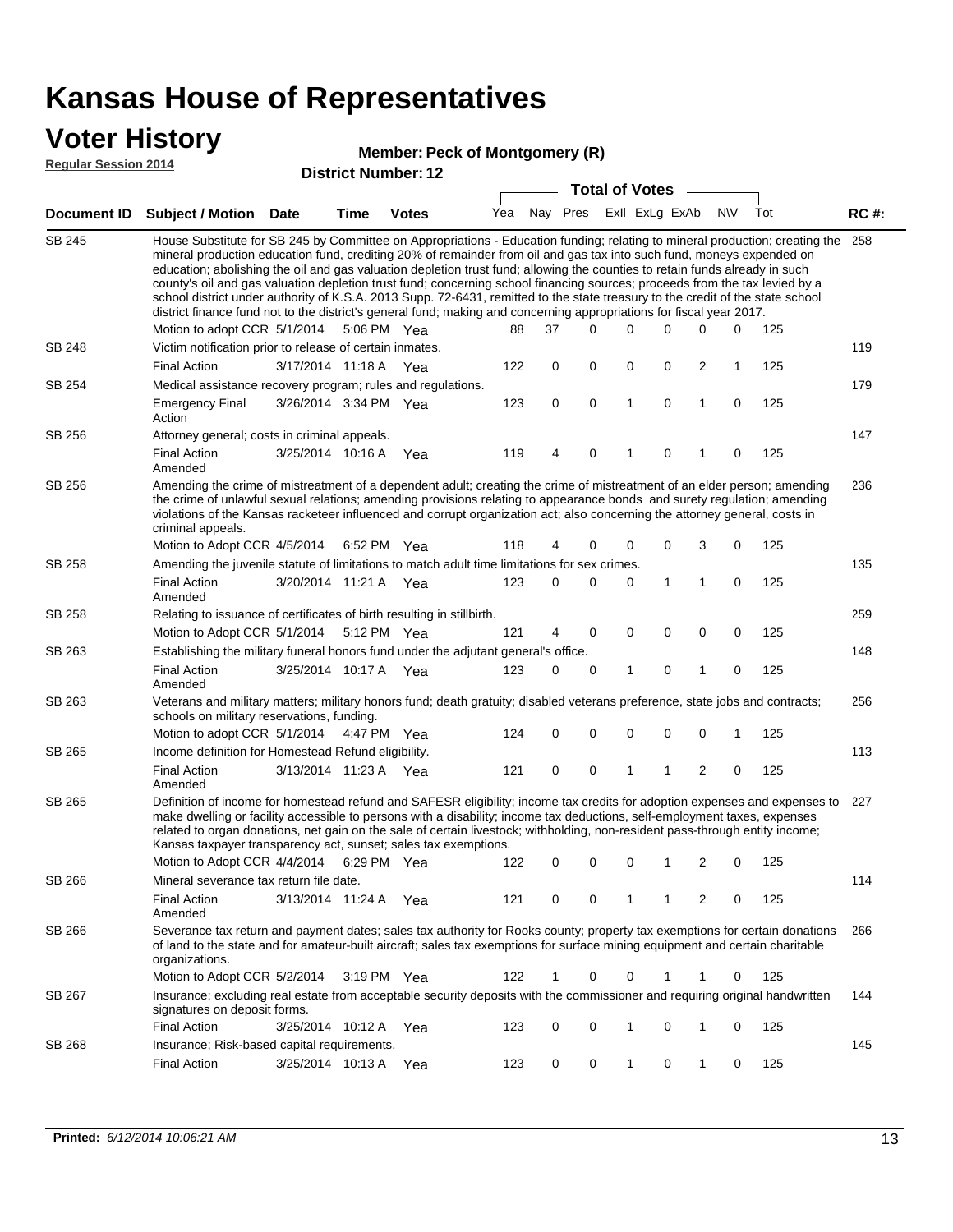#### **Voter History**

#### **Member: Peck of Montgomery (R)**

**Reg** 

| <b>Regular Session 2014</b> |                                                                                                                                                                                                                                                                                                                                                                                                                                                                                                                                                                                                                                                                                                                                                                                                               |                       |             | <b>District Number: 12</b> |     |    |                         |   |              |              |                |   |     |             |
|-----------------------------|---------------------------------------------------------------------------------------------------------------------------------------------------------------------------------------------------------------------------------------------------------------------------------------------------------------------------------------------------------------------------------------------------------------------------------------------------------------------------------------------------------------------------------------------------------------------------------------------------------------------------------------------------------------------------------------------------------------------------------------------------------------------------------------------------------------|-----------------------|-------------|----------------------------|-----|----|-------------------------|---|--------------|--------------|----------------|---|-----|-------------|
|                             |                                                                                                                                                                                                                                                                                                                                                                                                                                                                                                                                                                                                                                                                                                                                                                                                               |                       |             | <b>Total of Votes</b>      |     |    |                         |   |              |              |                |   |     |             |
| Document ID                 | <b>Subject / Motion Date</b>                                                                                                                                                                                                                                                                                                                                                                                                                                                                                                                                                                                                                                                                                                                                                                                  |                       | Time        | <b>Votes</b>               | Yea |    | Nay Pres ExII ExLg ExAb |   |              |              | <b>NIV</b>     |   | Tot | <b>RC#:</b> |
| <b>SB 245</b>               | House Substitute for SB 245 by Committee on Appropriations - Education funding; relating to mineral production; creating the<br>mineral production education fund, crediting 20% of remainder from oil and gas tax into such fund, moneys expended on<br>education; abolishing the oil and gas valuation depletion trust fund; allowing the counties to retain funds already in such<br>county's oil and gas valuation depletion trust fund; concerning school financing sources; proceeds from the tax levied by a<br>school district under authority of K.S.A. 2013 Supp. 72-6431, remitted to the state treasury to the credit of the state school<br>district finance fund not to the district's general fund; making and concerning appropriations for fiscal year 2017.<br>Motion to adopt CCR 5/1/2014 |                       | 5:06 PM Yea |                            | 88  | 37 | 0                       |   | 0            | $\Omega$     | $\Omega$       | 0 | 125 | 258         |
| SB 248                      | Victim notification prior to release of certain inmates.                                                                                                                                                                                                                                                                                                                                                                                                                                                                                                                                                                                                                                                                                                                                                      |                       |             |                            |     |    |                         |   |              |              |                |   |     | 119         |
|                             | <b>Final Action</b>                                                                                                                                                                                                                                                                                                                                                                                                                                                                                                                                                                                                                                                                                                                                                                                           | 3/17/2014 11:18 A     |             | Yea                        | 122 | 0  | $\mathbf 0$             |   | 0            | $\mathbf 0$  | 2              | 1 | 125 |             |
| SB 254                      | Medical assistance recovery program; rules and regulations.                                                                                                                                                                                                                                                                                                                                                                                                                                                                                                                                                                                                                                                                                                                                                   |                       |             |                            |     |    |                         |   |              |              |                |   |     | 179         |
|                             | <b>Emergency Final</b><br>Action                                                                                                                                                                                                                                                                                                                                                                                                                                                                                                                                                                                                                                                                                                                                                                              | 3/26/2014 3:34 PM Yea |             |                            | 123 | 0  | $\mathbf 0$             |   | $\mathbf{1}$ | $\mathbf 0$  | 1              | 0 | 125 |             |
| SB 256                      | Attorney general; costs in criminal appeals.                                                                                                                                                                                                                                                                                                                                                                                                                                                                                                                                                                                                                                                                                                                                                                  |                       |             |                            |     |    |                         |   |              |              |                |   |     | 147         |
|                             | <b>Final Action</b><br>Amended                                                                                                                                                                                                                                                                                                                                                                                                                                                                                                                                                                                                                                                                                                                                                                                | 3/25/2014 10:16 A     |             | Yea                        | 119 | 4  | 0                       | 1 |              | 0            | 1              | 0 | 125 |             |
| SB 256                      | Amending the crime of mistreatment of a dependent adult; creating the crime of mistreatment of an elder person; amending<br>the crime of unlawful sexual relations; amending provisions relating to appearance bonds and surety regulation; amending<br>violations of the Kansas racketeer influenced and corrupt organization act; also concerning the attorney general, costs in<br>criminal appeals.                                                                                                                                                                                                                                                                                                                                                                                                       |                       |             |                            |     |    |                         |   |              |              |                |   |     | 236         |
|                             | Motion to Adopt CCR 4/5/2014                                                                                                                                                                                                                                                                                                                                                                                                                                                                                                                                                                                                                                                                                                                                                                                  |                       | 6:52 PM Yea |                            | 118 | 4  | 0                       |   | 0            | $\mathbf 0$  | 3              | 0 | 125 |             |
| SB 258                      | Amending the juvenile statute of limitations to match adult time limitations for sex crimes.                                                                                                                                                                                                                                                                                                                                                                                                                                                                                                                                                                                                                                                                                                                  |                       |             |                            |     |    |                         |   |              |              |                |   |     | 135         |
|                             | Final Action<br>Amended                                                                                                                                                                                                                                                                                                                                                                                                                                                                                                                                                                                                                                                                                                                                                                                       | 3/20/2014 11:21 A Yea |             |                            | 123 | 0  | 0                       |   | 0            | $\mathbf{1}$ | 1              | 0 | 125 |             |
| SB 258                      | Relating to issuance of certificates of birth resulting in stillbirth.                                                                                                                                                                                                                                                                                                                                                                                                                                                                                                                                                                                                                                                                                                                                        |                       |             |                            |     |    |                         |   |              |              |                |   |     | 259         |
|                             | Motion to Adopt CCR 5/1/2014 5:12 PM Yea                                                                                                                                                                                                                                                                                                                                                                                                                                                                                                                                                                                                                                                                                                                                                                      |                       |             |                            | 121 | 4  | 0                       |   | $\mathbf 0$  | $\mathbf 0$  | 0              | 0 | 125 |             |
| SB 263                      | Establishing the military funeral honors fund under the adjutant general's office.                                                                                                                                                                                                                                                                                                                                                                                                                                                                                                                                                                                                                                                                                                                            |                       |             |                            |     |    |                         |   |              |              |                |   | 148 |             |
|                             | <b>Final Action</b><br>Amended                                                                                                                                                                                                                                                                                                                                                                                                                                                                                                                                                                                                                                                                                                                                                                                | 3/25/2014 10:17 A     |             | Yea                        | 123 | 0  | $\mathbf 0$             |   | 1            | 0            | 1              | 0 | 125 |             |
| SB 263                      | Veterans and military matters; military honors fund; death gratuity; disabled veterans preference, state jobs and contracts;<br>schools on military reservations, funding.                                                                                                                                                                                                                                                                                                                                                                                                                                                                                                                                                                                                                                    |                       |             |                            |     |    |                         |   |              |              |                |   |     | 256         |
|                             | Motion to adopt CCR 5/1/2014                                                                                                                                                                                                                                                                                                                                                                                                                                                                                                                                                                                                                                                                                                                                                                                  |                       | 4:47 PM Yea |                            | 124 | 0  | 0                       |   | 0            | $\mathbf 0$  | $\mathbf 0$    | 1 | 125 |             |
| SB 265                      | Income definition for Homestead Refund eligibility.<br><b>Final Action</b>                                                                                                                                                                                                                                                                                                                                                                                                                                                                                                                                                                                                                                                                                                                                    | 3/13/2014 11:23 A Yea |             |                            | 121 | 0  | 0                       |   | 1            | 1            | $\overline{2}$ | 0 | 125 | 113         |
|                             | Amended                                                                                                                                                                                                                                                                                                                                                                                                                                                                                                                                                                                                                                                                                                                                                                                                       |                       |             |                            |     |    |                         |   |              |              |                |   |     |             |
| SB 265                      | Definition of income for homestead refund and SAFESR eligibility; income tax credits for adoption expenses and expenses to 227<br>make dwelling or facility accessible to persons with a disability; income tax deductions, self-employment taxes, expenses<br>related to organ donations, net gain on the sale of certain livestock; withholding, non-resident pass-through entity income;<br>Kansas taxpayer transparency act, sunset; sales tax exemptions.                                                                                                                                                                                                                                                                                                                                                |                       |             |                            |     |    |                         |   |              |              |                |   |     |             |
|                             | Motion to Adopt CCR 4/4/2014 6:29 PM Yea                                                                                                                                                                                                                                                                                                                                                                                                                                                                                                                                                                                                                                                                                                                                                                      |                       |             |                            | 122 | 0  | 0                       |   | 0            |              | 2              | 0 | 125 |             |
| SB 266                      | Mineral severance tax return file date.                                                                                                                                                                                                                                                                                                                                                                                                                                                                                                                                                                                                                                                                                                                                                                       |                       |             |                            |     |    |                         |   |              |              |                |   |     | 114         |
|                             | <b>Final Action</b><br>Amended                                                                                                                                                                                                                                                                                                                                                                                                                                                                                                                                                                                                                                                                                                                                                                                | 3/13/2014 11:24 A     |             | Yea                        | 121 | 0  | 0                       |   | $\mathbf{1}$ | $\mathbf 1$  | 2              | 0 | 125 |             |
| SB 266                      | Severance tax return and payment dates; sales tax authority for Rooks county; property tax exemptions for certain donations<br>of land to the state and for amateur-built aircraft; sales tax exemptions for surface mining equipment and certain charitable<br>organizations.                                                                                                                                                                                                                                                                                                                                                                                                                                                                                                                                |                       |             |                            |     |    |                         |   |              |              |                |   |     | 266         |
|                             | Motion to Adopt CCR 5/2/2014                                                                                                                                                                                                                                                                                                                                                                                                                                                                                                                                                                                                                                                                                                                                                                                  |                       | 3:19 PM Yea |                            | 122 | 1  | 0                       |   | 0            | 1            | 1              | 0 | 125 |             |
| SB 267                      | Insurance; excluding real estate from acceptable security deposits with the commissioner and requiring original handwritten<br>signatures on deposit forms.                                                                                                                                                                                                                                                                                                                                                                                                                                                                                                                                                                                                                                                   |                       |             |                            |     |    |                         |   |              |              |                |   |     | 144         |
|                             | <b>Final Action</b>                                                                                                                                                                                                                                                                                                                                                                                                                                                                                                                                                                                                                                                                                                                                                                                           | 3/25/2014 10:12 A     |             | Yea                        | 123 | 0  | 0                       |   | 1            | 0            | 1              | 0 | 125 |             |
| SB 268                      | Insurance; Risk-based capital requirements.                                                                                                                                                                                                                                                                                                                                                                                                                                                                                                                                                                                                                                                                                                                                                                   |                       |             |                            |     |    |                         |   |              |              |                |   |     | 145         |

3/25/2014 Final Action Yea 125

123 0 0 1 0 1 0 125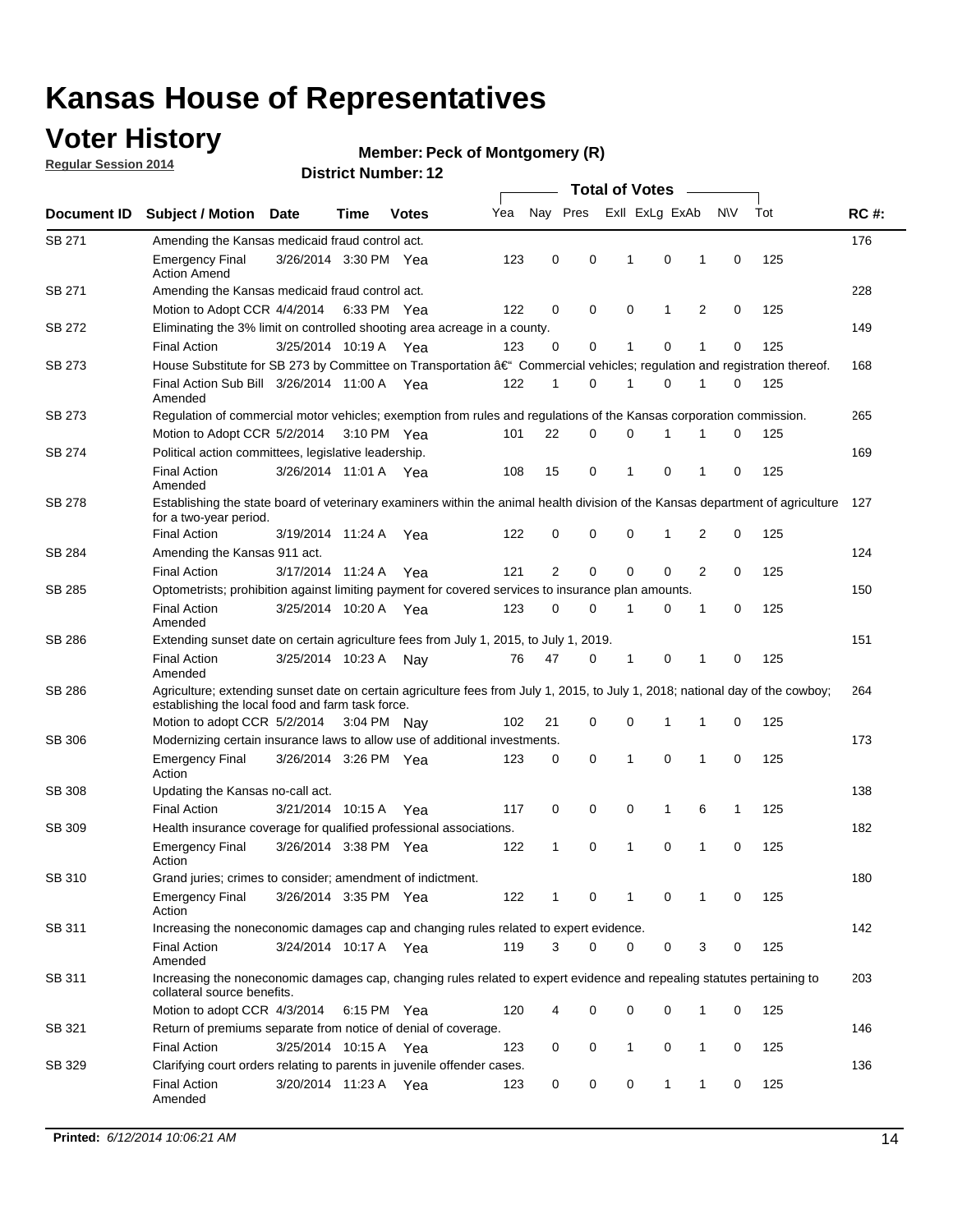### **Voter History**

**Regular Session 2014**

#### **Member: Peck of Montgomery (R)**

|               |                                                                                                                                                                                    |                       |      |              |     |                |             | <b>Total of Votes</b> |              |   |             |     |             |
|---------------|------------------------------------------------------------------------------------------------------------------------------------------------------------------------------------|-----------------------|------|--------------|-----|----------------|-------------|-----------------------|--------------|---|-------------|-----|-------------|
| Document ID   | <b>Subject / Motion Date</b>                                                                                                                                                       |                       | Time | <b>Votes</b> | Yea | Nay Pres       |             | Exll ExLg ExAb        |              |   | N\V         | Tot | <b>RC#:</b> |
| SB 271        | Amending the Kansas medicaid fraud control act.                                                                                                                                    |                       |      |              |     |                |             |                       |              |   |             |     | 176         |
|               | <b>Emergency Final</b><br><b>Action Amend</b>                                                                                                                                      | 3/26/2014 3:30 PM Yea |      |              | 123 | 0              | 0           | 1                     | 0            | 1 | $\mathbf 0$ | 125 |             |
| SB 271        | Amending the Kansas medicaid fraud control act.                                                                                                                                    |                       |      |              |     |                |             |                       |              |   |             |     | 228         |
|               | Motion to Adopt CCR 4/4/2014 6:33 PM Yea                                                                                                                                           |                       |      |              | 122 | 0              | 0           | 0                     | 1            | 2 | 0           | 125 |             |
| SB 272        | Eliminating the 3% limit on controlled shooting area acreage in a county.                                                                                                          |                       |      |              |     |                |             |                       |              |   |             |     | 149         |
|               | <b>Final Action</b>                                                                                                                                                                | 3/25/2014 10:19 A Yea |      |              | 123 | 0              | 0           | 1                     | 0            | 1 | $\mathbf 0$ | 125 |             |
| SB 273        | House Substitute for SB 273 by Committee on Transportation †Commercial vehicles; regulation and registration thereof.                                                              |                       |      |              |     |                |             |                       |              |   |             |     | 168         |
|               | Final Action Sub Bill 3/26/2014 11:00 A Yea<br>Amended                                                                                                                             |                       |      |              | 122 | 1              | 0           | 1                     | 0            | 1 | 0           | 125 |             |
| SB 273        | Regulation of commercial motor vehicles; exemption from rules and regulations of the Kansas corporation commission.                                                                |                       |      |              |     |                |             |                       |              |   |             |     | 265         |
|               | Motion to Adopt CCR 5/2/2014 3:10 PM Yea                                                                                                                                           |                       |      |              | 101 | 22             | 0           | 0                     | 1            | 1 | 0           | 125 |             |
| SB 274        | Political action committees, legislative leadership.                                                                                                                               |                       |      |              |     |                |             |                       |              |   |             |     | 169         |
|               | <b>Final Action</b><br>Amended                                                                                                                                                     | 3/26/2014 11:01 A Yea |      |              | 108 | 15             | 0           | -1                    | 0            | 1 | 0           | 125 |             |
| <b>SB 278</b> | Establishing the state board of veterinary examiners within the animal health division of the Kansas department of agriculture<br>for a two-year period.                           |                       |      |              |     |                |             |                       |              |   |             |     | 127         |
|               | <b>Final Action</b>                                                                                                                                                                | 3/19/2014 11:24 A     |      | Yea          | 122 | 0              | 0           | 0                     | 1            | 2 | 0           | 125 |             |
| SB 284        | Amending the Kansas 911 act.                                                                                                                                                       |                       |      |              |     |                |             |                       |              |   |             |     | 124         |
|               | <b>Final Action</b>                                                                                                                                                                | 3/17/2014 11:24 A     |      | Yea          | 121 | $\overline{2}$ | $\mathbf 0$ | $\mathbf 0$           | $\mathbf 0$  | 2 | 0           | 125 |             |
| SB 285        | Optometrists; prohibition against limiting payment for covered services to insurance plan amounts.                                                                                 |                       |      |              |     |                |             |                       |              |   |             |     | 150         |
|               | <b>Final Action</b><br>Amended                                                                                                                                                     | 3/25/2014 10:20 A     |      | Yea          | 123 | 0              | 0           | $\mathbf{1}$          | 0            | 1 | 0           | 125 |             |
| SB 286        | Extending sunset date on certain agriculture fees from July 1, 2015, to July 1, 2019.                                                                                              |                       |      |              |     |                |             |                       |              |   |             |     | 151         |
|               | <b>Final Action</b><br>Amended                                                                                                                                                     | 3/25/2014 10:23 A     |      | Nay          | 76  | 47             | 0           | $\mathbf{1}$          | 0            | 1 | 0           | 125 |             |
| SB 286        | Agriculture; extending sunset date on certain agriculture fees from July 1, 2015, to July 1, 2018; national day of the cowboy;<br>establishing the local food and farm task force. |                       |      |              |     |                |             |                       |              |   |             |     | 264         |
|               | Motion to adopt CCR 5/2/2014 3:04 PM Nav                                                                                                                                           |                       |      |              | 102 | 21             | 0           | 0                     | 1            | 1 | 0           | 125 |             |
| SB 306        | Modernizing certain insurance laws to allow use of additional investments.                                                                                                         |                       |      |              |     |                |             |                       |              |   |             |     | 173         |
|               | <b>Emergency Final</b><br>Action                                                                                                                                                   | 3/26/2014 3:26 PM Yea |      |              | 123 | 0              | 0           | 1                     | $\mathbf 0$  | 1 | 0           | 125 |             |
| <b>SB 308</b> | Updating the Kansas no-call act.                                                                                                                                                   |                       |      |              |     |                |             |                       |              |   |             |     | 138         |
|               | <b>Final Action</b>                                                                                                                                                                | 3/21/2014 10:15 A     |      | Yea          | 117 | 0              | 0           | 0                     | $\mathbf{1}$ | 6 | 1           | 125 |             |
| SB 309        | Health insurance coverage for qualified professional associations.                                                                                                                 |                       |      |              |     |                |             |                       |              |   |             |     | 182         |
|               | <b>Emergency Final</b><br>Action                                                                                                                                                   | 3/26/2014 3:38 PM Yea |      |              | 122 | 1              | 0           | 1                     | 0            | 1 | 0           | 125 |             |
| SB 310        | Grand juries; crimes to consider; amendment of indictment.                                                                                                                         |                       |      |              |     |                |             |                       |              |   |             |     | 180         |
|               | <b>Emergency Final</b><br>Action                                                                                                                                                   | 3/26/2014 3:35 PM Yea |      |              | 122 | 1              | 0           | 1                     | 0            | 1 | 0           | 125 |             |
| SB 311        | Increasing the noneconomic damages cap and changing rules related to expert evidence.                                                                                              |                       |      |              |     |                |             |                       |              |   |             |     | 142         |
|               | <b>Final Action</b><br>Amended                                                                                                                                                     | 3/24/2014 10:17 A Yea |      |              | 119 | 3              | $\Omega$    | 0                     | 0            | 3 | 0           | 125 |             |
| SB 311        | Increasing the noneconomic damages cap, changing rules related to expert evidence and repealing statutes pertaining to<br>collateral source benefits.                              |                       |      |              |     |                |             |                       |              |   |             |     | 203         |
|               | Motion to adopt CCR 4/3/2014 6:15 PM Yea                                                                                                                                           |                       |      |              | 120 | 4              | 0           | 0                     | 0            | 1 | 0           | 125 |             |
| SB 321        | Return of premiums separate from notice of denial of coverage.                                                                                                                     |                       |      |              |     |                |             |                       |              |   |             |     | 146         |
|               | <b>Final Action</b>                                                                                                                                                                | 3/25/2014 10:15 A Yea |      |              | 123 | 0              | 0           | 1                     | 0            | 1 | 0           | 125 |             |
| SB 329        | Clarifying court orders relating to parents in juvenile offender cases.<br><b>Final Action</b><br>Amended                                                                          | 3/20/2014 11:23 A Yea |      |              | 123 | 0              | 0           | 0                     | 1            | 1 | 0           | 125 | 136         |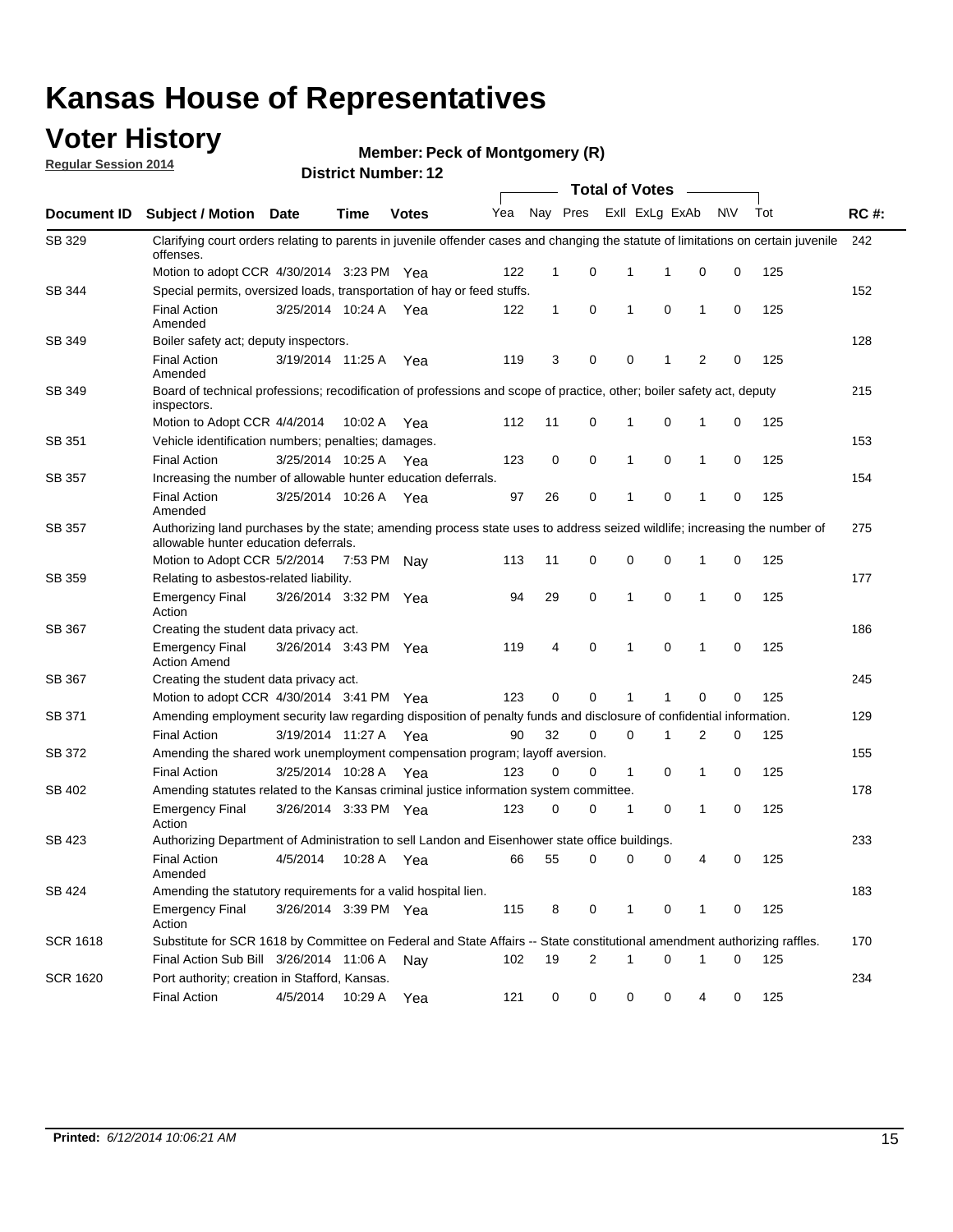### **Voter History**

**Regular Session 2014**

#### **Member: Peck of Montgomery (R)**

|                 | <b>Total of Votes</b>                                                                                                                                              |                       |             |              |     |              |             |                         |             |   |           |     |             |
|-----------------|--------------------------------------------------------------------------------------------------------------------------------------------------------------------|-----------------------|-------------|--------------|-----|--------------|-------------|-------------------------|-------------|---|-----------|-----|-------------|
| Document ID     | <b>Subject / Motion</b>                                                                                                                                            | Date                  | Time        | <b>Votes</b> | Yea |              |             | Nay Pres ExII ExLg ExAb |             |   | <b>NV</b> | Tot | <b>RC#:</b> |
| SB 329          | Clarifying court orders relating to parents in juvenile offender cases and changing the statute of limitations on certain juvenile<br>offenses.                    |                       |             |              |     |              |             |                         |             |   |           |     | 242         |
|                 | Motion to adopt CCR 4/30/2014 3:23 PM Yea                                                                                                                          |                       |             |              | 122 | 1            | 0           | 1                       | 1           | 0 | 0         | 125 |             |
| SB 344          | Special permits, oversized loads, transportation of hay or feed stuffs.                                                                                            |                       |             |              |     |              |             |                         |             |   |           |     | 152         |
|                 | <b>Final Action</b><br>Amended                                                                                                                                     | 3/25/2014 10:24 A     |             | Yea          | 122 | $\mathbf{1}$ | 0           | 1                       | 0           | 1 | 0         | 125 |             |
| SB 349          | Boiler safety act; deputy inspectors.                                                                                                                              |                       |             |              |     |              |             |                         |             |   |           |     | 128         |
|                 | <b>Final Action</b><br>Amended                                                                                                                                     | 3/19/2014 11:25 A     |             | Yea          | 119 | 3            | 0           | $\mathbf 0$             | 1           | 2 | 0         | 125 |             |
| SB 349          | Board of technical professions; recodification of professions and scope of practice, other; boiler safety act, deputy<br>inspectors.                               |                       |             |              |     |              |             |                         |             |   |           |     | 215         |
|                 | Motion to Adopt CCR 4/4/2014                                                                                                                                       |                       | 10:02 A     | Yea          | 112 | 11           | 0           | 1                       | 0           | 1 | 0         | 125 |             |
| SB 351          | Vehicle identification numbers; penalties; damages.                                                                                                                |                       |             |              |     |              |             |                         |             |   |           |     | 153         |
|                 | <b>Final Action</b>                                                                                                                                                | 3/25/2014 10:25 A     |             | Yea          | 123 | 0            | 0           | 1                       | $\mathbf 0$ | 1 | 0         | 125 |             |
| SB 357          | Increasing the number of allowable hunter education deferrals.                                                                                                     |                       |             |              |     |              |             |                         |             |   |           |     | 154         |
|                 | <b>Final Action</b><br>Amended                                                                                                                                     | 3/25/2014 10:26 A     |             | Yea          | 97  | 26           | 0           | 1                       | $\mathbf 0$ | 1 | 0         | 125 |             |
| SB 357          | Authorizing land purchases by the state; amending process state uses to address seized wildlife; increasing the number of<br>allowable hunter education deferrals. |                       |             |              |     |              |             |                         |             |   |           |     | 275         |
|                 | Motion to Adopt CCR 5/2/2014                                                                                                                                       |                       | 7:53 PM Nay |              | 113 | 11           | 0           | 0                       | 0           | 1 | 0         | 125 |             |
| SB 359          | Relating to asbestos-related liability.                                                                                                                            |                       |             |              |     |              |             |                         |             |   |           |     | 177         |
|                 | <b>Emergency Final</b><br>Action                                                                                                                                   | 3/26/2014 3:32 PM Yea |             |              | 94  | 29           | 0           | 1                       | $\mathbf 0$ | 1 | 0         | 125 |             |
| SB 367          | Creating the student data privacy act.                                                                                                                             |                       |             |              |     |              |             |                         |             |   |           |     | 186         |
|                 | <b>Emergency Final</b><br><b>Action Amend</b>                                                                                                                      | 3/26/2014 3:43 PM Yea |             |              | 119 | 4            | $\mathbf 0$ | 1                       | $\mathbf 0$ | 1 | 0         | 125 |             |
| SB 367          | Creating the student data privacy act.                                                                                                                             |                       |             |              |     |              |             |                         |             |   |           |     | 245         |
|                 | Motion to adopt CCR 4/30/2014 3:41 PM Yea                                                                                                                          |                       |             |              | 123 | 0            | 0           | 1                       | 1           | 0 | 0         | 125 |             |
| SB 371          | Amending employment security law regarding disposition of penalty funds and disclosure of confidential information.                                                |                       |             |              |     |              |             |                         |             |   |           |     | 129         |
|                 | <b>Final Action</b>                                                                                                                                                | 3/19/2014 11:27 A Yea |             |              | 90  | 32           | 0           | $\mathbf 0$             | 1           | 2 | 0         | 125 |             |
| SB 372          | Amending the shared work unemployment compensation program; layoff aversion.                                                                                       |                       |             |              |     |              |             |                         |             |   |           |     | 155         |
|                 | <b>Final Action</b>                                                                                                                                                | 3/25/2014 10:28 A     |             | Yea          | 123 | 0            | 0           | $\mathbf{1}$            | $\mathbf 0$ | 1 | 0         | 125 |             |
| SB 402          | Amending statutes related to the Kansas criminal justice information system committee.                                                                             |                       |             |              |     |              |             |                         |             |   |           |     | 178         |
|                 | <b>Emergency Final</b><br>Action                                                                                                                                   | 3/26/2014 3:33 PM Yea |             |              | 123 | 0            | 0           | 1                       | 0           | 1 | 0         | 125 |             |
| <b>SB 423</b>   | Authorizing Department of Administration to sell Landon and Eisenhower state office buildings.                                                                     |                       |             |              |     |              |             |                         |             |   |           |     | 233         |
|                 | <b>Final Action</b><br>Amended                                                                                                                                     | 4/5/2014              | 10:28 A     | Yea          | 66  | 55           | 0           | 0                       | 0           | 4 | 0         | 125 |             |
| SB 424          | Amending the statutory requirements for a valid hospital lien.                                                                                                     |                       |             |              |     |              |             |                         |             |   |           |     | 183         |
|                 | <b>Emergency Final</b><br>Action                                                                                                                                   | 3/26/2014 3:39 PM Yea |             |              | 115 | 8            | 0           | 1                       | 0           | 1 | 0         | 125 |             |
| SCR 1618        | Substitute for SCR 1618 by Committee on Federal and State Affairs -- State constitutional amendment authorizing raffles.                                           |                       |             |              |     |              |             |                         |             |   |           |     | 170         |
|                 | Final Action Sub Bill 3/26/2014 11:06 A                                                                                                                            |                       |             | Nav          | 102 | 19           | 2           | 1                       | $\mathbf 0$ | 1 | 0         | 125 |             |
| <b>SCR 1620</b> | Port authority; creation in Stafford, Kansas.                                                                                                                      |                       |             |              |     |              |             |                         |             |   |           |     | 234         |
|                 | <b>Final Action</b>                                                                                                                                                | 4/5/2014              | 10:29 A     | Yea          | 121 | 0            | 0           | 0                       | 0           | 4 | 0         | 125 |             |